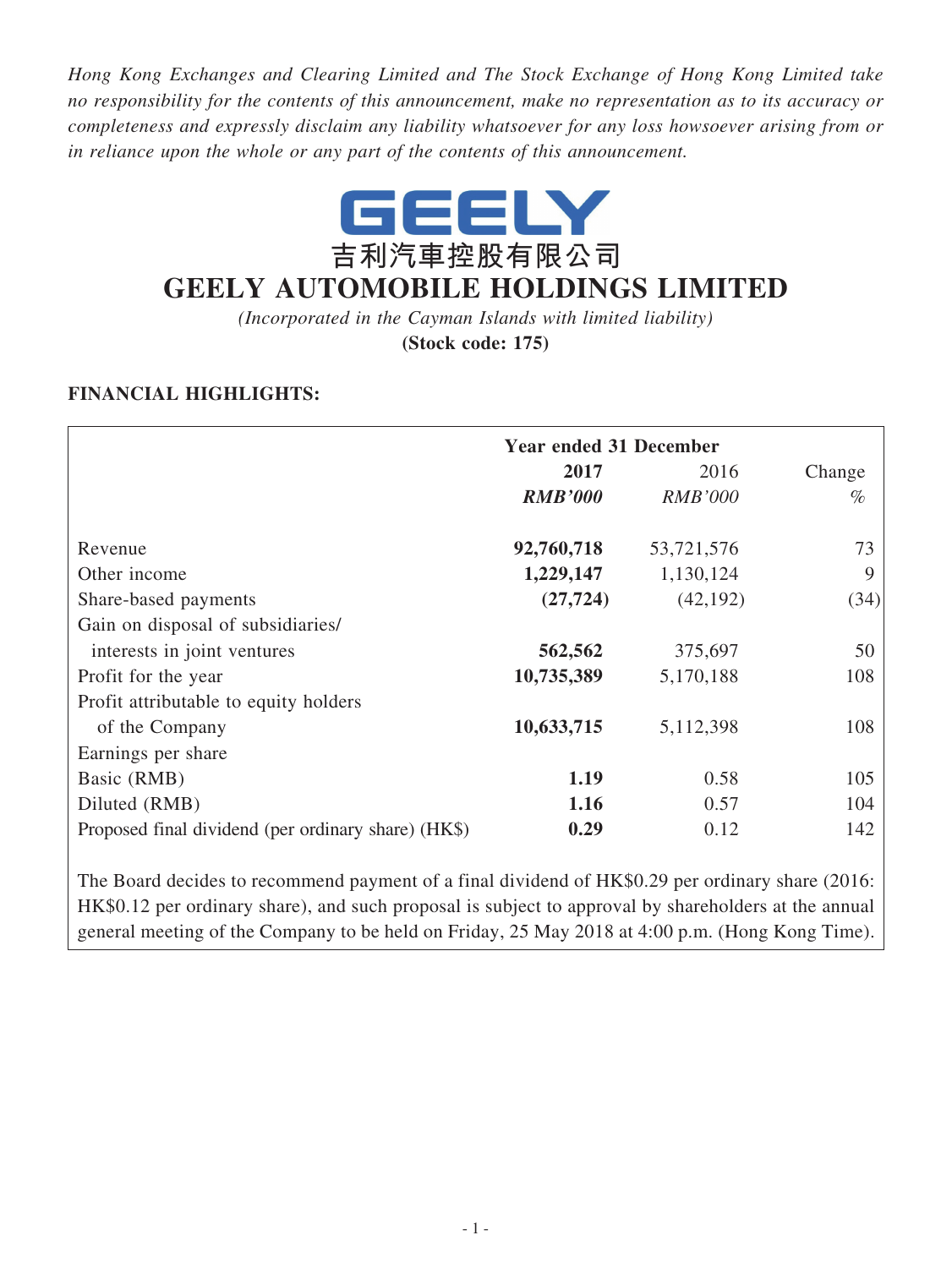*Hong Kong Exchanges and Clearing Limited and The Stock Exchange of Hong Kong Limited take no responsibility for the contents of this announcement, make no representation as to its accuracy or completeness and expressly disclaim any liability whatsoever for any loss howsoever arising from or in reliance upon the whole or any part of the contents of this announcement.*



# **GEELY AUTOMOBILE HOLDINGS LIMITED**

*(Incorporated in the Cayman Islands with limited liability)*

**(Stock code: 175)**

### **FINANCIAL HIGHLIGHTS:**

|                                                     | <b>Year ended 31 December</b> |                |        |  |
|-----------------------------------------------------|-------------------------------|----------------|--------|--|
|                                                     | 2017                          | 2016           | Change |  |
|                                                     | <b>RMB'000</b>                | <b>RMB'000</b> | $\%$   |  |
| Revenue                                             | 92,760,718                    | 53,721,576     | 73     |  |
| Other income                                        | 1,229,147                     | 1,130,124      | 9      |  |
| Share-based payments                                | (27, 724)                     | (42, 192)      | (34)   |  |
| Gain on disposal of subsidiaries/                   |                               |                |        |  |
| interests in joint ventures                         | 562,562                       | 375,697        | 50     |  |
| Profit for the year                                 | 10,735,389                    | 5,170,188      | 108    |  |
| Profit attributable to equity holders               |                               |                |        |  |
| of the Company                                      | 10,633,715                    | 5,112,398      | 108    |  |
| Earnings per share                                  |                               |                |        |  |
| Basic (RMB)                                         | 1.19                          | 0.58           | 105    |  |
| Diluted (RMB)                                       | 1.16                          | 0.57           | 104    |  |
| Proposed final dividend (per ordinary share) (HK\$) | 0.29                          | 0.12           | 142    |  |

The Board decides to recommend payment of a final dividend of HK\$0.29 per ordinary share (2016: HK\$0.12 per ordinary share), and such proposal is subject to approval by shareholders at the annual general meeting of the Company to be held on Friday, 25 May 2018 at 4:00 p.m. (Hong Kong Time).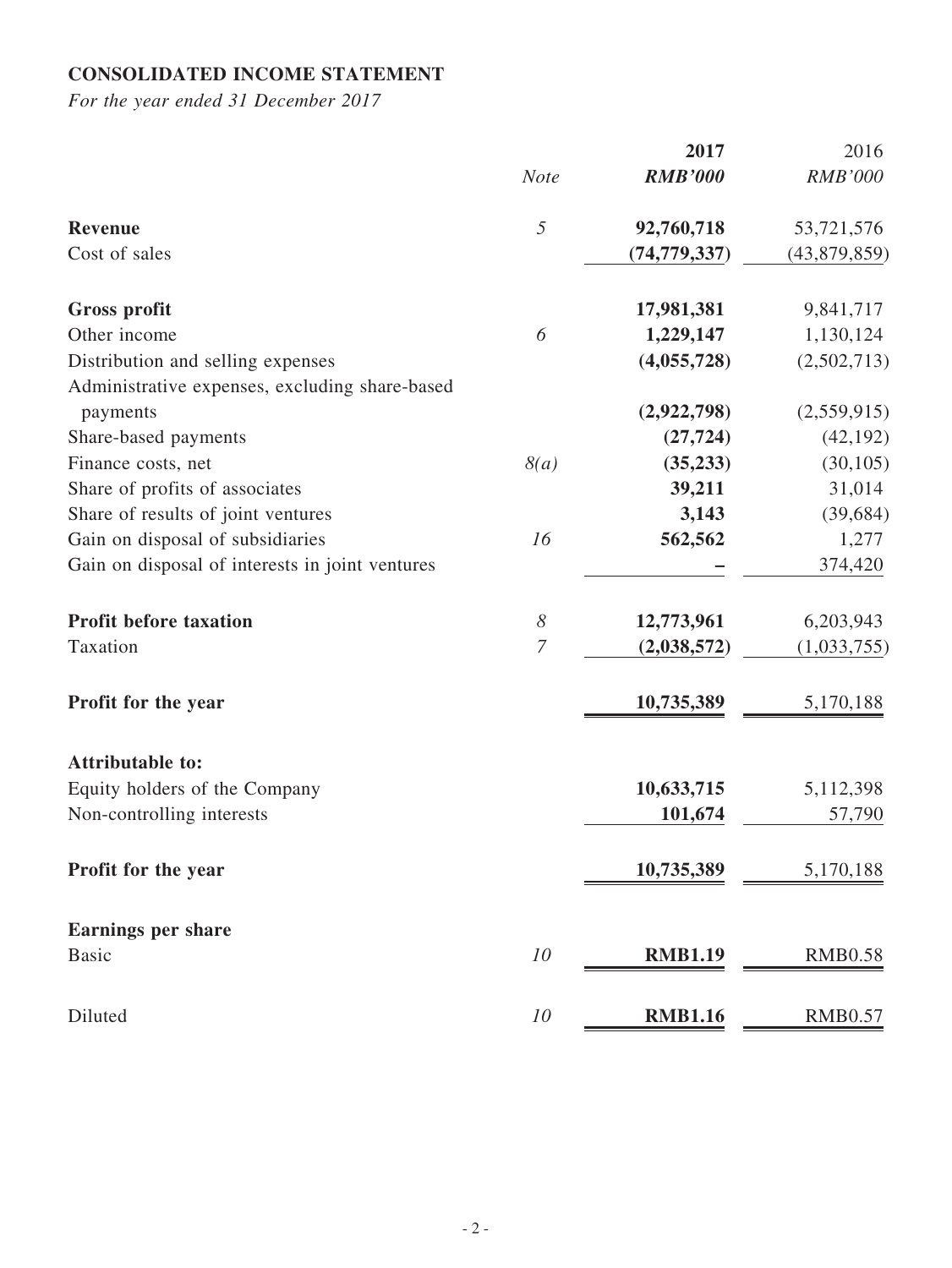## **CONSOLIDATED INCOME STATEMENT**

|                                                 |                       | 2017           | 2016           |
|-------------------------------------------------|-----------------------|----------------|----------------|
|                                                 | <b>Note</b>           | <b>RMB'000</b> | <b>RMB'000</b> |
| <b>Revenue</b>                                  | $\mathfrak s$         | 92,760,718     | 53,721,576     |
| Cost of sales                                   |                       | (74, 779, 337) | (43,879,859)   |
| <b>Gross profit</b>                             |                       | 17,981,381     | 9,841,717      |
| Other income                                    | 6                     | 1,229,147      | 1,130,124      |
| Distribution and selling expenses               |                       | (4,055,728)    | (2,502,713)    |
| Administrative expenses, excluding share-based  |                       |                |                |
| payments                                        |                       | (2,922,798)    | (2,559,915)    |
| Share-based payments                            |                       | (27, 724)      | (42, 192)      |
| Finance costs, net                              | 8(a)                  | (35, 233)      | (30, 105)      |
| Share of profits of associates                  |                       | 39,211         | 31,014         |
| Share of results of joint ventures              |                       | 3,143          | (39, 684)      |
| Gain on disposal of subsidiaries                | 16                    | 562,562        | 1,277          |
| Gain on disposal of interests in joint ventures |                       |                | 374,420        |
| <b>Profit before taxation</b>                   | $\boldsymbol{\delta}$ | 12,773,961     | 6,203,943      |
| Taxation                                        | $\overline{7}$        | (2,038,572)    | (1,033,755)    |
| Profit for the year                             |                       | 10,735,389     | 5,170,188      |
| <b>Attributable to:</b>                         |                       |                |                |
| Equity holders of the Company                   |                       | 10,633,715     | 5,112,398      |
| Non-controlling interests                       |                       | 101,674        | 57,790         |
| Profit for the year                             |                       | 10,735,389     | 5,170,188      |
| <b>Earnings per share</b>                       |                       |                |                |
| <b>Basic</b>                                    | 10                    | <b>RMB1.19</b> | <b>RMB0.58</b> |
| Diluted                                         | 10                    | <b>RMB1.16</b> | <b>RMB0.57</b> |
|                                                 |                       |                |                |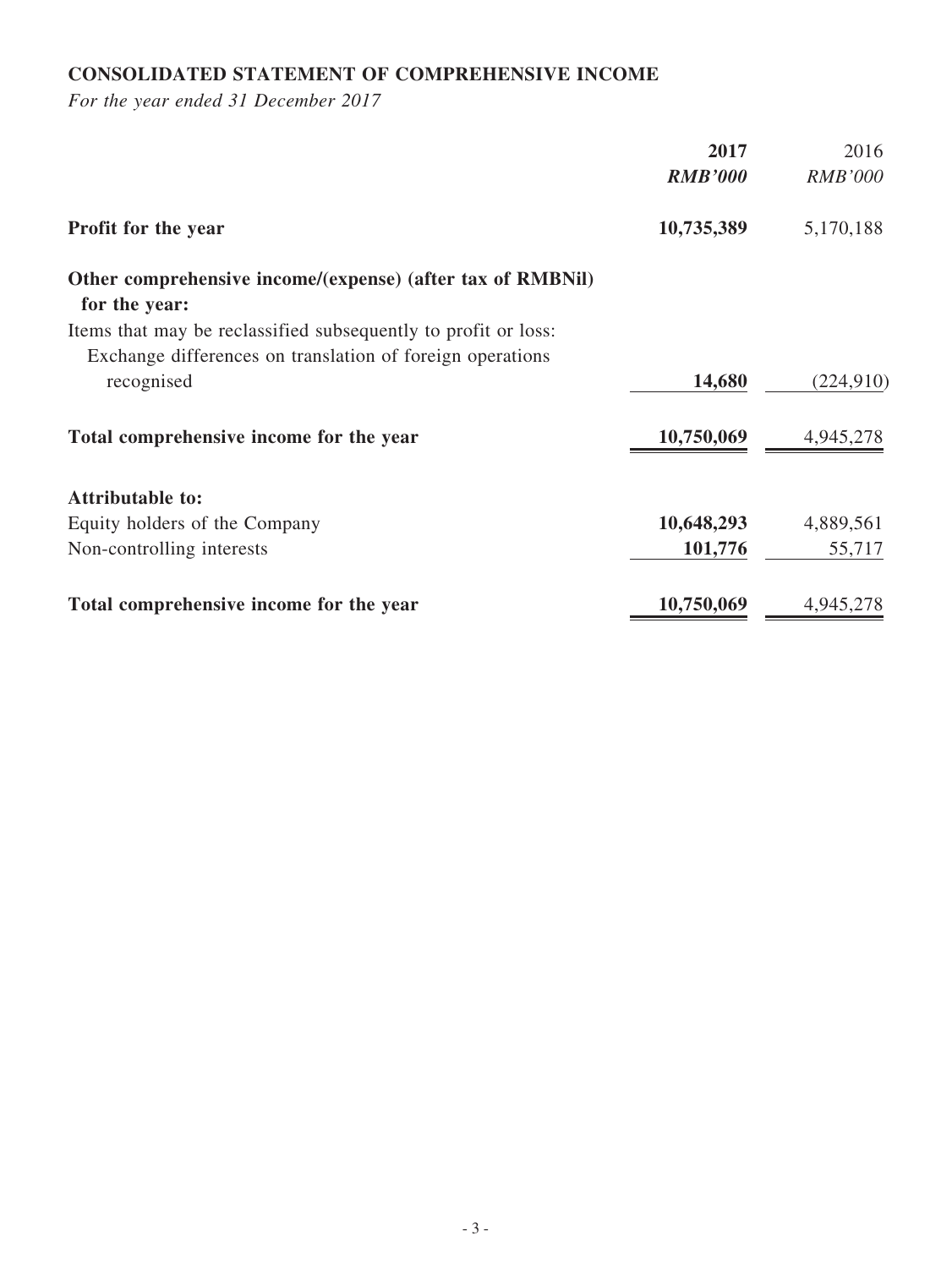## **CONSOLIDATED STATEMENT OF COMPREHENSIVE INCOME**

|                                                                | 2017           | 2016           |
|----------------------------------------------------------------|----------------|----------------|
|                                                                | <b>RMB'000</b> | <b>RMB'000</b> |
| Profit for the year                                            | 10,735,389     | 5,170,188      |
| Other comprehensive income/(expense) (after tax of RMBNil)     |                |                |
| for the year:                                                  |                |                |
| Items that may be reclassified subsequently to profit or loss: |                |                |
| Exchange differences on translation of foreign operations      |                |                |
| recognised                                                     | 14,680         | (224, 910)     |
| Total comprehensive income for the year                        | 10,750,069     | 4,945,278      |
| <b>Attributable to:</b>                                        |                |                |
| Equity holders of the Company                                  | 10,648,293     | 4,889,561      |
| Non-controlling interests                                      | 101,776        | 55,717         |
| Total comprehensive income for the year                        | 10,750,069     | 4,945,278      |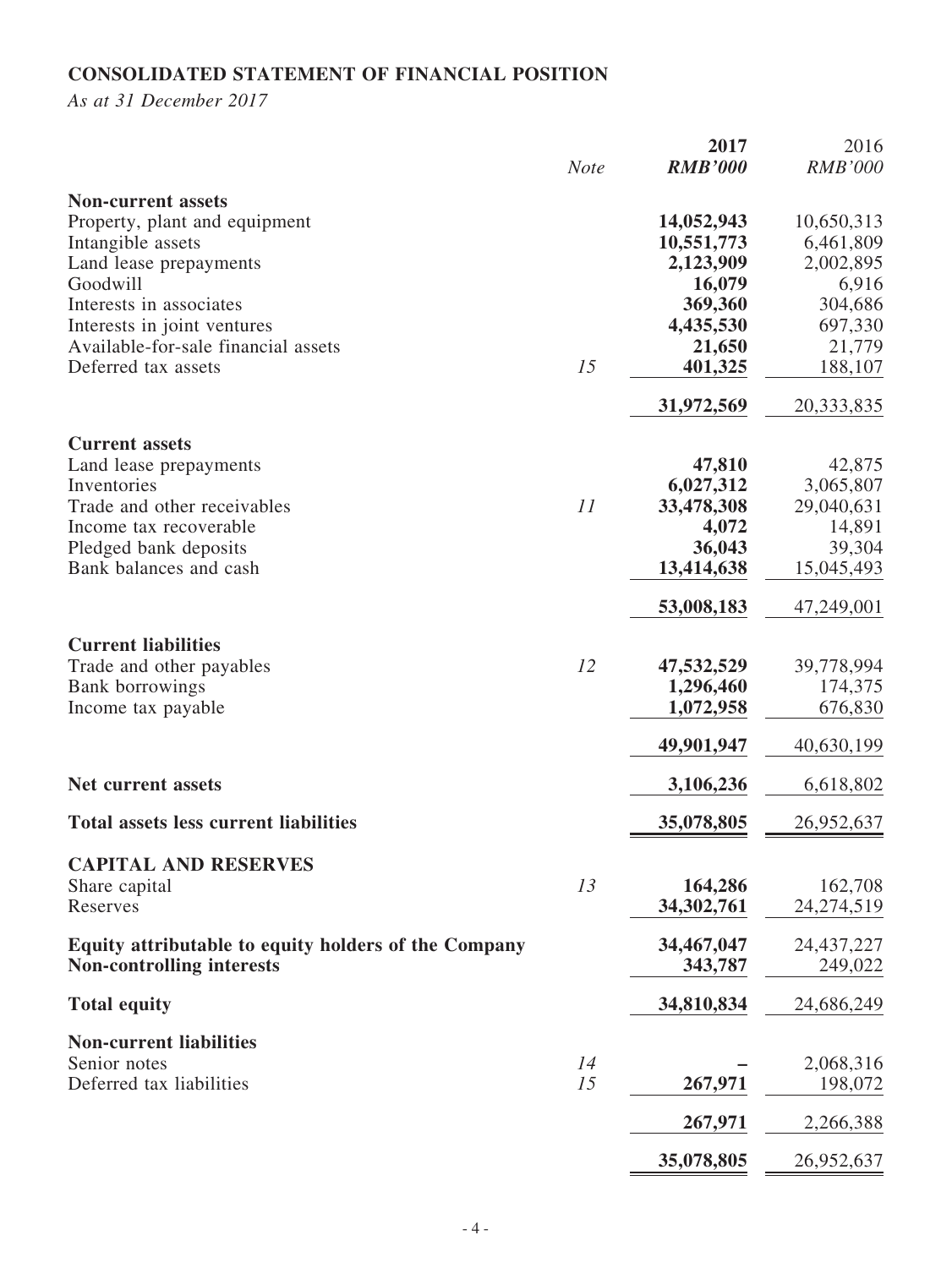## **CONSOLIDATED STATEMENT OF FINANCIAL POSITION**

*As at 31 December 2017*

|                                                      | <b>Note</b> | 2017<br><b>RMB'000</b> | 2016<br><b>RMB'000</b> |
|------------------------------------------------------|-------------|------------------------|------------------------|
|                                                      |             |                        |                        |
| <b>Non-current assets</b>                            |             |                        |                        |
| Property, plant and equipment                        |             | 14,052,943             | 10,650,313             |
| Intangible assets                                    |             | 10,551,773             | 6,461,809              |
| Land lease prepayments                               |             | 2,123,909              | 2,002,895              |
| Goodwill                                             |             | 16,079                 | 6,916                  |
| Interests in associates                              |             | 369,360                | 304,686                |
| Interests in joint ventures                          |             | 4,435,530              | 697,330                |
| Available-for-sale financial assets                  |             | 21,650                 | 21,779                 |
| Deferred tax assets                                  | 15          | 401,325                | 188,107                |
|                                                      |             | 31,972,569             | 20,333,835             |
| <b>Current assets</b>                                |             |                        |                        |
| Land lease prepayments                               |             | 47,810                 | 42,875                 |
| Inventories                                          |             | 6,027,312              | 3,065,807              |
| Trade and other receivables                          | 11          | 33,478,308             | 29,040,631             |
| Income tax recoverable                               |             | 4,072                  | 14,891                 |
| Pledged bank deposits                                |             | 36,043                 | 39,304                 |
| Bank balances and cash                               |             | 13,414,638             | 15,045,493             |
|                                                      |             | 53,008,183             | 47,249,001             |
| <b>Current liabilities</b>                           |             |                        |                        |
| Trade and other payables                             | 12          | 47,532,529             | 39,778,994             |
| <b>Bank</b> borrowings                               |             | 1,296,460              | 174,375                |
| Income tax payable                                   |             | 1,072,958              | 676,830                |
|                                                      |             | 49,901,947             | 40,630,199             |
|                                                      |             |                        |                        |
| <b>Net current assets</b>                            |             | 3,106,236              | 6,618,802              |
| <b>Total assets less current liabilities</b>         |             | 35,078,805             | 26,952,637             |
| <b>CAPITAL AND RESERVES</b>                          |             |                        |                        |
| Share capital                                        | 13          | 164,286                | 162,708                |
| Reserves                                             |             | 34,302,761             | 24, 274, 519           |
| Equity attributable to equity holders of the Company |             | 34,467,047             | 24, 437, 227           |
| <b>Non-controlling interests</b>                     |             | 343,787                | 249,022                |
| <b>Total equity</b>                                  |             | 34,810,834             | 24,686,249             |
| <b>Non-current liabilities</b>                       |             |                        |                        |
| Senior notes                                         | 14          |                        | 2,068,316              |
| Deferred tax liabilities                             | 15          | 267,971                | 198,072                |
|                                                      |             |                        |                        |
|                                                      |             | 267,971                | 2,266,388              |
|                                                      |             | 35,078,805             | 26,952,637             |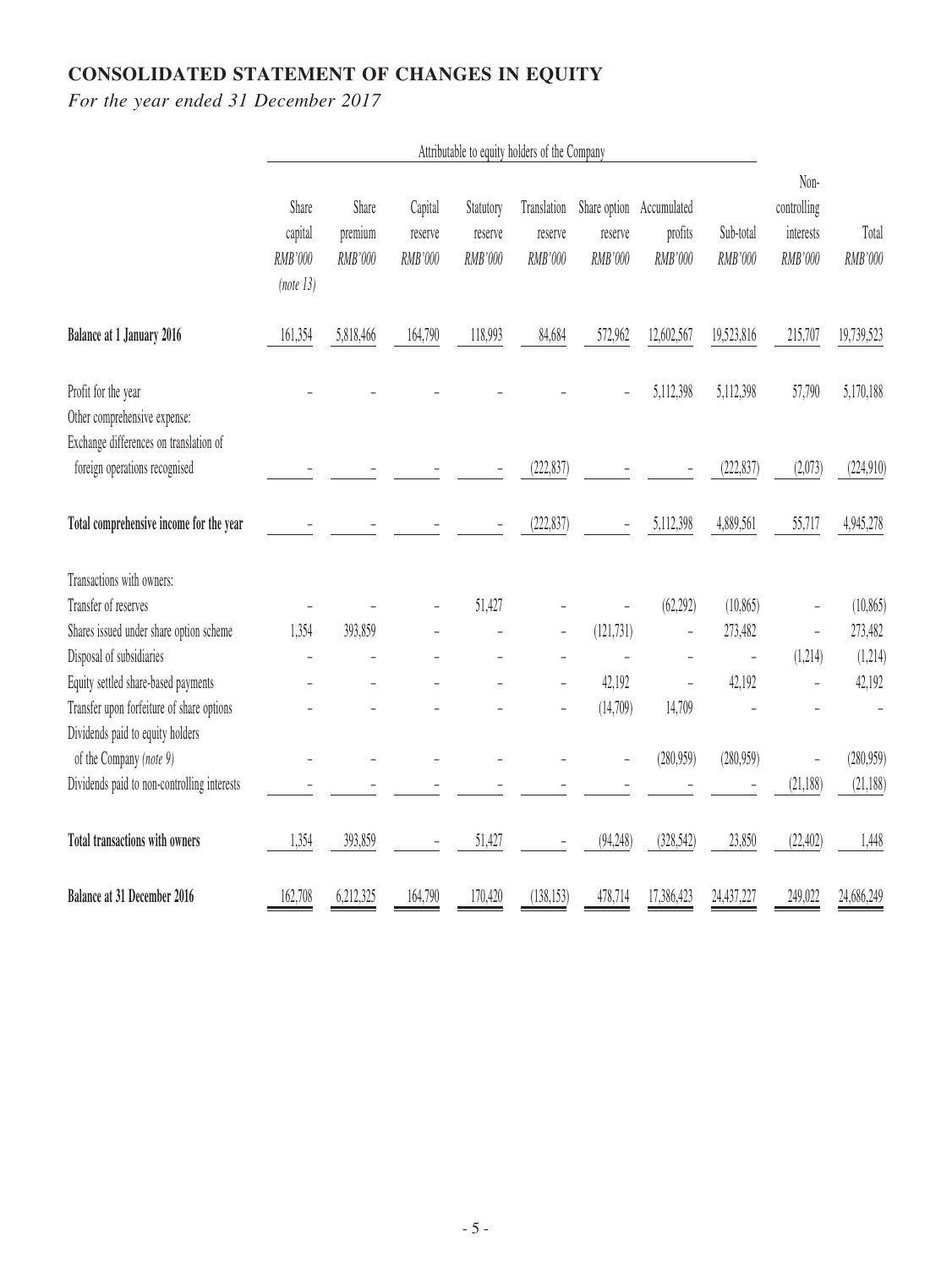# **CONSOLIDATED STATEMENT OF CHANGES IN EQUITY**

|                                                                                               | Attributable to equity holders of the Company |                             |                               |                                 |                                   |                                    |                                   |                      |                                             |                  |
|-----------------------------------------------------------------------------------------------|-----------------------------------------------|-----------------------------|-------------------------------|---------------------------------|-----------------------------------|------------------------------------|-----------------------------------|----------------------|---------------------------------------------|------------------|
|                                                                                               | Share<br>capital<br>RMB'000<br>(note 13)      | Share<br>premium<br>RMB'000 | Capital<br>reserve<br>RMB'000 | Statutory<br>reserve<br>RMB'000 | Translation<br>reserve<br>RMB'000 | Share option<br>reserve<br>RMB'000 | Accumulated<br>profits<br>RMB'000 | Sub-total<br>RMB'000 | Non-<br>controlling<br>interests<br>RMB'000 | Total<br>RMB'000 |
| <b>Balance at 1 January 2016</b>                                                              | 161,354                                       | 5,818,466                   | 164,790                       | 118,993                         | 84,684                            | 572,962                            | 12,602,567                        | 19,523,816           | 215,707                                     | 19,739,523       |
| Profit for the year<br>Other comprehensive expense:<br>Exchange differences on translation of |                                               |                             |                               |                                 |                                   |                                    | 5,112,398                         | 5,112,398            | 57,790                                      | 5,170,188        |
| foreign operations recognised                                                                 |                                               |                             |                               |                                 | (222, 837)                        |                                    |                                   | (222, 837)           | (2,073)                                     | (224, 910)       |
| Total comprehensive income for the year                                                       |                                               |                             |                               |                                 | (222, 837)                        |                                    | 5,112,398                         | 4,889,561            | 55,717                                      | 4,945,278        |
| Transactions with owners:                                                                     |                                               |                             |                               |                                 |                                   |                                    |                                   |                      |                                             |                  |
| Transfer of reserves                                                                          |                                               |                             |                               | 51,427                          |                                   |                                    | (62, 292)                         | (10, 865)            |                                             | (10, 865)        |
| Shares issued under share option scheme                                                       | 1,354                                         | 393,859                     |                               |                                 |                                   | (121, 731)                         |                                   | 273,482              | ÷,                                          | 273,482          |
| Disposal of subsidiaries                                                                      |                                               |                             |                               |                                 |                                   |                                    |                                   |                      | (1,214)                                     | (1,214)          |
| Equity settled share-based payments                                                           |                                               |                             |                               |                                 | $\overline{\phantom{0}}$          | 42,192                             |                                   | 42,192               |                                             | 42,192           |
| Transfer upon forfeiture of share options                                                     |                                               |                             |                               |                                 |                                   | (14,709)                           | 14,709                            |                      |                                             |                  |
| Dividends paid to equity holders                                                              |                                               |                             |                               |                                 |                                   |                                    |                                   |                      |                                             |                  |
| of the Company (note 9)                                                                       |                                               |                             |                               |                                 |                                   |                                    | (280,959)                         | (280, 959)           |                                             | (280, 959)       |
| Dividends paid to non-controlling interests                                                   |                                               |                             |                               |                                 |                                   |                                    |                                   |                      | (21,188)                                    | (21, 188)        |
| Total transactions with owners                                                                | 1,354                                         | 393,859                     |                               | 51,427                          |                                   | (94, 248)                          | (328, 542)                        | 23,850               | (22, 402)                                   | 1,448            |
| <b>Balance at 31 December 2016</b>                                                            | 162,708                                       | 6,212,325                   | 164,790                       | 170,420                         | (138, 153)                        | 478,714                            | 17,386,423                        | 24,437,227           | 249,022                                     | 24,686,249       |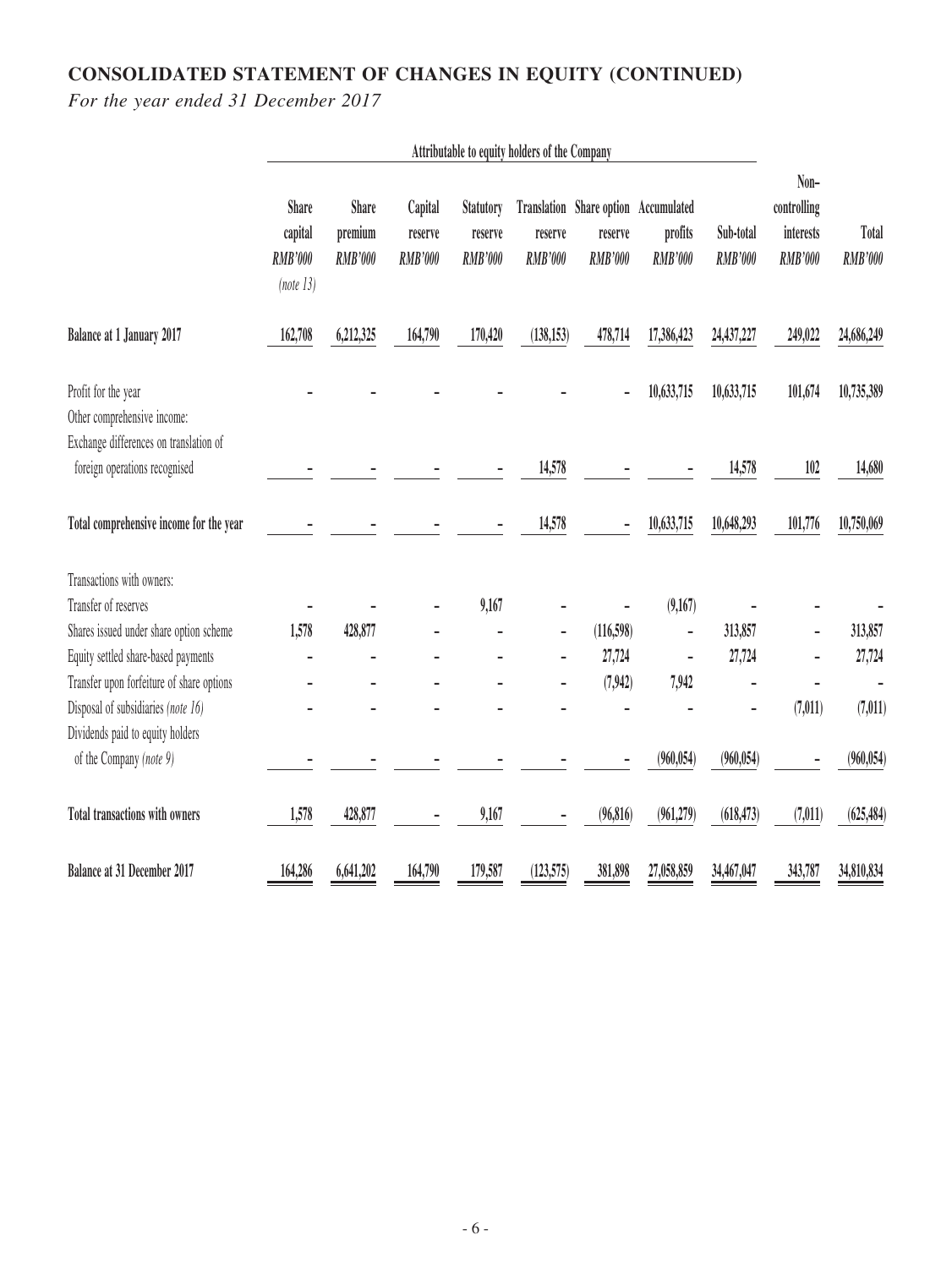## **CONSOLIDATED STATEMENT OF CHANGES IN EQUITY (CONTINUED)**

|                                                                         | Attributable to equity holders of the Company          |                                           |                                      |                                        |                           |                                                       |                                          |                             |                                                    |                         |
|-------------------------------------------------------------------------|--------------------------------------------------------|-------------------------------------------|--------------------------------------|----------------------------------------|---------------------------|-------------------------------------------------------|------------------------------------------|-----------------------------|----------------------------------------------------|-------------------------|
|                                                                         | <b>Share</b><br>capital<br><b>RMB'000</b><br>(note 13) | <b>Share</b><br>premium<br><b>RMB'000</b> | Capital<br>reserve<br><b>RMB'000</b> | Statutory<br>reserve<br><b>RMB'000</b> | reserve<br><b>RMB'000</b> | Translation Share option<br>reserve<br><b>RMB'000</b> | Accumulated<br>profits<br><b>RMB'000</b> | Sub-total<br><b>RMB'000</b> | Non-<br>controlling<br>interests<br><b>RMB'000</b> | Total<br><b>RMB'000</b> |
| Balance at 1 January 2017                                               | 162,708                                                | 6,212,325                                 | 164,790                              | 170,420                                | (138, 153)                | 478,714                                               | 17,386,423                               | 24,437,227                  | 249,022                                            | 24,686,249              |
| Profit for the year<br>Other comprehensive income:                      |                                                        |                                           |                                      |                                        |                           |                                                       | 10,633,715                               | 10,633,715                  | 101,674                                            | 10,735,389              |
| Exchange differences on translation of<br>foreign operations recognised |                                                        |                                           |                                      |                                        | 14,578                    |                                                       |                                          | 14,578                      | 102                                                | 14,680                  |
| Total comprehensive income for the year                                 |                                                        |                                           |                                      |                                        | 14,578                    |                                                       | 10,633,715                               | 10,648,293                  | 101,776                                            | 10,750,069              |
| Transactions with owners:                                               |                                                        |                                           |                                      |                                        |                           |                                                       |                                          |                             |                                                    |                         |
| Transfer of reserves                                                    |                                                        |                                           |                                      | 9,167                                  |                           |                                                       | (9,167)                                  |                             |                                                    |                         |
| Shares issued under share option scheme                                 | 1,578                                                  | 428,877                                   |                                      |                                        |                           | (116,598)                                             |                                          | 313,857                     |                                                    | 313,857                 |
| Equity settled share-based payments                                     |                                                        |                                           |                                      |                                        |                           | 27,724                                                |                                          | 27,724                      |                                                    | 27,724                  |
| Transfer upon forfeiture of share options                               |                                                        |                                           |                                      |                                        |                           | (7,942)                                               | 7,942                                    |                             |                                                    |                         |
| Disposal of subsidiaries (note 16)                                      |                                                        |                                           |                                      |                                        |                           |                                                       |                                          |                             | (7, 011)                                           | (7, 011)                |
| Dividends paid to equity holders                                        |                                                        |                                           |                                      |                                        |                           |                                                       |                                          |                             |                                                    |                         |
| of the Company (note 9)                                                 |                                                        |                                           |                                      |                                        |                           |                                                       | (960, 054)                               | (960, 054)                  |                                                    | (960, 054)              |
| Total transactions with owners                                          | 1,578                                                  | 428,877                                   |                                      | 9,167                                  |                           | (96, 816)                                             | (961,279)                                | (618, 473)                  | (7, 011)                                           | (625, 484)              |
| Balance at 31 December 2017                                             | 164,286                                                | 6,641,202                                 | 164,790                              | 179,587                                | (123, 575)                | 381,898                                               | 27,058,859                               | 34,467,047                  | 343,787                                            | 34,810,834              |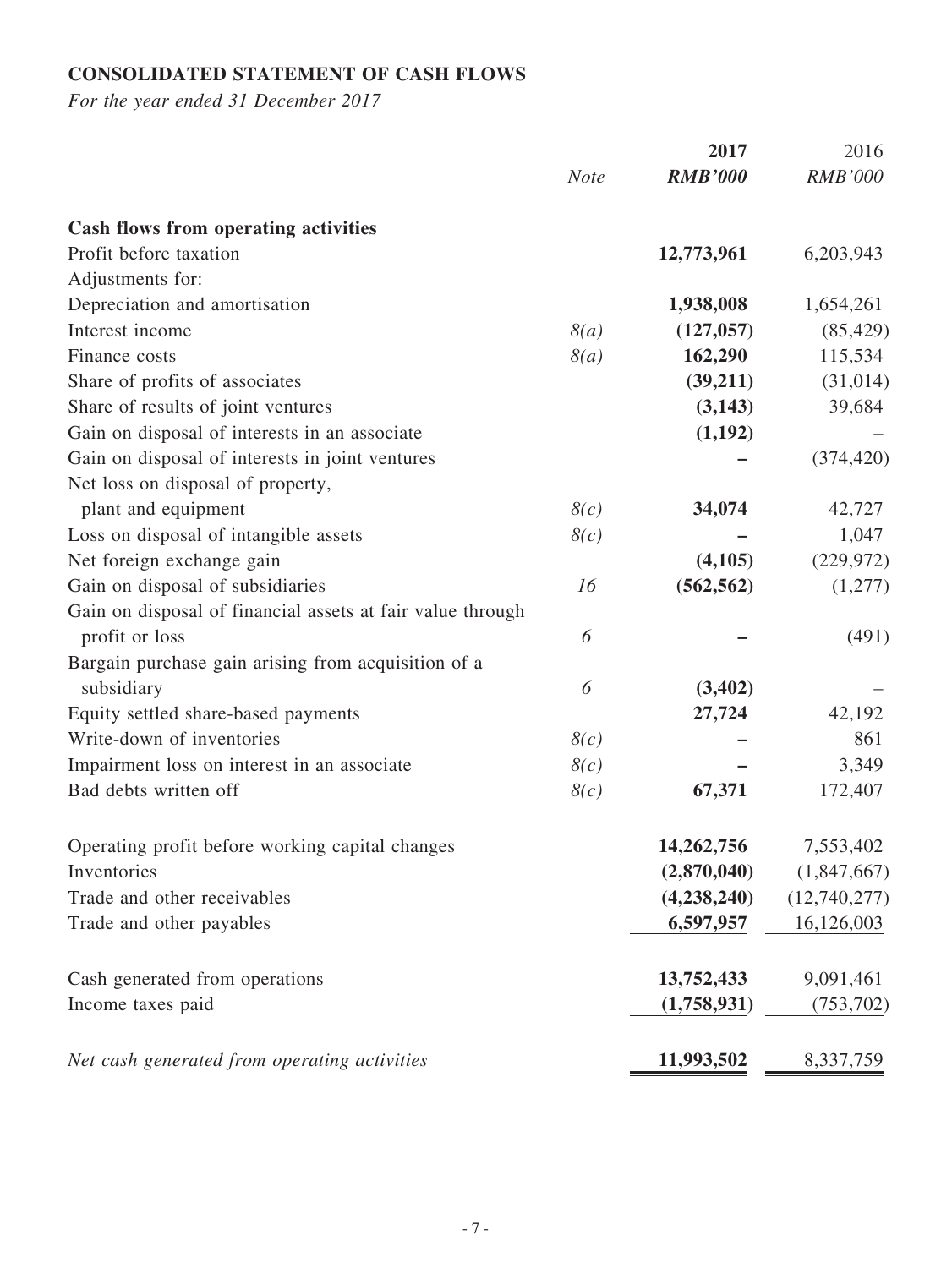## **CONSOLIDATED STATEMENT OF CASH FLOWS**

|                                                            |             | 2017           | 2016           |
|------------------------------------------------------------|-------------|----------------|----------------|
|                                                            | <b>Note</b> | <b>RMB'000</b> | <b>RMB'000</b> |
| <b>Cash flows from operating activities</b>                |             |                |                |
| Profit before taxation                                     |             | 12,773,961     | 6,203,943      |
| Adjustments for:                                           |             |                |                |
| Depreciation and amortisation                              |             | 1,938,008      | 1,654,261      |
| Interest income                                            | 8(a)        | (127, 057)     | (85, 429)      |
| Finance costs                                              | 8(a)        | 162,290        | 115,534        |
| Share of profits of associates                             |             | (39,211)       | (31, 014)      |
| Share of results of joint ventures                         |             | (3,143)        | 39,684         |
| Gain on disposal of interests in an associate              |             | (1,192)        |                |
| Gain on disposal of interests in joint ventures            |             |                | (374, 420)     |
| Net loss on disposal of property,                          |             |                |                |
| plant and equipment                                        | 8(c)        | 34,074         | 42,727         |
| Loss on disposal of intangible assets                      | 8(c)        |                | 1,047          |
| Net foreign exchange gain                                  |             | (4,105)        | (229, 972)     |
| Gain on disposal of subsidiaries                           | 16          | (562, 562)     | (1,277)        |
| Gain on disposal of financial assets at fair value through |             |                |                |
| profit or loss                                             | 6           |                | (491)          |
| Bargain purchase gain arising from acquisition of a        |             |                |                |
| subsidiary                                                 | 6           | (3,402)        |                |
| Equity settled share-based payments                        |             | 27,724         | 42,192         |
| Write-down of inventories                                  | 8(c)        |                | 861            |
| Impairment loss on interest in an associate                | 8(c)        |                | 3,349          |
| Bad debts written off                                      | 8(c)        | 67,371         | 172,407        |
| Operating profit before working capital changes            |             | 14,262,756     | 7,553,402      |
| Inventories                                                |             | (2,870,040)    | (1,847,667)    |
| Trade and other receivables                                |             | (4, 238, 240)  | (12,740,277)   |
| Trade and other payables                                   |             | 6,597,957      | 16,126,003     |
| Cash generated from operations                             |             | 13,752,433     | 9,091,461      |
| Income taxes paid                                          |             | (1,758,931)    | (753, 702)     |
|                                                            |             |                |                |
| Net cash generated from operating activities               |             | 11,993,502     | 8,337,759      |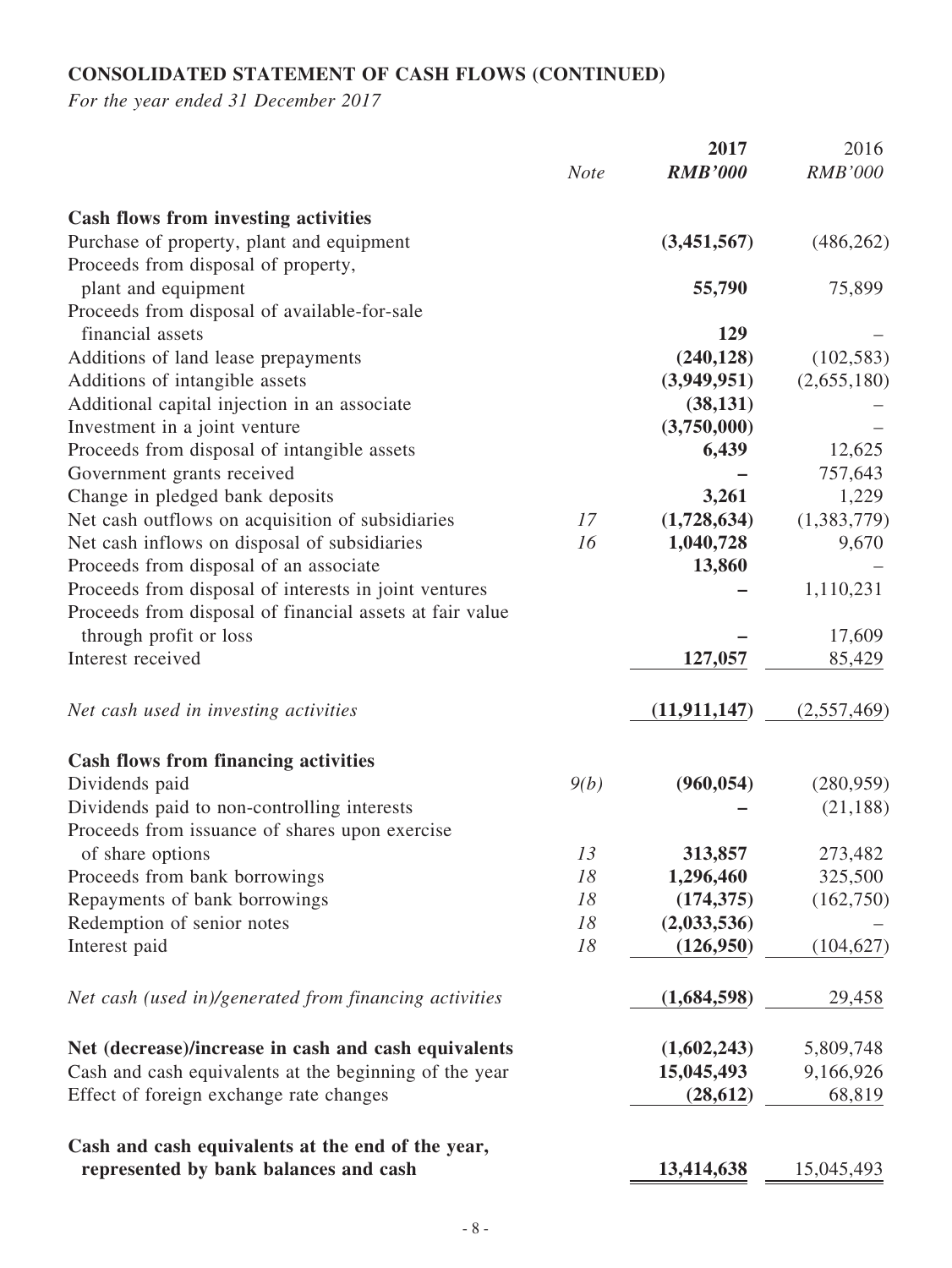## **CONSOLIDATED STATEMENT OF CASH FLOWS (CONTINUED)**

|                                                                                          | <b>Note</b> | 2017<br><b>RMB'000</b> | 2016<br><b>RMB'000</b> |
|------------------------------------------------------------------------------------------|-------------|------------------------|------------------------|
|                                                                                          |             |                        |                        |
| <b>Cash flows from investing activities</b><br>Purchase of property, plant and equipment |             | (3,451,567)            | (486, 262)             |
| Proceeds from disposal of property,                                                      |             |                        |                        |
| plant and equipment                                                                      |             | 55,790                 | 75,899                 |
| Proceeds from disposal of available-for-sale                                             |             |                        |                        |
| financial assets                                                                         |             | 129                    |                        |
| Additions of land lease prepayments                                                      |             | (240, 128)             | (102, 583)             |
| Additions of intangible assets                                                           |             | (3,949,951)            | (2,655,180)            |
| Additional capital injection in an associate                                             |             | (38, 131)              |                        |
| Investment in a joint venture                                                            |             | (3,750,000)            |                        |
| Proceeds from disposal of intangible assets                                              |             | 6,439                  | 12,625                 |
| Government grants received                                                               |             |                        | 757,643                |
| Change in pledged bank deposits                                                          |             | 3,261                  | 1,229                  |
| Net cash outflows on acquisition of subsidiaries                                         | 17          | (1,728,634)            | (1,383,779)            |
| Net cash inflows on disposal of subsidiaries                                             | 16          | 1,040,728              | 9,670                  |
| Proceeds from disposal of an associate                                                   |             | 13,860                 |                        |
| Proceeds from disposal of interests in joint ventures                                    |             |                        | 1,110,231              |
| Proceeds from disposal of financial assets at fair value                                 |             |                        |                        |
| through profit or loss                                                                   |             |                        | 17,609                 |
| Interest received                                                                        |             | 127,057                | 85,429                 |
| Net cash used in investing activities                                                    |             | (11, 911, 147)         | (2,557,469)            |
| <b>Cash flows from financing activities</b>                                              |             |                        |                        |
| Dividends paid                                                                           | 9(b)        | (960, 054)             | (280, 959)             |
| Dividends paid to non-controlling interests                                              |             |                        | (21, 188)              |
| Proceeds from issuance of shares upon exercise                                           |             |                        |                        |
| of share options                                                                         | 13          | 313,857                | 273,482                |
| Proceeds from bank borrowings                                                            | 18          | 1,296,460              | 325,500                |
| Repayments of bank borrowings                                                            | 18          | (174, 375)             | (162,750)              |
| Redemption of senior notes                                                               | 18          | (2,033,536)            |                        |
| Interest paid                                                                            | 18          | (126,950)              | (104, 627)             |
| Net cash (used in)/generated from financing activities                                   |             | (1,684,598)            | 29,458                 |
| Net (decrease)/increase in cash and cash equivalents                                     |             | (1,602,243)            | 5,809,748              |
| Cash and cash equivalents at the beginning of the year                                   |             | 15,045,493             | 9,166,926              |
| Effect of foreign exchange rate changes                                                  |             | (28, 612)              | 68,819                 |
| Cash and cash equivalents at the end of the year,                                        |             |                        |                        |
| represented by bank balances and cash                                                    |             | 13,414,638             | 15,045,493             |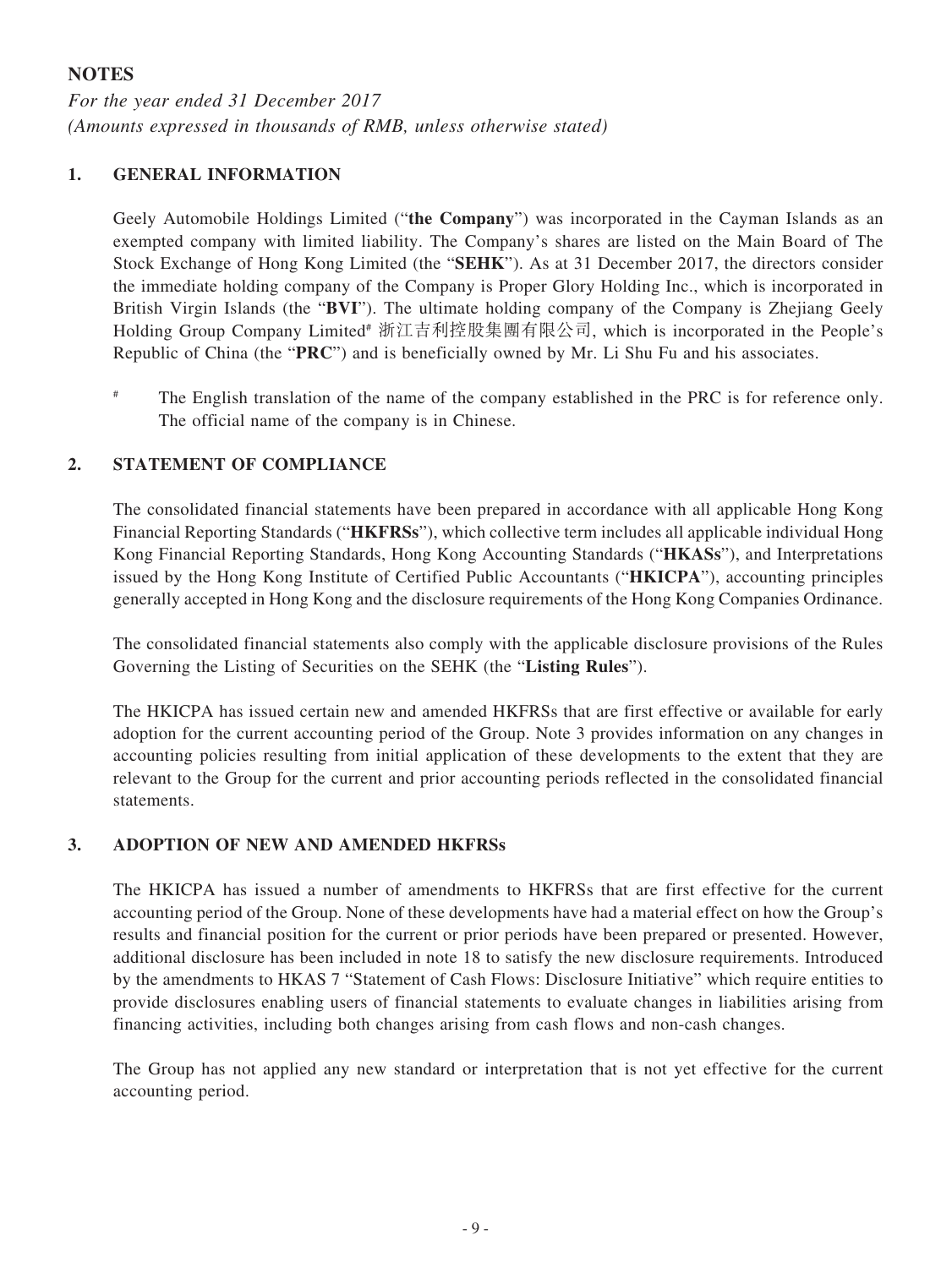### **NOTES**

*For the year ended 31 December 2017 (Amounts expressed in thousands of RMB, unless otherwise stated)*

### **1. GENERAL INFORMATION**

Geely Automobile Holdings Limited ("**the Company**") was incorporated in the Cayman Islands as an exempted company with limited liability. The Company's shares are listed on the Main Board of The Stock Exchange of Hong Kong Limited (the "**SEHK**"). As at 31 December 2017, the directors consider the immediate holding company of the Company is Proper Glory Holding Inc., which is incorporated in British Virgin Islands (the "**BVI**"). The ultimate holding company of the Company is Zhejiang Geely Holding Group Company Limited# 浙江吉利控股集團有限公司, which is incorporated in the People's Republic of China (the "**PRC**") and is beneficially owned by Mr. Li Shu Fu and his associates.

The English translation of the name of the company established in the PRC is for reference only. The official name of the company is in Chinese.

### **2. STATEMENT OF COMPLIANCE**

The consolidated financial statements have been prepared in accordance with all applicable Hong Kong Financial Reporting Standards ("**HKFRSs**"), which collective term includes all applicable individual Hong Kong Financial Reporting Standards, Hong Kong Accounting Standards ("**HKASs**"), and Interpretations issued by the Hong Kong Institute of Certified Public Accountants ("**HKICPA**"), accounting principles generally accepted in Hong Kong and the disclosure requirements of the Hong Kong Companies Ordinance.

The consolidated financial statements also comply with the applicable disclosure provisions of the Rules Governing the Listing of Securities on the SEHK (the "**Listing Rules**").

The HKICPA has issued certain new and amended HKFRSs that are first effective or available for early adoption for the current accounting period of the Group. Note 3 provides information on any changes in accounting policies resulting from initial application of these developments to the extent that they are relevant to the Group for the current and prior accounting periods reflected in the consolidated financial statements.

### **3. ADOPTION OF NEW AND AMENDED HKFRSs**

The HKICPA has issued a number of amendments to HKFRSs that are first effective for the current accounting period of the Group. None of these developments have had a material effect on how the Group's results and financial position for the current or prior periods have been prepared or presented. However, additional disclosure has been included in note 18 to satisfy the new disclosure requirements. Introduced by the amendments to HKAS 7 "Statement of Cash Flows: Disclosure Initiative" which require entities to provide disclosures enabling users of financial statements to evaluate changes in liabilities arising from financing activities, including both changes arising from cash flows and non-cash changes.

The Group has not applied any new standard or interpretation that is not yet effective for the current accounting period.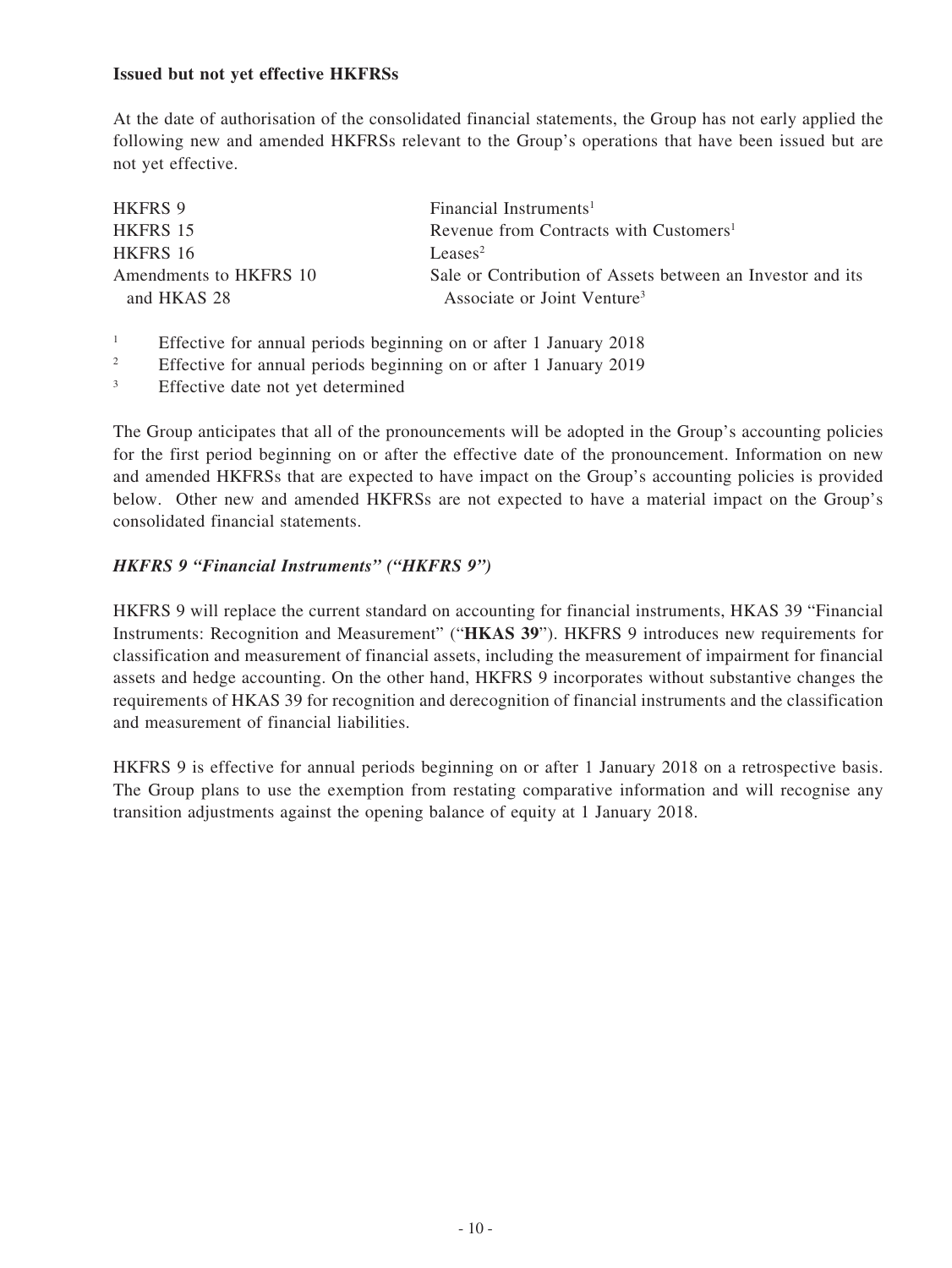### **Issued but not yet effective HKFRSs**

At the date of authorisation of the consolidated financial statements, the Group has not early applied the following new and amended HKFRSs relevant to the Group's operations that have been issued but are not yet effective.

| <b>HKFRS 9</b>                        | Financial Instruments <sup>1</sup>                                                                    |
|---------------------------------------|-------------------------------------------------------------------------------------------------------|
| <b>HKFRS 15</b>                       | Revenue from Contracts with Customers <sup>1</sup>                                                    |
| HKFRS 16                              | Leases <sup>2</sup>                                                                                   |
| Amendments to HKFRS 10<br>and HKAS 28 | Sale or Contribution of Assets between an Investor and its<br>Associate or Joint Venture <sup>3</sup> |

- <sup>1</sup> Effective for annual periods beginning on or after 1 January 2018
- <sup>2</sup> Effective for annual periods beginning on or after 1 January 2019
- <sup>3</sup> Effective date not yet determined

The Group anticipates that all of the pronouncements will be adopted in the Group's accounting policies for the first period beginning on or after the effective date of the pronouncement. Information on new and amended HKFRSs that are expected to have impact on the Group's accounting policies is provided below. Other new and amended HKFRSs are not expected to have a material impact on the Group's consolidated financial statements.

### *HKFRS 9 "Financial Instruments" ("HKFRS 9")*

HKFRS 9 will replace the current standard on accounting for financial instruments, HKAS 39 "Financial Instruments: Recognition and Measurement" ("**HKAS 39**"). HKFRS 9 introduces new requirements for classification and measurement of financial assets, including the measurement of impairment for financial assets and hedge accounting. On the other hand, HKFRS 9 incorporates without substantive changes the requirements of HKAS 39 for recognition and derecognition of financial instruments and the classification and measurement of financial liabilities.

HKFRS 9 is effective for annual periods beginning on or after 1 January 2018 on a retrospective basis. The Group plans to use the exemption from restating comparative information and will recognise any transition adjustments against the opening balance of equity at 1 January 2018.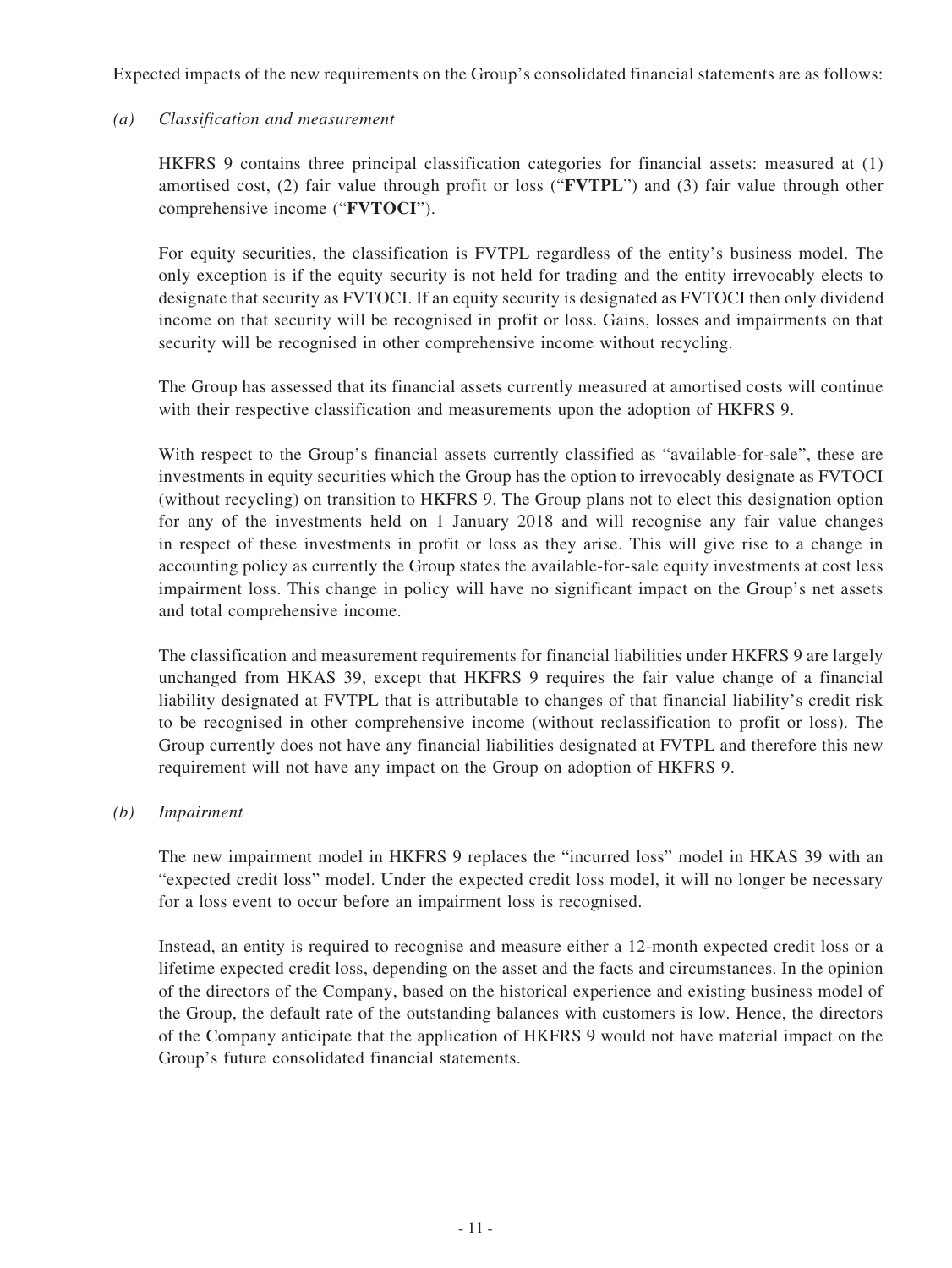Expected impacts of the new requirements on the Group's consolidated financial statements are as follows:

### *(a) Classification and measurement*

HKFRS 9 contains three principal classification categories for financial assets: measured at (1) amortised cost, (2) fair value through profit or loss ("**FVTPL**") and (3) fair value through other comprehensive income ("**FVTOCI**").

For equity securities, the classification is FVTPL regardless of the entity's business model. The only exception is if the equity security is not held for trading and the entity irrevocably elects to designate that security as FVTOCI. If an equity security is designated as FVTOCI then only dividend income on that security will be recognised in profit or loss. Gains, losses and impairments on that security will be recognised in other comprehensive income without recycling.

The Group has assessed that its financial assets currently measured at amortised costs will continue with their respective classification and measurements upon the adoption of HKFRS 9.

With respect to the Group's financial assets currently classified as "available-for-sale", these are investments in equity securities which the Group has the option to irrevocably designate as FVTOCI (without recycling) on transition to HKFRS 9. The Group plans not to elect this designation option for any of the investments held on 1 January 2018 and will recognise any fair value changes in respect of these investments in profit or loss as they arise. This will give rise to a change in accounting policy as currently the Group states the available-for-sale equity investments at cost less impairment loss. This change in policy will have no significant impact on the Group's net assets and total comprehensive income.

The classification and measurement requirements for financial liabilities under HKFRS 9 are largely unchanged from HKAS 39, except that HKFRS 9 requires the fair value change of a financial liability designated at FVTPL that is attributable to changes of that financial liability's credit risk to be recognised in other comprehensive income (without reclassification to profit or loss). The Group currently does not have any financial liabilities designated at FVTPL and therefore this new requirement will not have any impact on the Group on adoption of HKFRS 9.

#### *(b) Impairment*

The new impairment model in HKFRS 9 replaces the "incurred loss" model in HKAS 39 with an "expected credit loss" model. Under the expected credit loss model, it will no longer be necessary for a loss event to occur before an impairment loss is recognised.

Instead, an entity is required to recognise and measure either a 12-month expected credit loss or a lifetime expected credit loss, depending on the asset and the facts and circumstances. In the opinion of the directors of the Company, based on the historical experience and existing business model of the Group, the default rate of the outstanding balances with customers is low. Hence, the directors of the Company anticipate that the application of HKFRS 9 would not have material impact on the Group's future consolidated financial statements.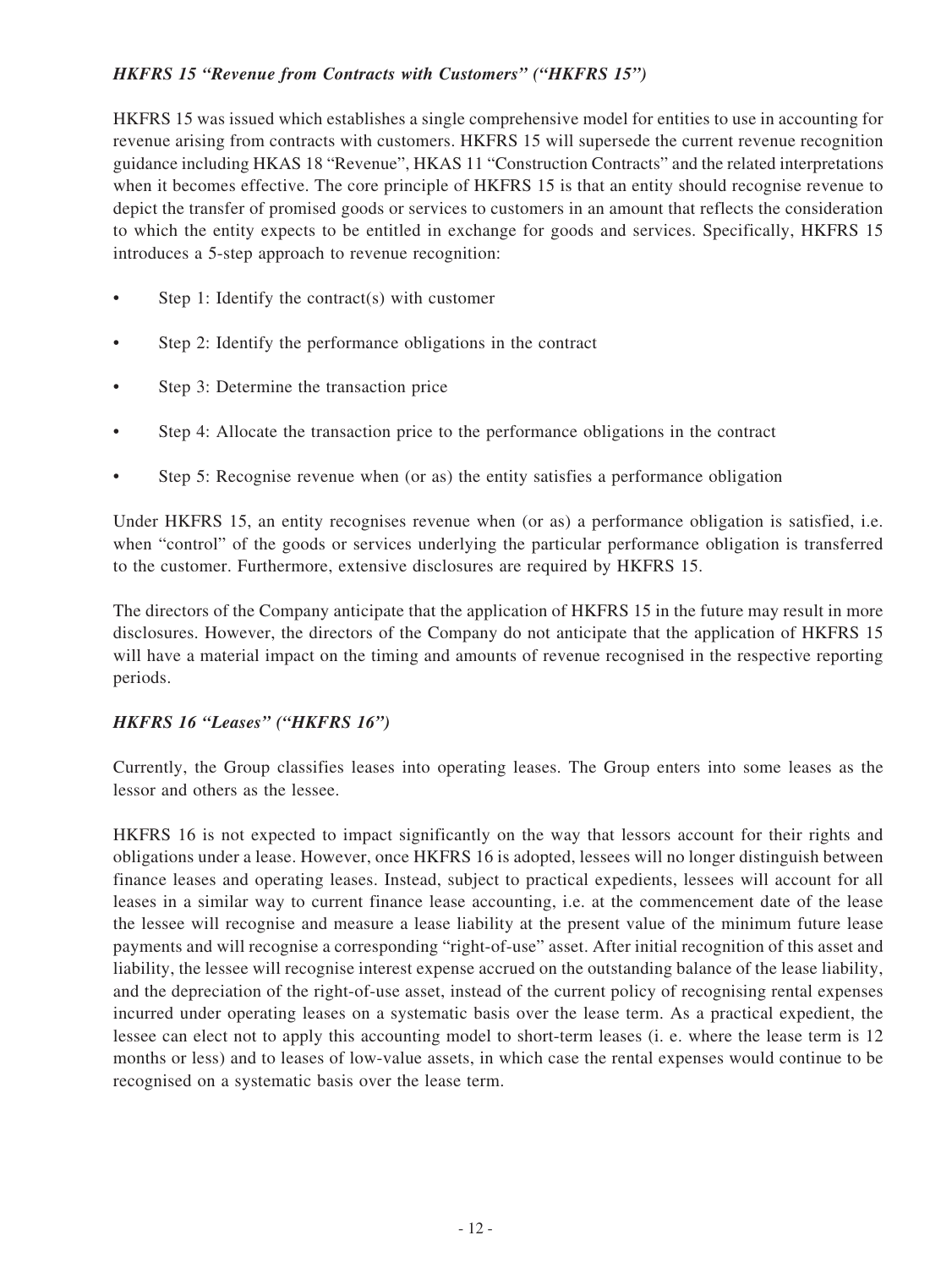### *HKFRS 15 "Revenue from Contracts with Customers" ("HKFRS 15")*

HKFRS 15 was issued which establishes a single comprehensive model for entities to use in accounting for revenue arising from contracts with customers. HKFRS 15 will supersede the current revenue recognition guidance including HKAS 18 "Revenue", HKAS 11 "Construction Contracts" and the related interpretations when it becomes effective. The core principle of HKFRS 15 is that an entity should recognise revenue to depict the transfer of promised goods or services to customers in an amount that reflects the consideration to which the entity expects to be entitled in exchange for goods and services. Specifically, HKFRS 15 introduces a 5-step approach to revenue recognition:

- Step 1: Identify the contract(s) with customer
- Step 2: Identify the performance obligations in the contract
- Step 3: Determine the transaction price
- Step 4: Allocate the transaction price to the performance obligations in the contract
- Step 5: Recognise revenue when (or as) the entity satisfies a performance obligation

Under HKFRS 15, an entity recognises revenue when (or as) a performance obligation is satisfied, i.e. when "control" of the goods or services underlying the particular performance obligation is transferred to the customer. Furthermore, extensive disclosures are required by HKFRS 15.

The directors of the Company anticipate that the application of HKFRS 15 in the future may result in more disclosures. However, the directors of the Company do not anticipate that the application of HKFRS 15 will have a material impact on the timing and amounts of revenue recognised in the respective reporting periods.

### *HKFRS 16 "Leases" ("HKFRS 16")*

Currently, the Group classifies leases into operating leases. The Group enters into some leases as the lessor and others as the lessee.

HKFRS 16 is not expected to impact significantly on the way that lessors account for their rights and obligations under a lease. However, once HKFRS 16 is adopted, lessees will no longer distinguish between finance leases and operating leases. Instead, subject to practical expedients, lessees will account for all leases in a similar way to current finance lease accounting, i.e. at the commencement date of the lease the lessee will recognise and measure a lease liability at the present value of the minimum future lease payments and will recognise a corresponding "right-of-use" asset. After initial recognition of this asset and liability, the lessee will recognise interest expense accrued on the outstanding balance of the lease liability, and the depreciation of the right-of-use asset, instead of the current policy of recognising rental expenses incurred under operating leases on a systematic basis over the lease term. As a practical expedient, the lessee can elect not to apply this accounting model to short-term leases (i. e. where the lease term is 12 months or less) and to leases of low-value assets, in which case the rental expenses would continue to be recognised on a systematic basis over the lease term.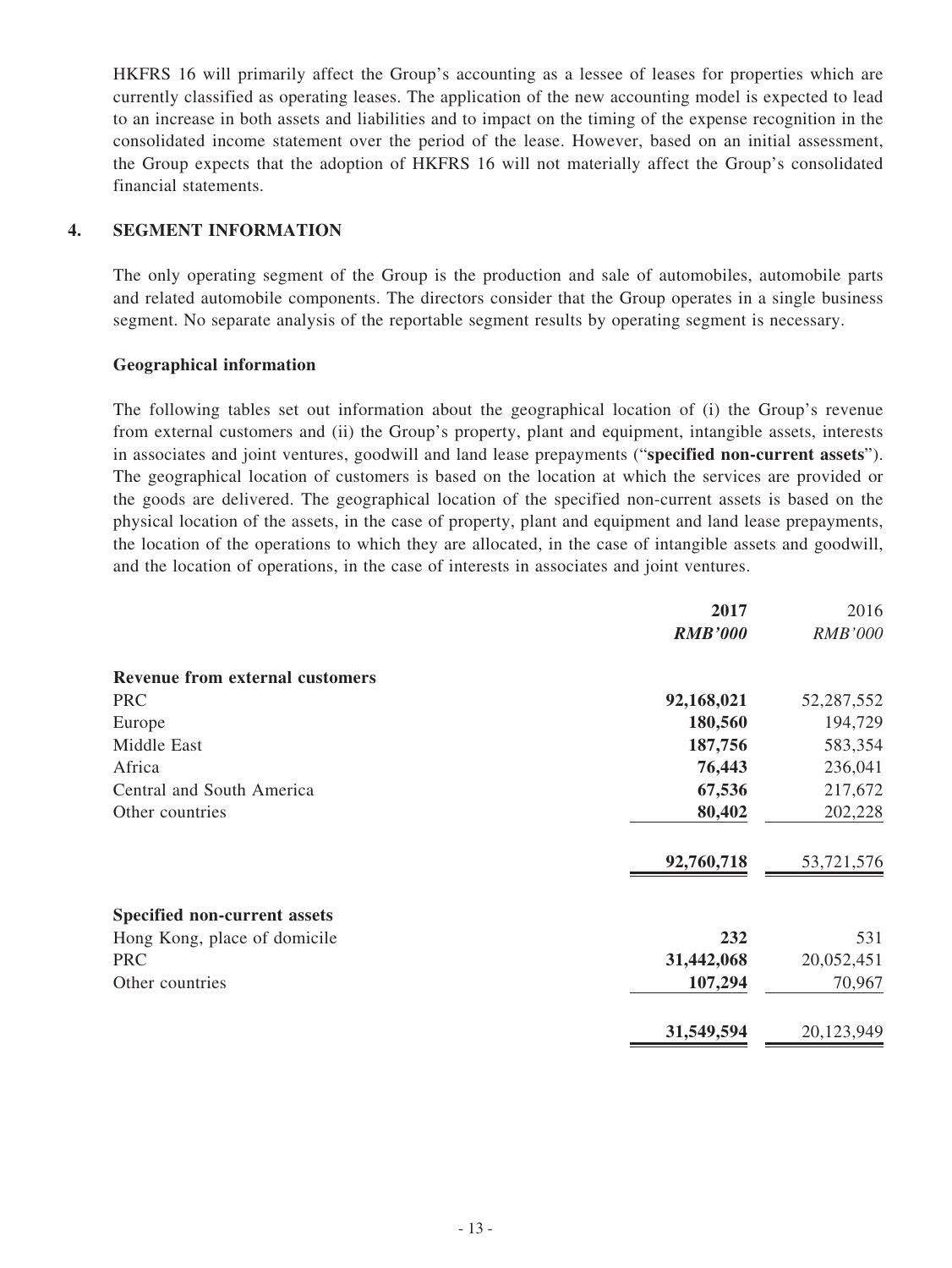HKFRS 16 will primarily affect the Group's accounting as a lessee of leases for properties which are currently classified as operating leases. The application of the new accounting model is expected to lead to an increase in both assets and liabilities and to impact on the timing of the expense recognition in the consolidated income statement over the period of the lease. However, based on an initial assessment, the Group expects that the adoption of HKFRS 16 will not materially affect the Group's consolidated financial statements.

### **4. SEGMENT INFORMATION**

The only operating segment of the Group is the production and sale of automobiles, automobile parts and related automobile components. The directors consider that the Group operates in a single business segment. No separate analysis of the reportable segment results by operating segment is necessary.

### **Geographical information**

The following tables set out information about the geographical location of (i) the Group's revenue from external customers and (ii) the Group's property, plant and equipment, intangible assets, interests in associates and joint ventures, goodwill and land lease prepayments ("**specified non-current assets**"). The geographical location of customers is based on the location at which the services are provided or the goods are delivered. The geographical location of the specified non-current assets is based on the physical location of the assets, in the case of property, plant and equipment and land lease prepayments, the location of the operations to which they are allocated, in the case of intangible assets and goodwill, and the location of operations, in the case of interests in associates and joint ventures.

|                                        | 2017           | 2016           |
|----------------------------------------|----------------|----------------|
|                                        | <b>RMB'000</b> | <b>RMB'000</b> |
| <b>Revenue from external customers</b> |                |                |
| <b>PRC</b>                             | 92,168,021     | 52,287,552     |
| Europe                                 | 180,560        | 194,729        |
| Middle East                            | 187,756        | 583,354        |
| Africa                                 | 76,443         | 236,041        |
| Central and South America              | 67,536         | 217,672        |
| Other countries                        | 80,402         | 202,228        |
|                                        | 92,760,718     | 53,721,576     |
| <b>Specified non-current assets</b>    |                |                |
| Hong Kong, place of domicile           | 232            | 531            |
| <b>PRC</b>                             | 31,442,068     | 20,052,451     |
| Other countries                        | 107,294        | 70,967         |
|                                        | 31,549,594     | 20,123,949     |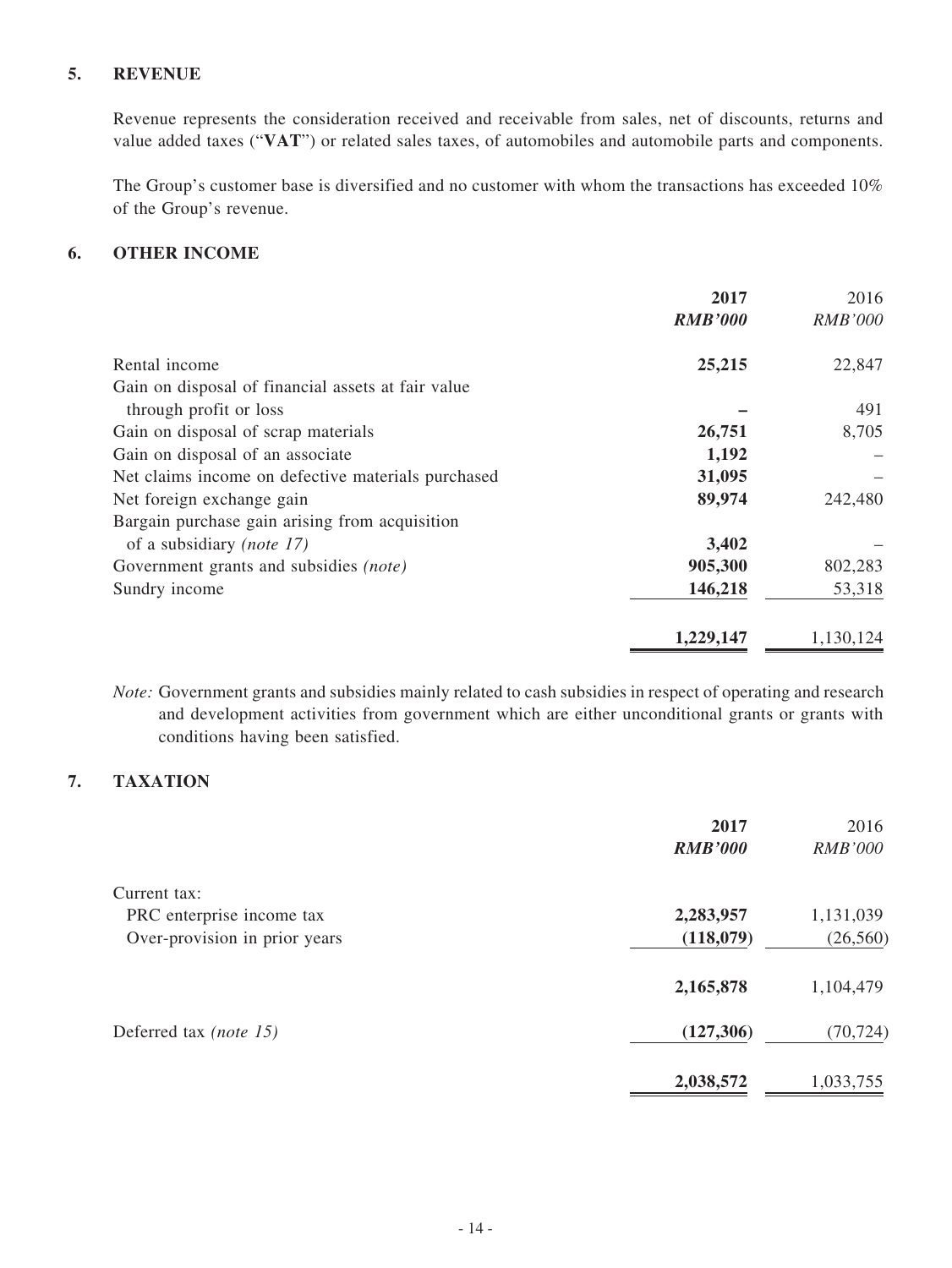### **5. REVENUE**

Revenue represents the consideration received and receivable from sales, net of discounts, returns and value added taxes ("**VAT**") or related sales taxes, of automobiles and automobile parts and components.

The Group's customer base is diversified and no customer with whom the transactions has exceeded 10% of the Group's revenue.

### **6. OTHER INCOME**

|                                                    | 2017           | 2016           |
|----------------------------------------------------|----------------|----------------|
|                                                    | <b>RMB'000</b> | <b>RMB'000</b> |
| Rental income                                      | 25,215         | 22,847         |
| Gain on disposal of financial assets at fair value |                |                |
| through profit or loss                             |                | 491            |
| Gain on disposal of scrap materials                | 26,751         | 8,705          |
| Gain on disposal of an associate                   | 1,192          |                |
| Net claims income on defective materials purchased | 31,095         |                |
| Net foreign exchange gain                          | 89,974         | 242,480        |
| Bargain purchase gain arising from acquisition     |                |                |
| of a subsidiary ( <i>note 17</i> )                 | 3,402          |                |
| Government grants and subsidies (note)             | 905,300        | 802,283        |
| Sundry income                                      | 146,218        | 53,318         |
|                                                    | 1,229,147      | 1,130,124      |

*Note:* Government grants and subsidies mainly related to cash subsidies in respect of operating and research and development activities from government which are either unconditional grants or grants with conditions having been satisfied.

### **7. TAXATION**

|                               | 2017           | 2016           |
|-------------------------------|----------------|----------------|
|                               | <b>RMB'000</b> | <b>RMB'000</b> |
| Current tax:                  |                |                |
| PRC enterprise income tax     | 2,283,957      | 1,131,039      |
| Over-provision in prior years | (118,079)      | (26, 560)      |
|                               | 2,165,878      | 1,104,479      |
| Deferred tax (note 15)        | (127, 306)     | (70, 724)      |
|                               | 2,038,572      | 1,033,755      |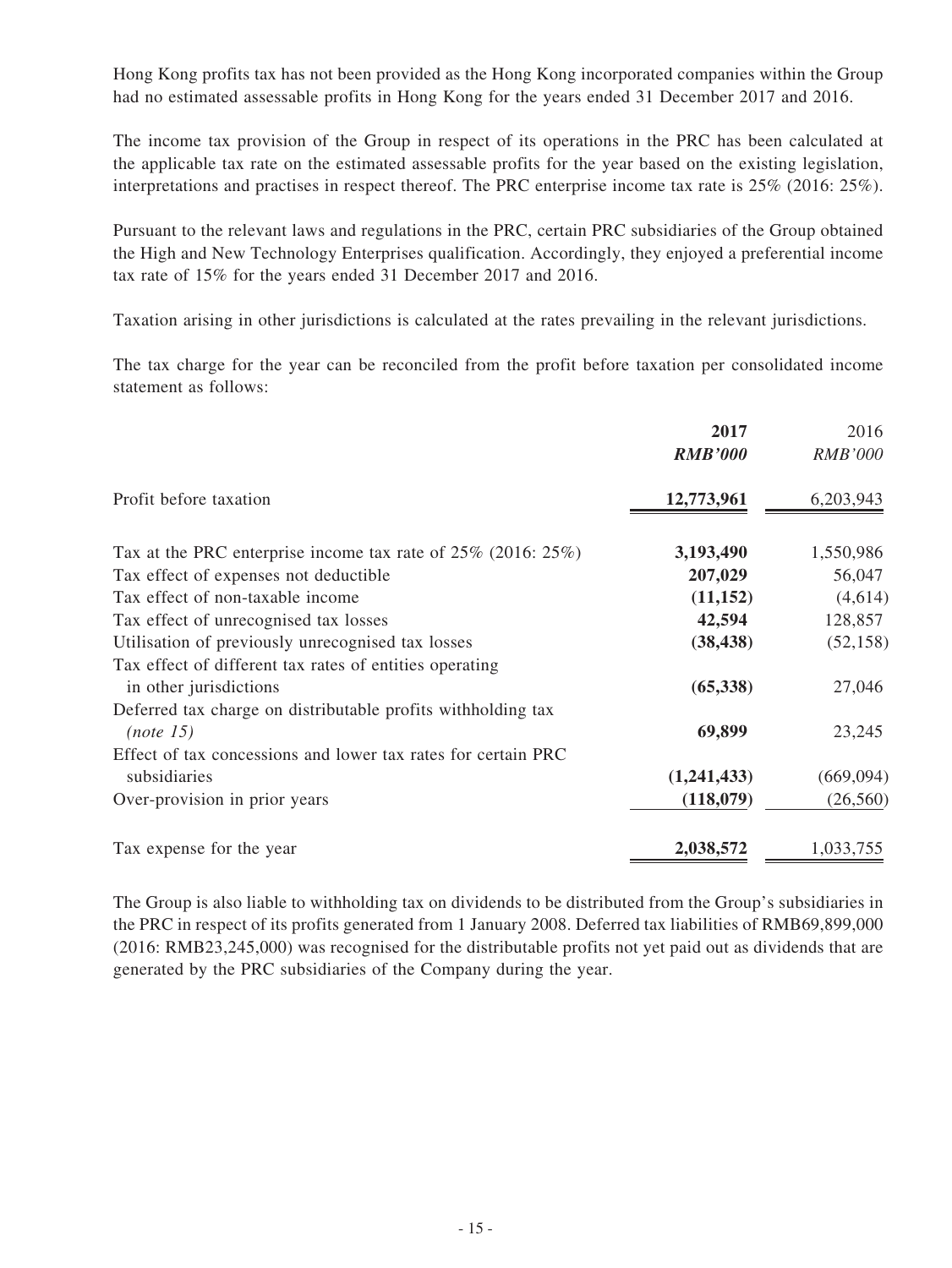Hong Kong profits tax has not been provided as the Hong Kong incorporated companies within the Group had no estimated assessable profits in Hong Kong for the years ended 31 December 2017 and 2016.

The income tax provision of the Group in respect of its operations in the PRC has been calculated at the applicable tax rate on the estimated assessable profits for the year based on the existing legislation, interpretations and practises in respect thereof. The PRC enterprise income tax rate is 25% (2016: 25%).

Pursuant to the relevant laws and regulations in the PRC, certain PRC subsidiaries of the Group obtained the High and New Technology Enterprises qualification. Accordingly, they enjoyed a preferential income tax rate of 15% for the years ended 31 December 2017 and 2016.

Taxation arising in other jurisdictions is calculated at the rates prevailing in the relevant jurisdictions.

The tax charge for the year can be reconciled from the profit before taxation per consolidated income statement as follows:

|                                                                     | 2017           | 2016           |
|---------------------------------------------------------------------|----------------|----------------|
|                                                                     | <b>RMB'000</b> | <b>RMB'000</b> |
| Profit before taxation                                              | 12,773,961     | 6,203,943      |
| Tax at the PRC enterprise income tax rate of $25\%$ (2016: $25\%$ ) | 3,193,490      | 1,550,986      |
| Tax effect of expenses not deductible                               | 207,029        | 56,047         |
| Tax effect of non-taxable income                                    | (11, 152)      | (4,614)        |
| Tax effect of unrecognised tax losses                               | 42,594         | 128,857        |
| Utilisation of previously unrecognised tax losses                   | (38, 438)      | (52, 158)      |
| Tax effect of different tax rates of entities operating             |                |                |
| in other jurisdictions                                              | (65,338)       | 27,046         |
| Deferred tax charge on distributable profits withholding tax        |                |                |
| (note 15)                                                           | 69,899         | 23,245         |
| Effect of tax concessions and lower tax rates for certain PRC       |                |                |
| subsidiaries                                                        | (1,241,433)    | (669, 094)     |
| Over-provision in prior years                                       | (118,079)      | (26, 560)      |
| Tax expense for the year                                            | 2,038,572      | 1,033,755      |

The Group is also liable to withholding tax on dividends to be distributed from the Group's subsidiaries in the PRC in respect of its profits generated from 1 January 2008. Deferred tax liabilities of RMB69,899,000 (2016: RMB23,245,000) was recognised for the distributable profits not yet paid out as dividends that are generated by the PRC subsidiaries of the Company during the year.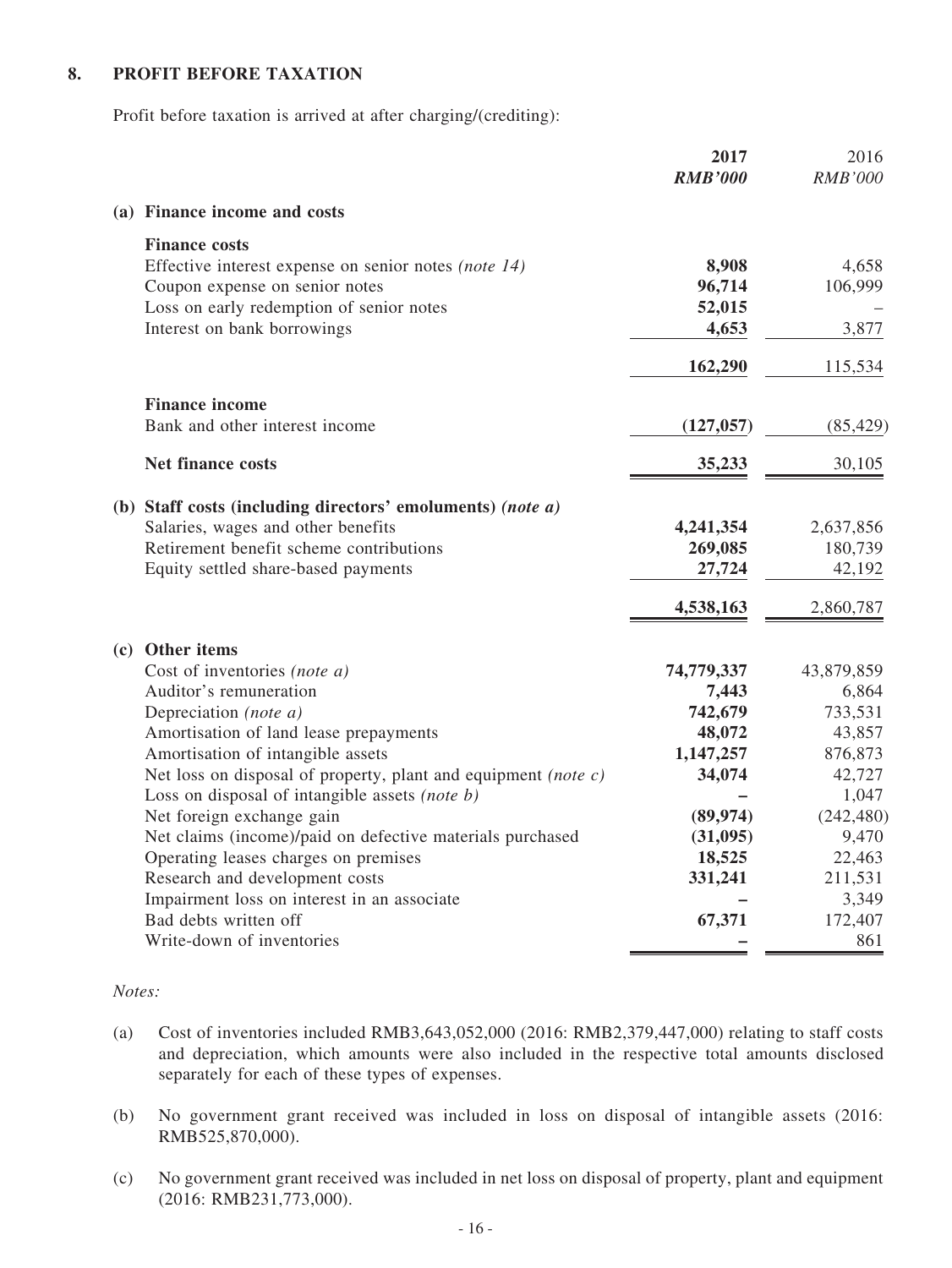### **8. PROFIT BEFORE TAXATION**

Profit before taxation is arrived at after charging/(crediting):

|                                                                   | 2017<br><b>RMB'000</b> | 2016<br><b>RMB'000</b> |
|-------------------------------------------------------------------|------------------------|------------------------|
| (a) Finance income and costs                                      |                        |                        |
| <b>Finance costs</b>                                              |                        |                        |
| Effective interest expense on senior notes (note 14)              | 8,908                  | 4,658                  |
| Coupon expense on senior notes                                    | 96,714                 | 106,999                |
| Loss on early redemption of senior notes                          | 52,015                 |                        |
| Interest on bank borrowings                                       | 4,653                  | 3,877                  |
|                                                                   | 162,290                | 115,534                |
| <b>Finance income</b>                                             |                        |                        |
| Bank and other interest income                                    | (127, 057)             | (85, 429)              |
| <b>Net finance costs</b>                                          | 35,233                 | 30,105                 |
| (b) Staff costs (including directors' emoluments) (note a)        |                        |                        |
| Salaries, wages and other benefits                                | 4,241,354              | 2,637,856              |
| Retirement benefit scheme contributions                           | 269,085                | 180,739                |
| Equity settled share-based payments                               | 27,724                 | 42,192                 |
|                                                                   | 4,538,163              | 2,860,787              |
| (c) Other items                                                   |                        |                        |
| Cost of inventories (note a)                                      | 74,779,337             | 43,879,859             |
| Auditor's remuneration                                            | 7,443                  | 6,864                  |
| Depreciation (note a)                                             | 742,679                | 733,531                |
| Amortisation of land lease prepayments                            | 48,072                 | 43,857                 |
| Amortisation of intangible assets                                 | 1,147,257              | 876,873                |
| Net loss on disposal of property, plant and equipment (note $c$ ) | 34,074                 | 42,727                 |
| Loss on disposal of intangible assets (note b)                    |                        | 1,047                  |
| Net foreign exchange gain                                         | (89, 974)              | (242, 480)             |
| Net claims (income)/paid on defective materials purchased         | (31,095)               | 9,470                  |
| Operating leases charges on premises                              | 18,525                 | 22,463                 |
| Research and development costs                                    | 331,241                | 211,531                |
| Impairment loss on interest in an associate                       |                        | 3,349                  |
| Bad debts written off                                             | 67,371                 | 172,407                |
| Write-down of inventories                                         |                        | 861                    |

#### *Notes:*

- (a) Cost of inventories included RMB3,643,052,000 (2016: RMB2,379,447,000) relating to staff costs and depreciation, which amounts were also included in the respective total amounts disclosed separately for each of these types of expenses.
- (b) No government grant received was included in loss on disposal of intangible assets (2016: RMB525,870,000).
- (c) No government grant received was included in net loss on disposal of property, plant and equipment (2016: RMB231,773,000).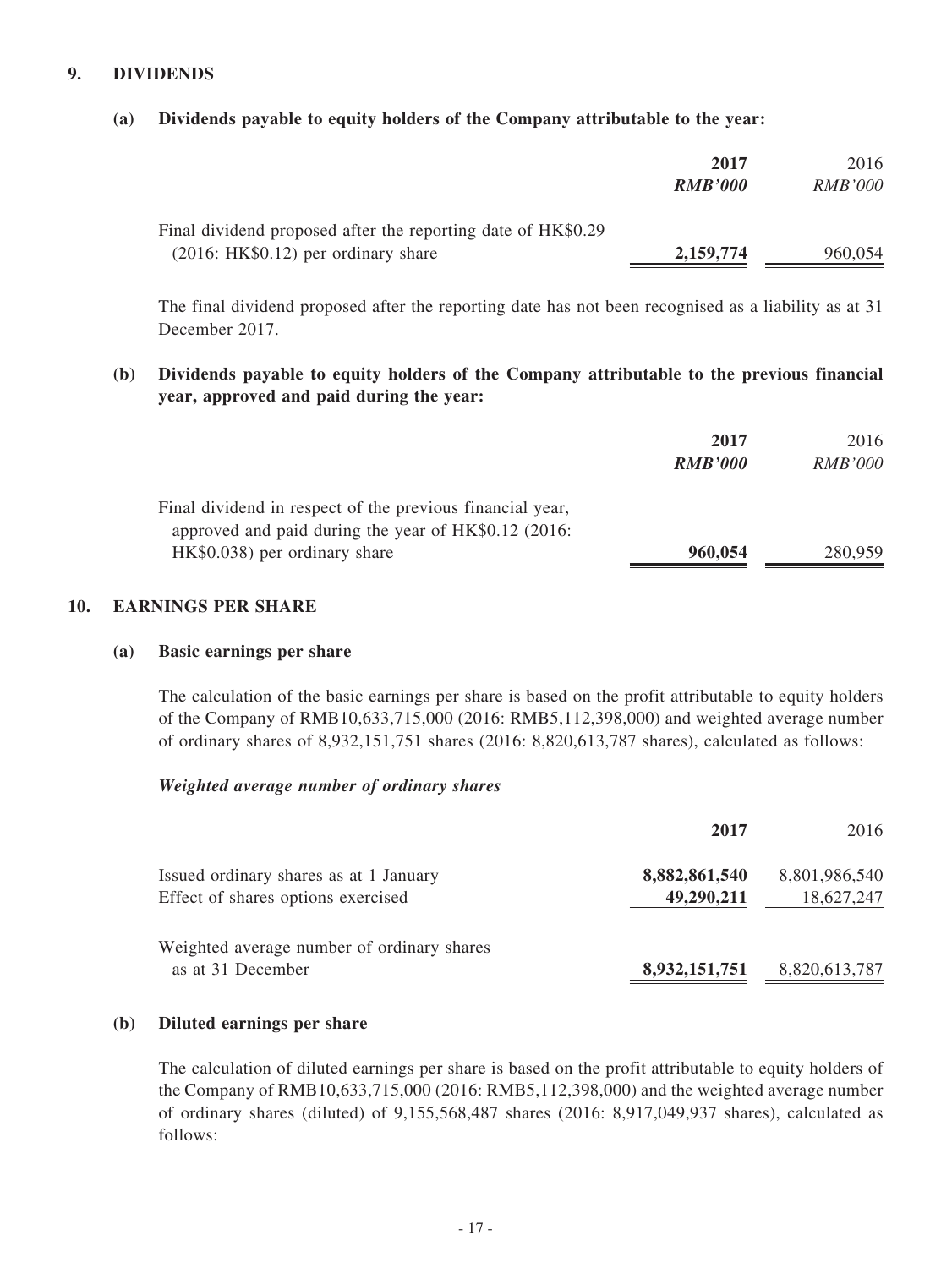### **9. DIVIDENDS**

#### **(a) Dividends payable to equity holders of the Company attributable to the year:**

|                                                                                                      | 2017<br><b>RMB'000</b> | 2016<br><i>RMB'000</i> |
|------------------------------------------------------------------------------------------------------|------------------------|------------------------|
| Final dividend proposed after the reporting date of HK\$0.29<br>$(2016: HK$0.12)$ per ordinary share | 2,159,774              | 960,054                |

The final dividend proposed after the reporting date has not been recognised as a liability as at 31 December 2017.

**(b) Dividends payable to equity holders of the Company attributable to the previous financial year, approved and paid during the year:**

|                                                           | 2017           | 2016           |
|-----------------------------------------------------------|----------------|----------------|
|                                                           | <b>RMB'000</b> | <i>RMB'000</i> |
| Final dividend in respect of the previous financial year, |                |                |
| approved and paid during the year of HK\$0.12 (2016:      |                |                |
| HK\$0.038) per ordinary share                             | 960,054        | 280,959        |

#### **10. EARNINGS PER SHARE**

#### **(a) Basic earnings per share**

The calculation of the basic earnings per share is based on the profit attributable to equity holders of the Company of RMB10,633,715,000 (2016: RMB5,112,398,000) and weighted average number of ordinary shares of 8,932,151,751 shares (2016: 8,820,613,787 shares), calculated as follows:

#### *Weighted average number of ordinary shares*

|                                                                              | 2017                        | 2016                        |
|------------------------------------------------------------------------------|-----------------------------|-----------------------------|
| Issued ordinary shares as at 1 January<br>Effect of shares options exercised | 8,882,861,540<br>49,290,211 | 8,801,986,540<br>18,627,247 |
| Weighted average number of ordinary shares<br>as at 31 December              | 8,932,151,751               | 8,820,613,787               |

#### **(b) Diluted earnings per share**

The calculation of diluted earnings per share is based on the profit attributable to equity holders of the Company of RMB10,633,715,000 (2016: RMB5,112,398,000) and the weighted average number of ordinary shares (diluted) of 9,155,568,487 shares (2016: 8,917,049,937 shares), calculated as follows: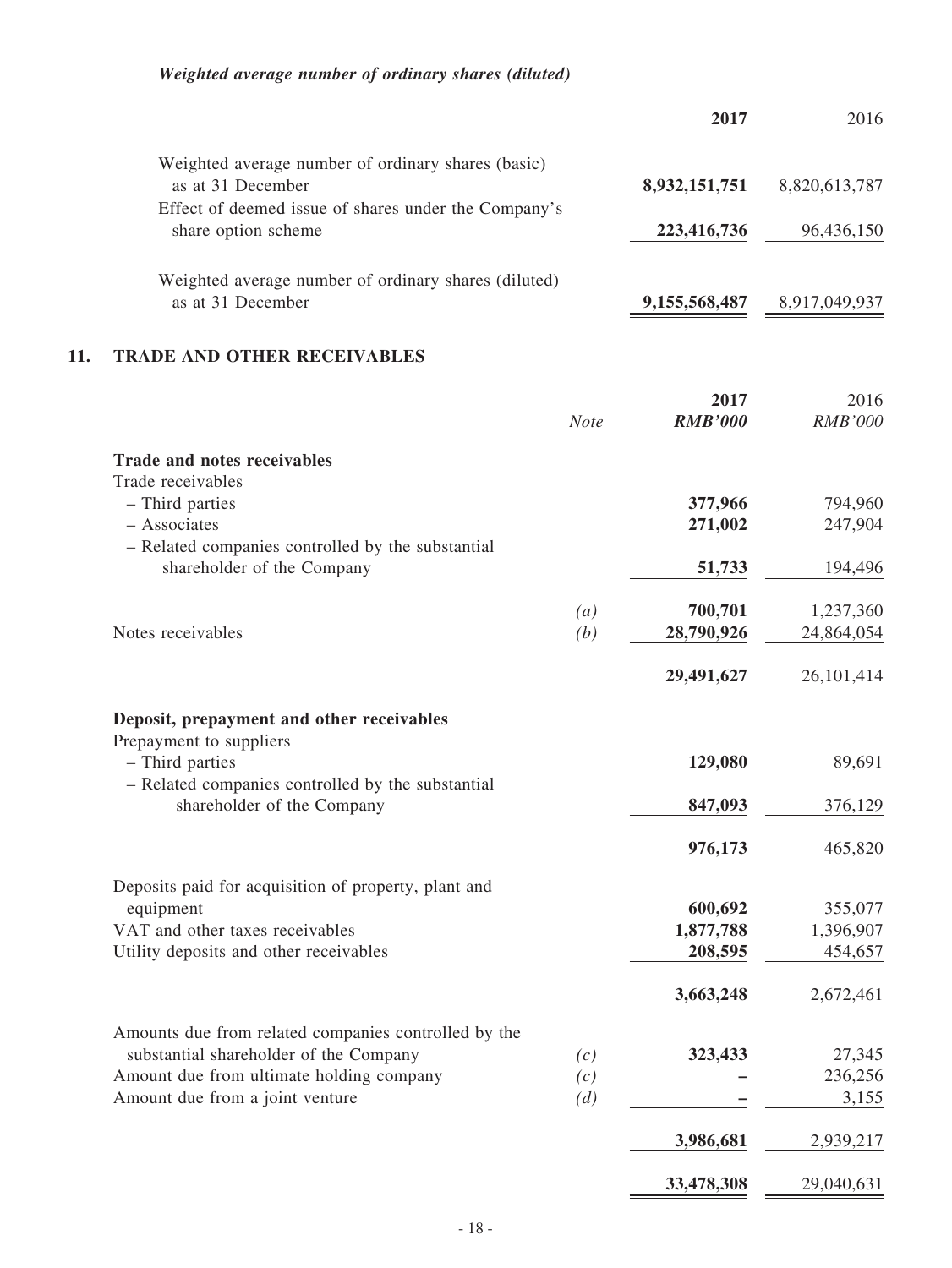## *Weighted average number of ordinary shares (diluted)*

|     |                                                                                    |             | 2017                 | 2016                 |
|-----|------------------------------------------------------------------------------------|-------------|----------------------|----------------------|
|     | Weighted average number of ordinary shares (basic)                                 |             |                      |                      |
|     | as at 31 December<br>Effect of deemed issue of shares under the Company's          |             | 8,932,151,751        | 8,820,613,787        |
|     | share option scheme                                                                |             | 223,416,736          | 96,436,150           |
|     | Weighted average number of ordinary shares (diluted)<br>as at 31 December          |             | 9, 155, 568, 487     | 8,917,049,937        |
| 11. | <b>TRADE AND OTHER RECEIVABLES</b>                                                 |             |                      |                      |
|     |                                                                                    |             | 2017                 | 2016                 |
|     |                                                                                    | <b>Note</b> | <b>RMB'000</b>       | RMB'000              |
|     | <b>Trade and notes receivables</b><br>Trade receivables                            |             |                      |                      |
|     | - Third parties                                                                    |             | 377,966              | 794,960              |
|     | - Associates                                                                       |             | 271,002              | 247,904              |
|     | - Related companies controlled by the substantial<br>shareholder of the Company    |             | 51,733               | 194,496              |
|     |                                                                                    | (a)         | 700,701              | 1,237,360            |
|     | Notes receivables                                                                  | (b)         | 28,790,926           | 24,864,054           |
|     |                                                                                    |             | 29,491,627           | 26, 101, 414         |
|     | Deposit, prepayment and other receivables<br>Prepayment to suppliers               |             |                      |                      |
|     | - Third parties<br>- Related companies controlled by the substantial               |             | 129,080              | 89,691               |
|     | shareholder of the Company                                                         |             | 847,093              | 376,129              |
|     |                                                                                    |             | 976,173              | 465,820              |
|     | Deposits paid for acquisition of property, plant and                               |             |                      |                      |
|     | equipment                                                                          |             | 600,692              | 355,077<br>1,396,907 |
|     | VAT and other taxes receivables<br>Utility deposits and other receivables          |             | 1,877,788<br>208,595 | 454,657              |
|     |                                                                                    |             |                      |                      |
|     |                                                                                    |             | 3,663,248            | 2,672,461            |
|     | Amounts due from related companies controlled by the                               |             |                      |                      |
|     | substantial shareholder of the Company<br>Amount due from ultimate holding company | (c)<br>(c)  | 323,433              | 27,345<br>236,256    |
|     | Amount due from a joint venture                                                    | (d)         |                      | 3,155                |
|     |                                                                                    |             |                      |                      |

- 18 -

**3,986,681** 2,939,217

**33,478,308** 29,040,631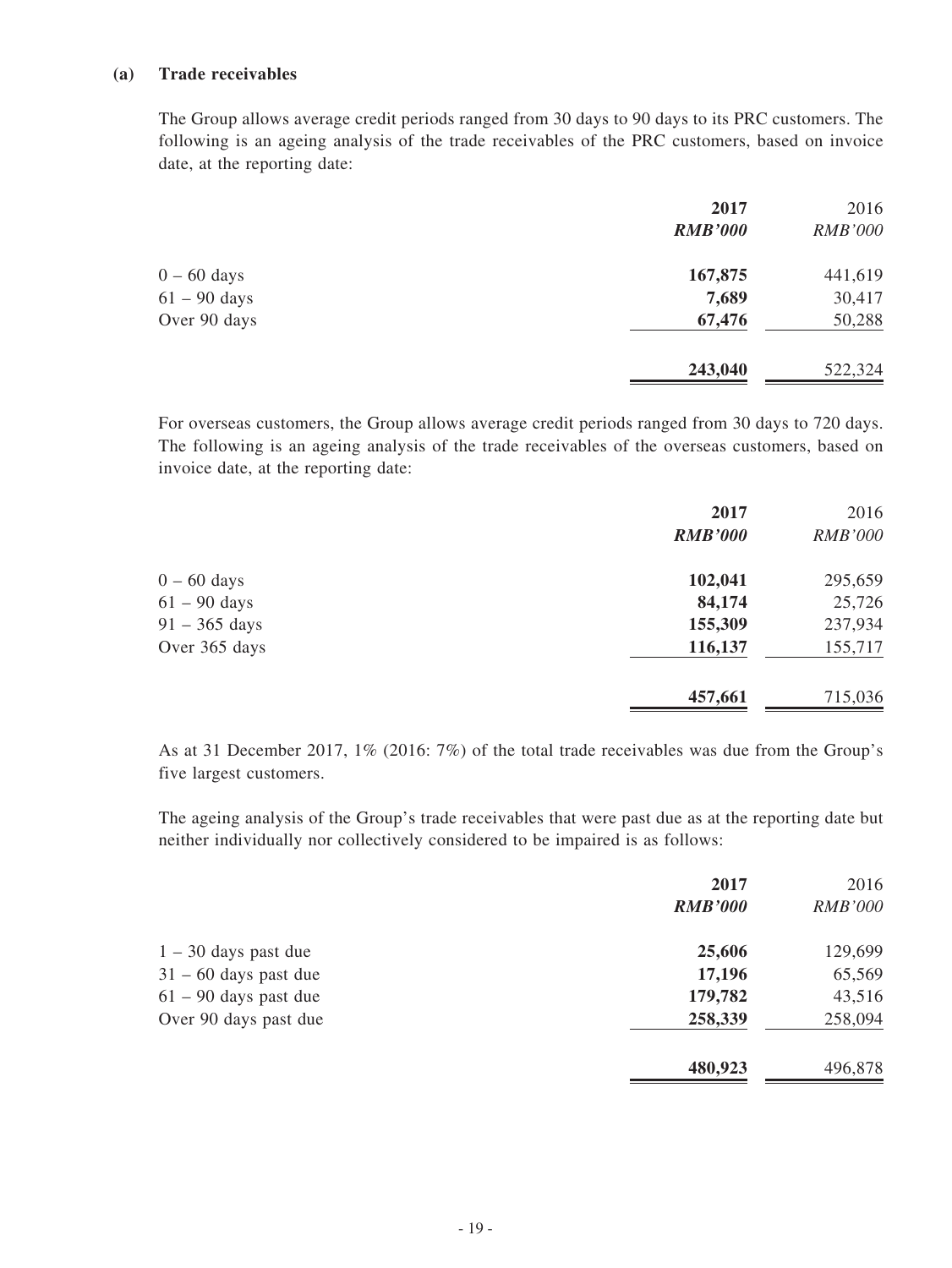#### **(a) Trade receivables**

The Group allows average credit periods ranged from 30 days to 90 days to its PRC customers. The following is an ageing analysis of the trade receivables of the PRC customers, based on invoice date, at the reporting date:

| 2017           | 2016           |
|----------------|----------------|
| <b>RMB'000</b> | <b>RMB'000</b> |
| 167,875        | 441,619        |
| 7,689          | 30,417         |
| 67,476         | 50,288         |
| 243,040        | 522,324        |
|                |                |

For overseas customers, the Group allows average credit periods ranged from 30 days to 720 days. The following is an ageing analysis of the trade receivables of the overseas customers, based on invoice date, at the reporting date:

|                 | 2017           | 2016           |
|-----------------|----------------|----------------|
|                 | <b>RMB'000</b> | <b>RMB'000</b> |
| $0 - 60$ days   | 102,041        | 295,659        |
| $61 - 90$ days  | 84,174         | 25,726         |
| $91 - 365$ days | 155,309        | 237,934        |
| Over 365 days   | 116,137        | 155,717        |
|                 | 457,661        | 715,036        |

As at 31 December 2017, 1% (2016: 7%) of the total trade receivables was due from the Group's five largest customers.

The ageing analysis of the Group's trade receivables that were past due as at the reporting date but neither individually nor collectively considered to be impaired is as follows:

|                         | 2017<br><b>RMB'000</b> | 2016<br><b>RMB'000</b> |
|-------------------------|------------------------|------------------------|
| $1 - 30$ days past due  | 25,606                 | 129,699                |
| $31 - 60$ days past due | 17,196                 | 65,569                 |
| $61 - 90$ days past due | 179,782                | 43,516                 |
| Over 90 days past due   | 258,339                | 258,094                |
|                         | 480,923                | 496,878                |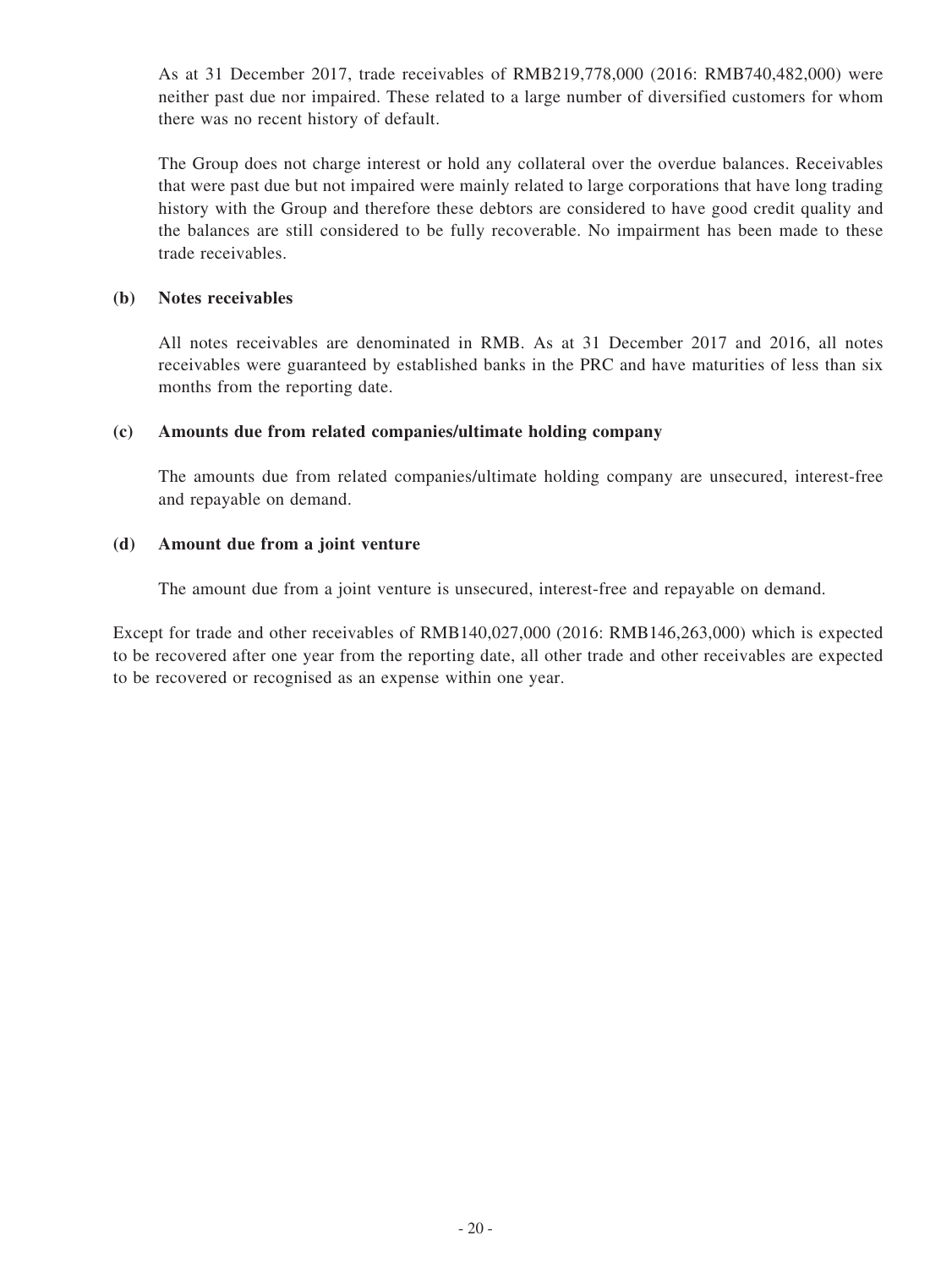As at 31 December 2017, trade receivables of RMB219,778,000 (2016: RMB740,482,000) were neither past due nor impaired. These related to a large number of diversified customers for whom there was no recent history of default.

The Group does not charge interest or hold any collateral over the overdue balances. Receivables that were past due but not impaired were mainly related to large corporations that have long trading history with the Group and therefore these debtors are considered to have good credit quality and the balances are still considered to be fully recoverable. No impairment has been made to these trade receivables.

#### **(b) Notes receivables**

All notes receivables are denominated in RMB. As at 31 December 2017 and 2016, all notes receivables were guaranteed by established banks in the PRC and have maturities of less than six months from the reporting date.

#### **(c) Amounts due from related companies/ultimate holding company**

The amounts due from related companies/ultimate holding company are unsecured, interest-free and repayable on demand.

#### **(d) Amount due from a joint venture**

The amount due from a joint venture is unsecured, interest-free and repayable on demand.

Except for trade and other receivables of RMB140,027,000 (2016: RMB146,263,000) which is expected to be recovered after one year from the reporting date, all other trade and other receivables are expected to be recovered or recognised as an expense within one year.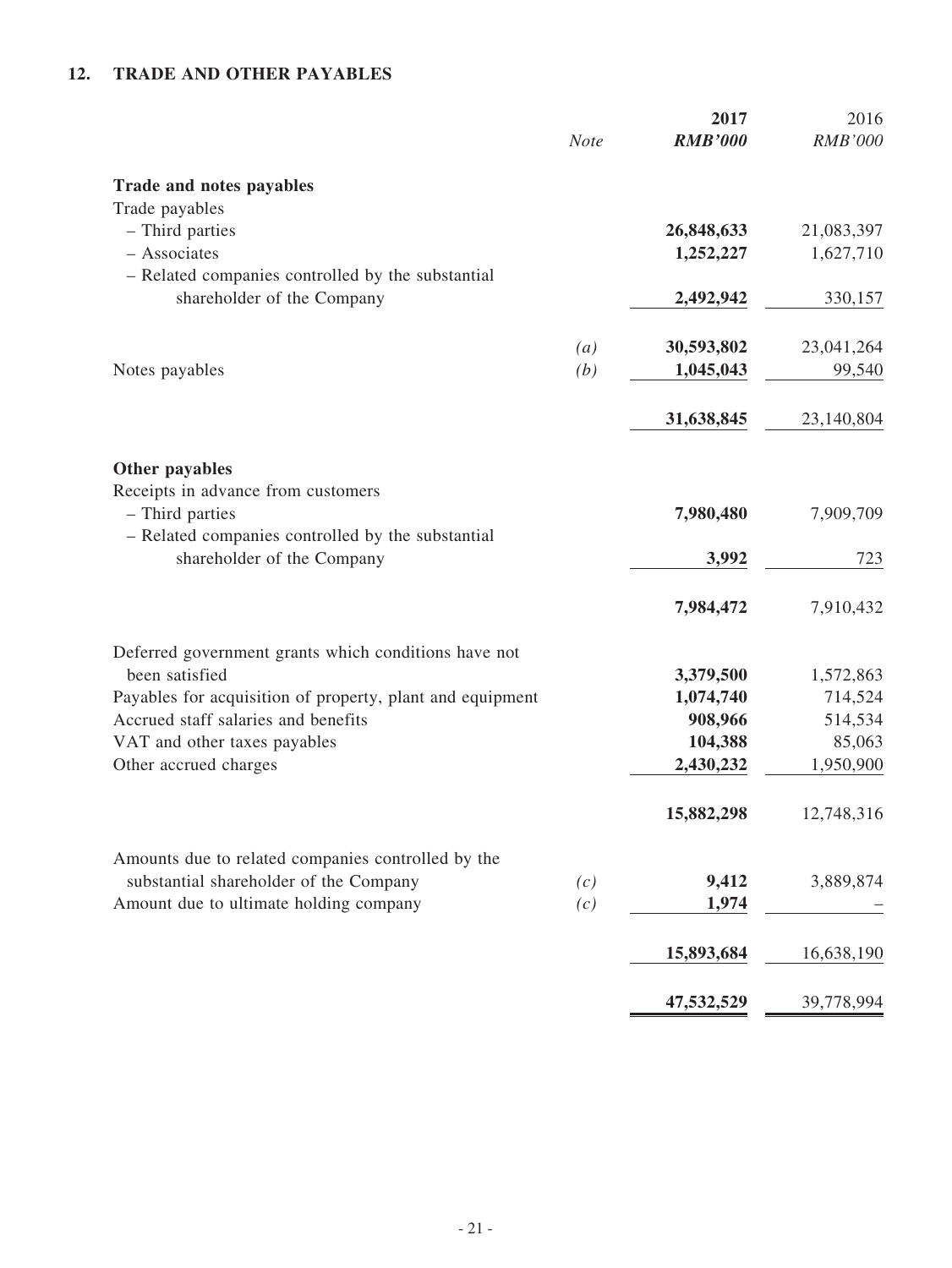### **12. TRADE AND OTHER PAYABLES**

|                                                           | <b>Note</b>       | 2017<br><b>RMB'000</b> | 2016<br><b>RMB'000</b> |
|-----------------------------------------------------------|-------------------|------------------------|------------------------|
| Trade and notes payables                                  |                   |                        |                        |
| Trade payables                                            |                   |                        |                        |
| - Third parties                                           |                   | 26,848,633             | 21,083,397             |
| - Associates                                              |                   | 1,252,227              | 1,627,710              |
| - Related companies controlled by the substantial         |                   |                        |                        |
| shareholder of the Company                                |                   | 2,492,942              | 330,157                |
|                                                           | $\left( a\right)$ | 30,593,802             | 23,041,264             |
| Notes payables                                            | (b)               | 1,045,043              | 99,540                 |
|                                                           |                   |                        |                        |
|                                                           |                   | 31,638,845             | 23,140,804             |
|                                                           |                   |                        |                        |
| Other payables                                            |                   |                        |                        |
| Receipts in advance from customers<br>- Third parties     |                   | 7,980,480              | 7,909,709              |
| - Related companies controlled by the substantial         |                   |                        |                        |
| shareholder of the Company                                |                   | 3,992                  | 723                    |
|                                                           |                   |                        |                        |
|                                                           |                   | 7,984,472              | 7,910,432              |
| Deferred government grants which conditions have not      |                   |                        |                        |
| been satisfied                                            |                   | 3,379,500              | 1,572,863              |
| Payables for acquisition of property, plant and equipment |                   | 1,074,740              | 714,524                |
| Accrued staff salaries and benefits                       |                   | 908,966                | 514,534                |
| VAT and other taxes payables                              |                   | 104,388                | 85,063                 |
| Other accrued charges                                     |                   | 2,430,232              | 1,950,900              |
|                                                           |                   | 15,882,298             | 12,748,316             |
| Amounts due to related companies controlled by the        |                   |                        |                        |
| substantial shareholder of the Company                    | (c)               | 9,412                  | 3,889,874              |
| Amount due to ultimate holding company                    | (c)               | 1,974                  |                        |
|                                                           |                   | 15,893,684             | 16,638,190             |
|                                                           |                   |                        |                        |
|                                                           |                   | 47,532,529             | 39,778,994             |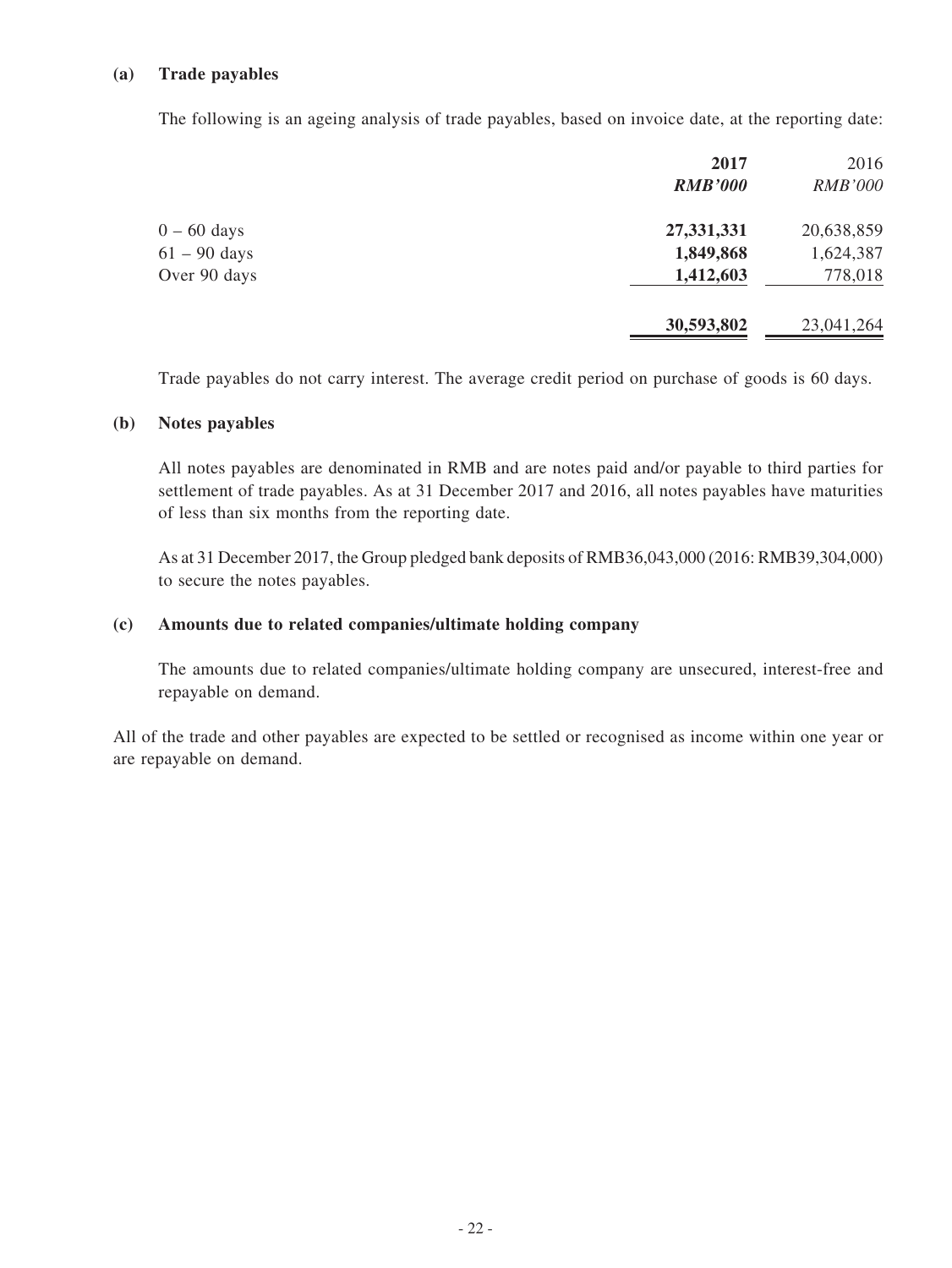### **(a) Trade payables**

The following is an ageing analysis of trade payables, based on invoice date, at the reporting date:

|                | 2017           | 2016           |
|----------------|----------------|----------------|
|                | <b>RMB'000</b> | <b>RMB'000</b> |
| $0 - 60$ days  | 27,331,331     | 20,638,859     |
| $61 - 90$ days | 1,849,868      | 1,624,387      |
| Over 90 days   | 1,412,603      | 778,018        |
|                | 30,593,802     | 23,041,264     |
|                |                |                |

Trade payables do not carry interest. The average credit period on purchase of goods is 60 days.

#### **(b) Notes payables**

All notes payables are denominated in RMB and are notes paid and/or payable to third parties for settlement of trade payables. As at 31 December 2017 and 2016, all notes payables have maturities of less than six months from the reporting date.

As at 31 December 2017, the Group pledged bank deposits of RMB36,043,000 (2016: RMB39,304,000) to secure the notes payables.

#### **(c) Amounts due to related companies/ultimate holding company**

The amounts due to related companies/ultimate holding company are unsecured, interest-free and repayable on demand.

All of the trade and other payables are expected to be settled or recognised as income within one year or are repayable on demand.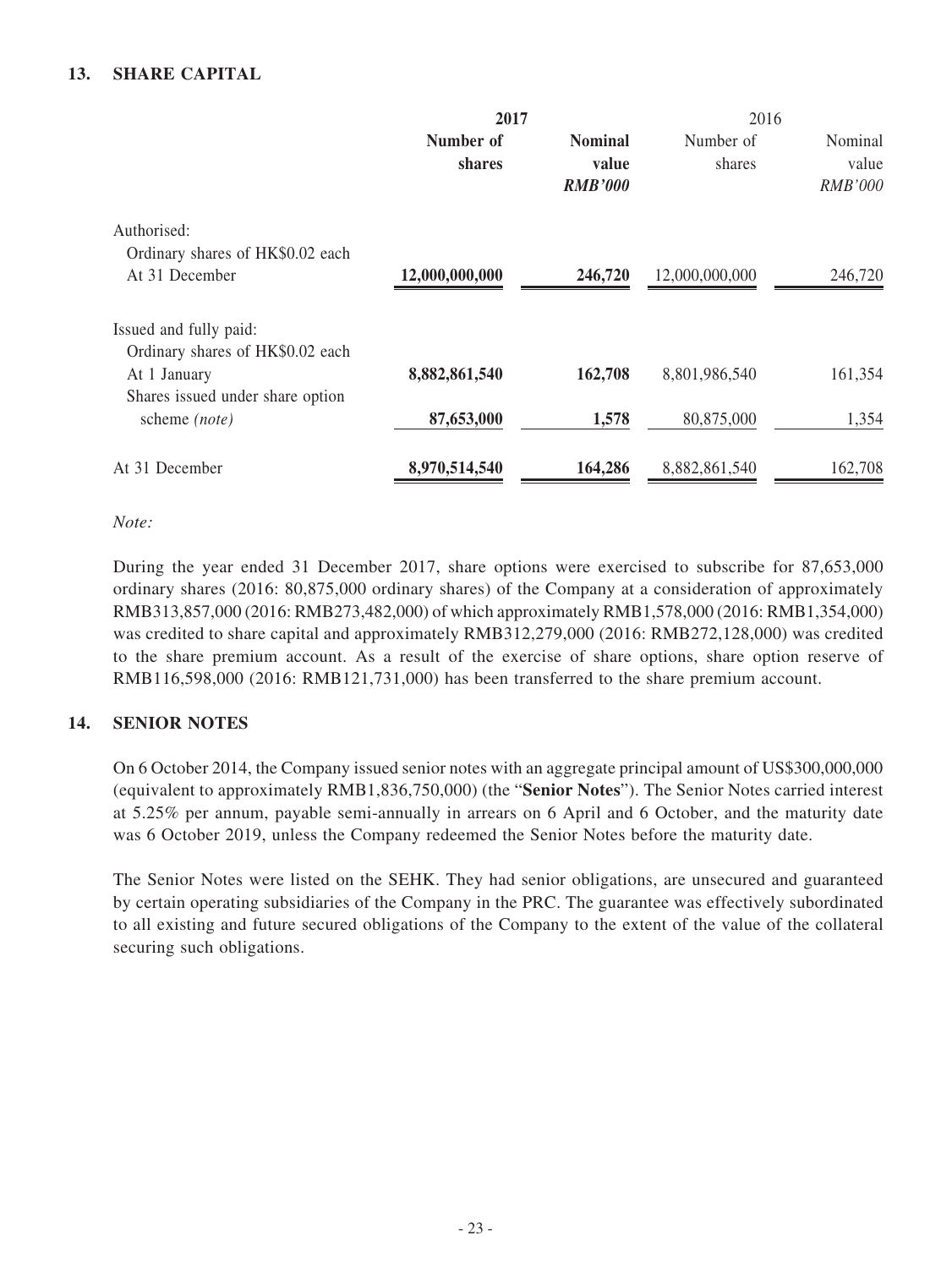### **13. SHARE CAPITAL**

|                                  | 2017           |                | 2016           |                |
|----------------------------------|----------------|----------------|----------------|----------------|
|                                  | Number of      | <b>Nominal</b> | Number of      | Nominal        |
|                                  | shares         | value          | shares         | value          |
|                                  |                | <b>RMB'000</b> |                | <b>RMB'000</b> |
| Authorised:                      |                |                |                |                |
| Ordinary shares of HK\$0.02 each |                |                |                |                |
| At 31 December                   | 12,000,000,000 | 246,720        | 12,000,000,000 | 246,720        |
| Issued and fully paid:           |                |                |                |                |
| Ordinary shares of HK\$0.02 each |                |                |                |                |
| At 1 January                     | 8,882,861,540  | 162,708        | 8,801,986,540  | 161,354        |
| Shares issued under share option |                |                |                |                |
| scheme (note)                    | 87,653,000     | 1,578          | 80,875,000     | 1,354          |
| At 31 December                   | 8,970,514,540  | 164,286        | 8,882,861,540  | 162,708        |
|                                  |                |                |                |                |

#### *Note:*

During the year ended 31 December 2017, share options were exercised to subscribe for 87,653,000 ordinary shares (2016: 80,875,000 ordinary shares) of the Company at a consideration of approximately RMB313,857,000 (2016: RMB273,482,000) of which approximately RMB1,578,000 (2016: RMB1,354,000) was credited to share capital and approximately RMB312,279,000 (2016: RMB272,128,000) was credited to the share premium account. As a result of the exercise of share options, share option reserve of RMB116,598,000 (2016: RMB121,731,000) has been transferred to the share premium account.

#### **14. SENIOR NOTES**

On 6 October 2014, the Company issued senior notes with an aggregate principal amount of US\$300,000,000 (equivalent to approximately RMB1,836,750,000) (the "**Senior Notes**"). The Senior Notes carried interest at 5.25% per annum, payable semi-annually in arrears on 6 April and 6 October, and the maturity date was 6 October 2019, unless the Company redeemed the Senior Notes before the maturity date.

The Senior Notes were listed on the SEHK. They had senior obligations, are unsecured and guaranteed by certain operating subsidiaries of the Company in the PRC. The guarantee was effectively subordinated to all existing and future secured obligations of the Company to the extent of the value of the collateral securing such obligations.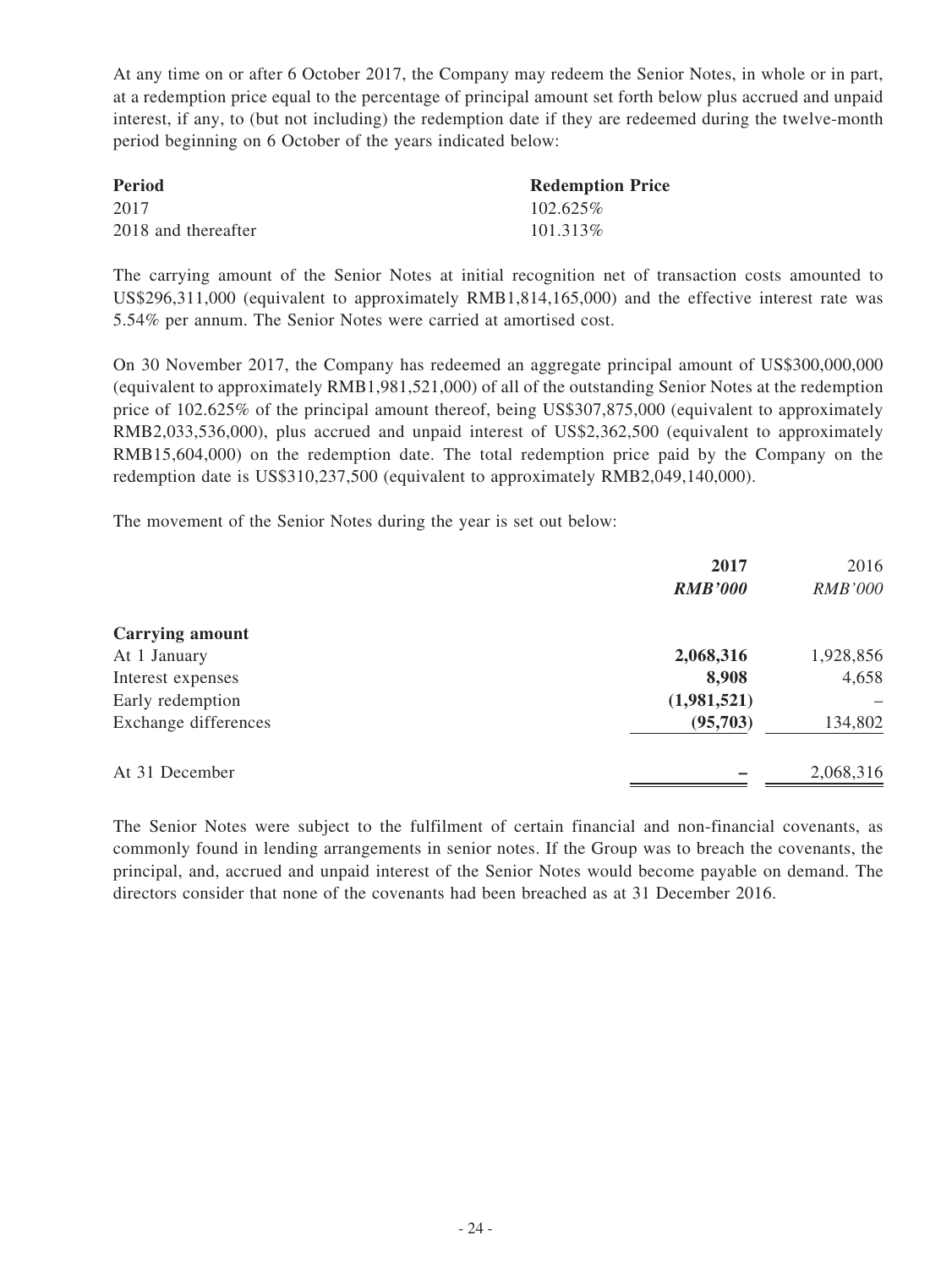At any time on or after 6 October 2017, the Company may redeem the Senior Notes, in whole or in part, at a redemption price equal to the percentage of principal amount set forth below plus accrued and unpaid interest, if any, to (but not including) the redemption date if they are redeemed during the twelve-month period beginning on 6 October of the years indicated below:

| <b>Period</b>       | <b>Redemption Price</b> |
|---------------------|-------------------------|
| 2017                | $102.625\%$             |
| 2018 and thereafter | 101.313\%               |

The carrying amount of the Senior Notes at initial recognition net of transaction costs amounted to US\$296,311,000 (equivalent to approximately RMB1,814,165,000) and the effective interest rate was 5.54% per annum. The Senior Notes were carried at amortised cost.

On 30 November 2017, the Company has redeemed an aggregate principal amount of US\$300,000,000 (equivalent to approximately RMB1,981,521,000) of all of the outstanding Senior Notes at the redemption price of 102.625% of the principal amount thereof, being US\$307,875,000 (equivalent to approximately RMB2,033,536,000), plus accrued and unpaid interest of US\$2,362,500 (equivalent to approximately RMB15,604,000) on the redemption date. The total redemption price paid by the Company on the redemption date is US\$310,237,500 (equivalent to approximately RMB2,049,140,000).

The movement of the Senior Notes during the year is set out below:

|                        | 2017           | 2016           |
|------------------------|----------------|----------------|
|                        | <b>RMB'000</b> | <b>RMB'000</b> |
| <b>Carrying amount</b> |                |                |
| At 1 January           | 2,068,316      | 1,928,856      |
| Interest expenses      | 8,908          | 4,658          |
| Early redemption       | (1,981,521)    |                |
| Exchange differences   | (95,703)       | 134,802        |
| At 31 December         |                | 2,068,316      |

The Senior Notes were subject to the fulfilment of certain financial and non-financial covenants, as commonly found in lending arrangements in senior notes. If the Group was to breach the covenants, the principal, and, accrued and unpaid interest of the Senior Notes would become payable on demand. The directors consider that none of the covenants had been breached as at 31 December 2016.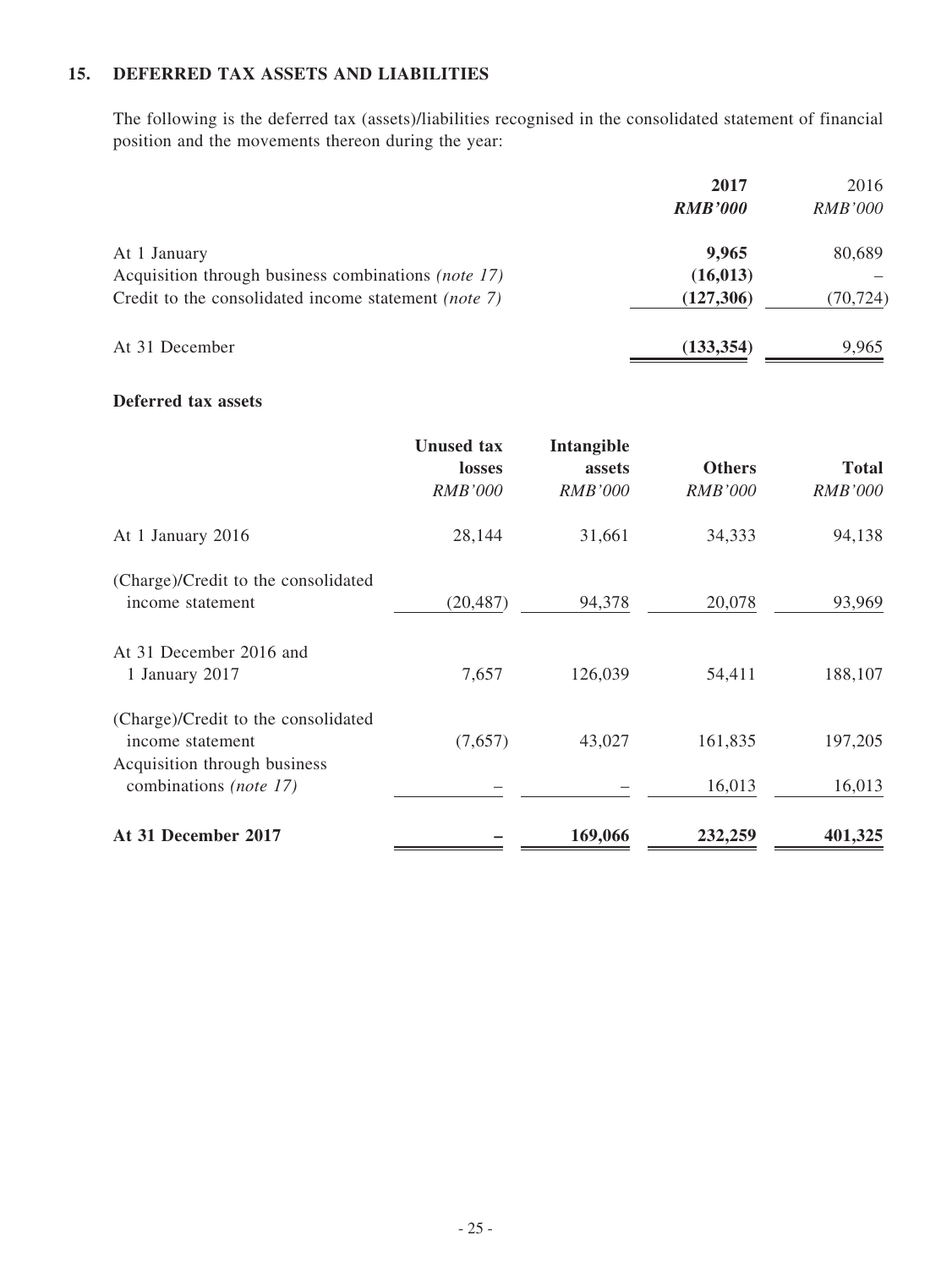### **15. DEFERRED TAX ASSETS AND LIABILITIES**

The following is the deferred tax (assets)/liabilities recognised in the consolidated statement of financial position and the movements thereon during the year:

|                                                             | 2017           | 2016           |
|-------------------------------------------------------------|----------------|----------------|
|                                                             | <b>RMB'000</b> | <i>RMB'000</i> |
| At 1 January                                                | 9,965          | 80,689         |
| Acquisition through business combinations <i>(note 17)</i>  | (16, 013)      |                |
| Credit to the consolidated income statement <i>(note 7)</i> | (127,306)      | (70, 724)      |
| At 31 December                                              | (133, 354)     | 9,965          |

### **Deferred tax assets**

|                                                                                         | <b>Unused tax</b><br>losses<br><b>RMB'000</b> | Intangible<br>assets<br><b>RMB'000</b> | <b>Others</b><br><b>RMB'000</b> | <b>Total</b><br><b>RMB'000</b> |
|-----------------------------------------------------------------------------------------|-----------------------------------------------|----------------------------------------|---------------------------------|--------------------------------|
| At 1 January 2016                                                                       | 28,144                                        | 31,661                                 | 34,333                          | 94,138                         |
| (Charge)/Credit to the consolidated<br>income statement                                 | (20, 487)                                     | 94,378                                 | 20,078                          | 93,969                         |
| At 31 December 2016 and<br>1 January 2017                                               | 7,657                                         | 126,039                                | 54,411                          | 188,107                        |
| (Charge)/Credit to the consolidated<br>income statement<br>Acquisition through business | (7,657)                                       | 43,027                                 | 161,835                         | 197,205                        |
| combinations (note 17)                                                                  |                                               |                                        | 16,013                          | 16,013                         |
| At 31 December 2017                                                                     |                                               | 169,066                                | 232,259                         | 401,325                        |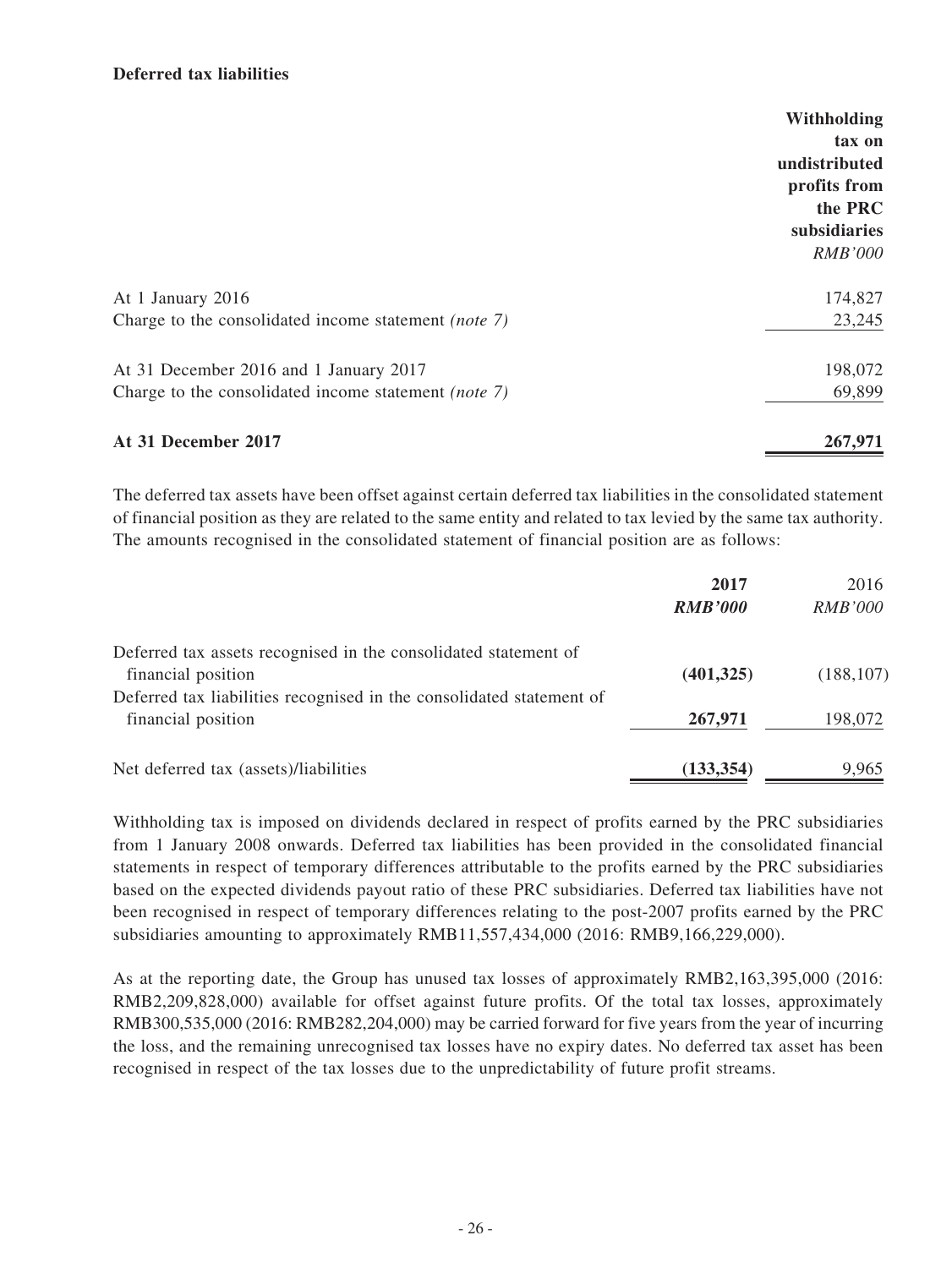### **Deferred tax liabilities**

|                                                      | Withholding    |
|------------------------------------------------------|----------------|
|                                                      | tax on         |
|                                                      | undistributed  |
|                                                      | profits from   |
|                                                      | the PRC        |
|                                                      | subsidiaries   |
|                                                      | <b>RMB'000</b> |
| At 1 January 2016                                    | 174,827        |
| Charge to the consolidated income statement (note 7) | 23,245         |
| At 31 December 2016 and 1 January 2017               | 198,072        |
| Charge to the consolidated income statement (note 7) | 69,899         |
| At 31 December 2017                                  | 267,971        |

The deferred tax assets have been offset against certain deferred tax liabilities in the consolidated statement of financial position as they are related to the same entity and related to tax levied by the same tax authority. The amounts recognised in the consolidated statement of financial position are as follows:

|                                                                      | 2017           | 2016           |
|----------------------------------------------------------------------|----------------|----------------|
|                                                                      | <b>RMB'000</b> | <b>RMB'000</b> |
| Deferred tax assets recognised in the consolidated statement of      |                |                |
| financial position                                                   | (401, 325)     | (188, 107)     |
| Deferred tax liabilities recognised in the consolidated statement of |                |                |
| financial position                                                   | 267,971        | 198,072        |
| Net deferred tax (assets)/liabilities                                | (133, 354)     | 9,965          |

Withholding tax is imposed on dividends declared in respect of profits earned by the PRC subsidiaries from 1 January 2008 onwards. Deferred tax liabilities has been provided in the consolidated financial statements in respect of temporary differences attributable to the profits earned by the PRC subsidiaries based on the expected dividends payout ratio of these PRC subsidiaries. Deferred tax liabilities have not been recognised in respect of temporary differences relating to the post-2007 profits earned by the PRC subsidiaries amounting to approximately RMB11,557,434,000 (2016: RMB9,166,229,000).

As at the reporting date, the Group has unused tax losses of approximately RMB2,163,395,000 (2016: RMB2,209,828,000) available for offset against future profits. Of the total tax losses, approximately RMB300,535,000 (2016: RMB282,204,000) may be carried forward for five years from the year of incurring the loss, and the remaining unrecognised tax losses have no expiry dates. No deferred tax asset has been recognised in respect of the tax losses due to the unpredictability of future profit streams.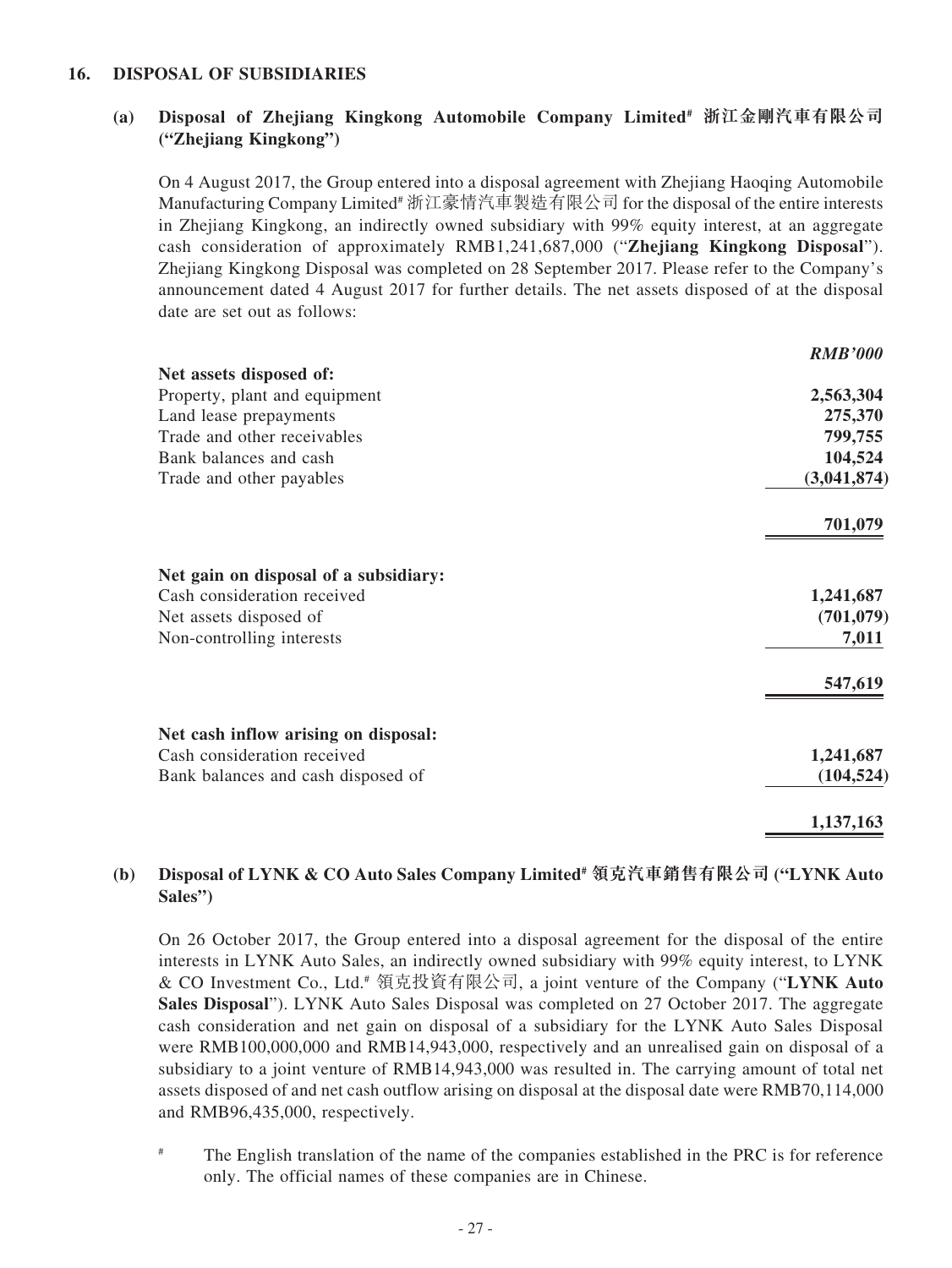#### **16. DISPOSAL OF SUBSIDIARIES**

### **(a) Disposal of Zhejiang Kingkong Automobile Company Limited# 浙江金剛汽車有限公司 ("Zhejiang Kingkong")**

On 4 August 2017, the Group entered into a disposal agreement with Zhejiang Haoqing Automobile Manufacturing Company Limited# 浙江豪情汽車製造有限公司 for the disposal of the entire interests in Zhejiang Kingkong, an indirectly owned subsidiary with 99% equity interest, at an aggregate cash consideration of approximately RMB1,241,687,000 ("**Zhejiang Kingkong Disposal**"). Zhejiang Kingkong Disposal was completed on 28 September 2017. Please refer to the Company's announcement dated 4 August 2017 for further details. The net assets disposed of at the disposal date are set out as follows:

|                                       | <b>RMB'000</b> |
|---------------------------------------|----------------|
| Net assets disposed of:               |                |
| Property, plant and equipment         | 2,563,304      |
| Land lease prepayments                | 275,370        |
| Trade and other receivables           | 799,755        |
| Bank balances and cash                | 104,524        |
| Trade and other payables              | (3,041,874)    |
|                                       | 701,079        |
| Net gain on disposal of a subsidiary: |                |
| Cash consideration received           | 1,241,687      |
| Net assets disposed of                | (701, 079)     |
| Non-controlling interests             | 7,011          |
|                                       | 547,619        |
| Net cash inflow arising on disposal:  |                |
| Cash consideration received           | 1,241,687      |
| Bank balances and cash disposed of    | (104, 524)     |
|                                       | 1,137,163      |

### **(b) Disposal of LYNK & CO Auto Sales Company Limited# 領克汽車銷售有限公司 ("LYNK Auto Sales")**

On 26 October 2017, the Group entered into a disposal agreement for the disposal of the entire interests in LYNK Auto Sales, an indirectly owned subsidiary with 99% equity interest, to LYNK & CO Investment Co., Ltd.# 領克投資有限公司, a joint venture of the Company ("**LYNK Auto Sales Disposal**"). LYNK Auto Sales Disposal was completed on 27 October 2017. The aggregate cash consideration and net gain on disposal of a subsidiary for the LYNK Auto Sales Disposal were RMB100,000,000 and RMB14,943,000, respectively and an unrealised gain on disposal of a subsidiary to a joint venture of RMB14,943,000 was resulted in. The carrying amount of total net assets disposed of and net cash outflow arising on disposal at the disposal date were RMB70,114,000 and RMB96,435,000, respectively.

# The English translation of the name of the companies established in the PRC is for reference only. The official names of these companies are in Chinese.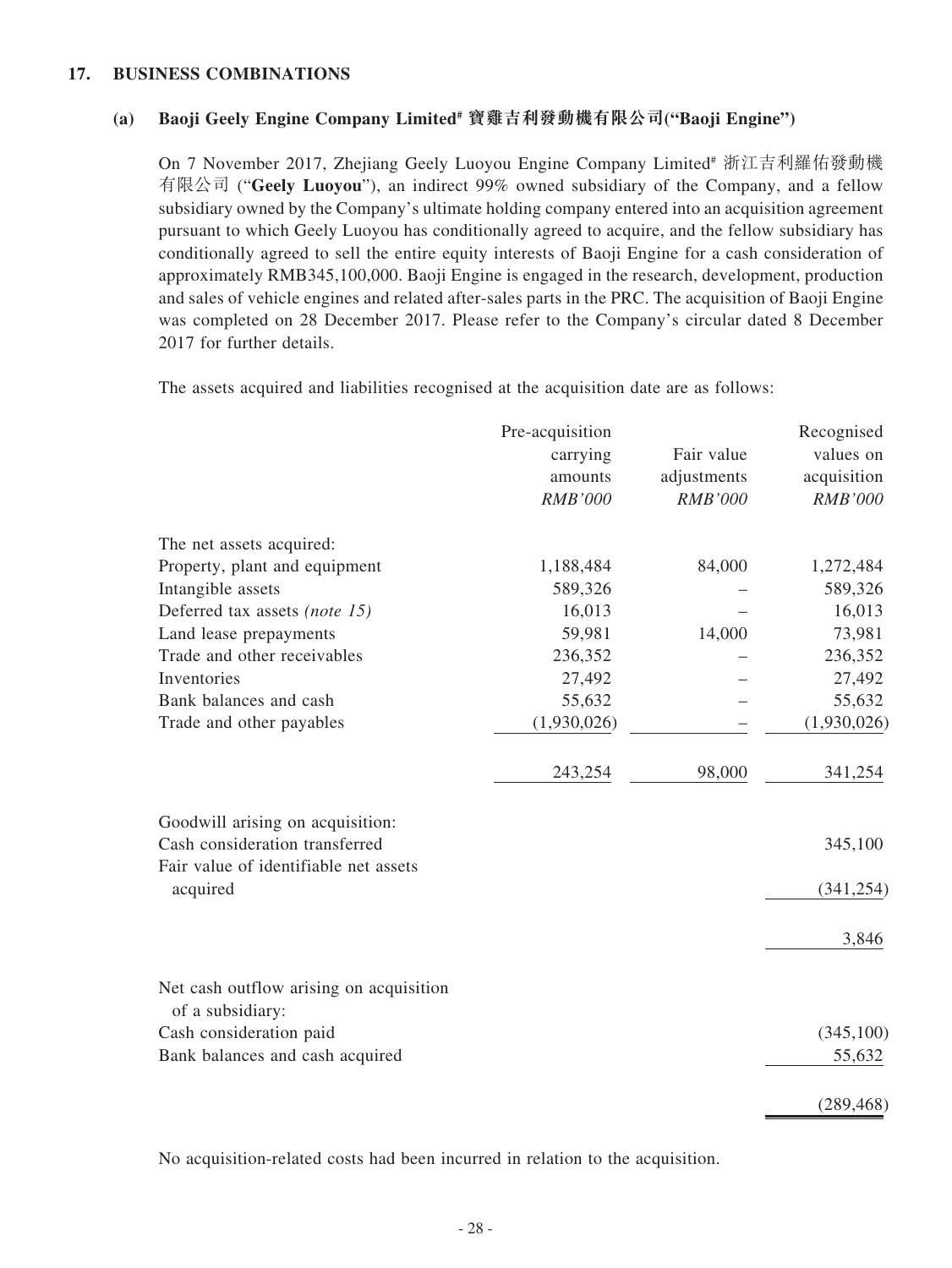#### **17. BUSINESS COMBINATIONS**

### **(a) Baoji Geely Engine Company Limited# 寶雞吉利發動機有限公司("Baoji Engine")**

On 7 November 2017, Zhejiang Geely Luoyou Engine Company Limited<sup>#</sup> 浙江吉利羅佑發動機 有限公司 ("**Geely Luoyou**"), an indirect 99% owned subsidiary of the Company, and a fellow subsidiary owned by the Company's ultimate holding company entered into an acquisition agreement pursuant to which Geely Luoyou has conditionally agreed to acquire, and the fellow subsidiary has conditionally agreed to sell the entire equity interests of Baoji Engine for a cash consideration of approximately RMB345,100,000. Baoji Engine is engaged in the research, development, production and sales of vehicle engines and related after-sales parts in the PRC. The acquisition of Baoji Engine was completed on 28 December 2017. Please refer to the Company's circular dated 8 December 2017 for further details.

The assets acquired and liabilities recognised at the acquisition date are as follows:

| Fair value<br>carrying | values on                                                                                                                      |
|------------------------|--------------------------------------------------------------------------------------------------------------------------------|
| adjustments            | acquisition                                                                                                                    |
| <b>RMB'000</b>         | <b>RMB'000</b>                                                                                                                 |
|                        |                                                                                                                                |
| 84,000                 | 1,272,484                                                                                                                      |
|                        | 589,326                                                                                                                        |
|                        | 16,013                                                                                                                         |
| 14,000                 | 73,981                                                                                                                         |
|                        | 236,352                                                                                                                        |
|                        | 27,492                                                                                                                         |
|                        | 55,632                                                                                                                         |
|                        | (1,930,026)                                                                                                                    |
| 98,000                 | 341,254                                                                                                                        |
|                        |                                                                                                                                |
|                        | 345,100                                                                                                                        |
|                        | (341, 254)                                                                                                                     |
|                        | 3,846                                                                                                                          |
|                        |                                                                                                                                |
|                        | (345, 100)                                                                                                                     |
|                        | 55,632                                                                                                                         |
|                        | (289, 468)                                                                                                                     |
|                        | amounts<br><b>RMB'000</b><br>1,188,484<br>589,326<br>16,013<br>59,981<br>236,352<br>27,492<br>55,632<br>(1,930,026)<br>243,254 |

No acquisition-related costs had been incurred in relation to the acquisition.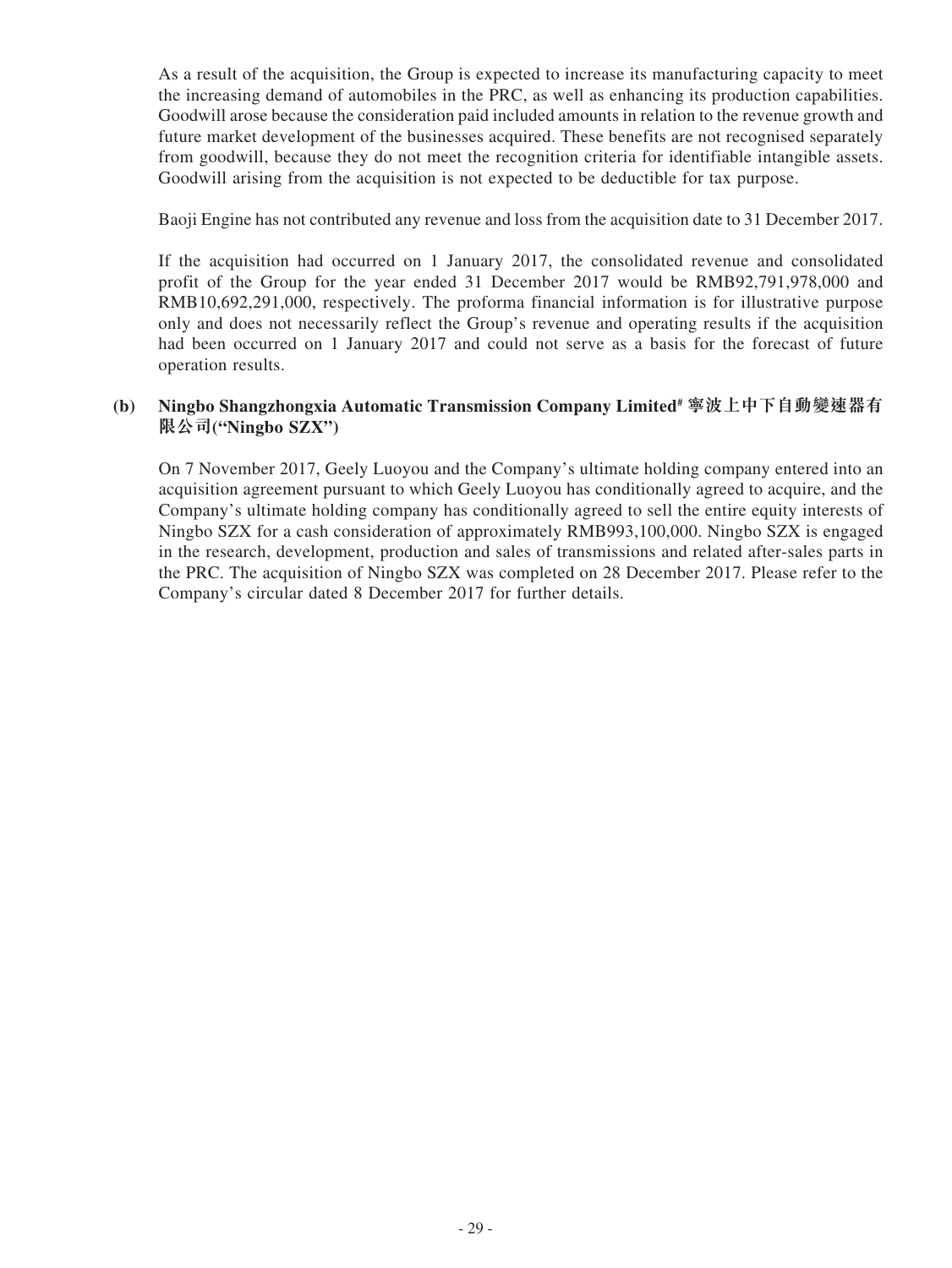As a result of the acquisition, the Group is expected to increase its manufacturing capacity to meet the increasing demand of automobiles in the PRC, as well as enhancing its production capabilities. Goodwill arose because the consideration paid included amounts in relation to the revenue growth and future market development of the businesses acquired. These benefits are not recognised separately from goodwill, because they do not meet the recognition criteria for identifiable intangible assets. Goodwill arising from the acquisition is not expected to be deductible for tax purpose.

Baoji Engine has not contributed any revenue and loss from the acquisition date to 31 December 2017.

If the acquisition had occurred on 1 January 2017, the consolidated revenue and consolidated profit of the Group for the year ended 31 December 2017 would be RMB92,791,978,000 and RMB10,692,291,000, respectively. The proforma financial information is for illustrative purpose only and does not necessarily reflect the Group's revenue and operating results if the acquisition had been occurred on 1 January 2017 and could not serve as a basis for the forecast of future operation results.

### **(b) Ningbo Shangzhongxia Automatic Transmission Company Limited# 寧波上中下自動變速器有 限公司("Ningbo SZX")**

On 7 November 2017, Geely Luoyou and the Company's ultimate holding company entered into an acquisition agreement pursuant to which Geely Luoyou has conditionally agreed to acquire, and the Company's ultimate holding company has conditionally agreed to sell the entire equity interests of Ningbo SZX for a cash consideration of approximately RMB993,100,000. Ningbo SZX is engaged in the research, development, production and sales of transmissions and related after-sales parts in the PRC. The acquisition of Ningbo SZX was completed on 28 December 2017. Please refer to the Company's circular dated 8 December 2017 for further details.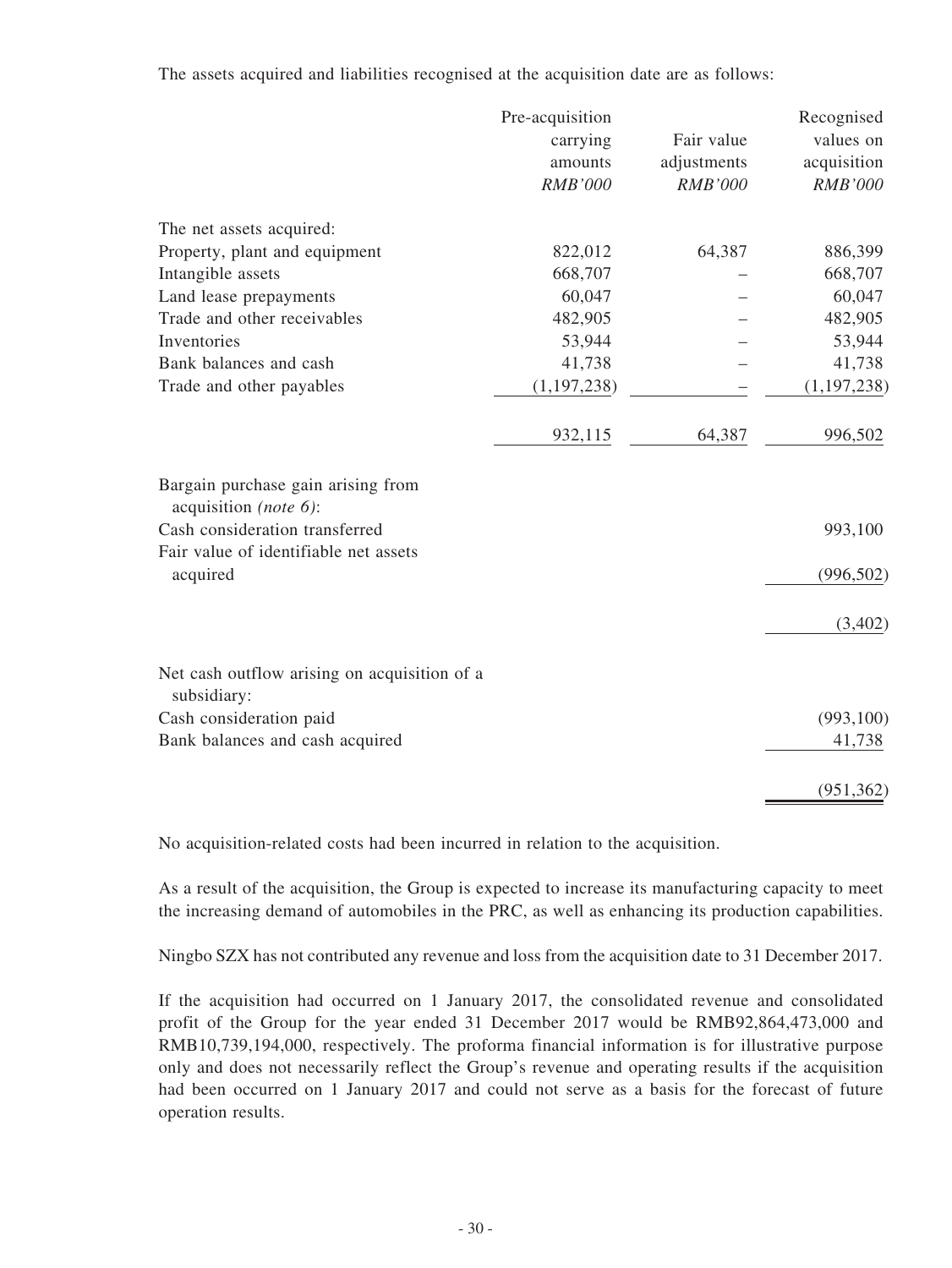The assets acquired and liabilities recognised at the acquisition date are as follows:

|                                                             | Pre-acquisition |                | Recognised     |
|-------------------------------------------------------------|-----------------|----------------|----------------|
|                                                             | carrying        | Fair value     | values on      |
|                                                             | amounts         | adjustments    | acquisition    |
|                                                             | <b>RMB'000</b>  | <b>RMB'000</b> | <b>RMB'000</b> |
| The net assets acquired:                                    |                 |                |                |
| Property, plant and equipment                               | 822,012         | 64,387         | 886,399        |
| Intangible assets                                           | 668,707         |                | 668,707        |
| Land lease prepayments                                      | 60,047          |                | 60,047         |
| Trade and other receivables                                 | 482,905         |                | 482,905        |
| Inventories                                                 | 53,944          |                | 53,944         |
| Bank balances and cash                                      | 41,738          |                | 41,738         |
| Trade and other payables                                    | (1, 197, 238)   |                | (1, 197, 238)  |
|                                                             | 932,115         | 64,387         | 996,502        |
| Bargain purchase gain arising from<br>acquisition (note 6): |                 |                |                |
| Cash consideration transferred                              |                 |                | 993,100        |
| Fair value of identifiable net assets                       |                 |                |                |
| acquired                                                    |                 |                | (996, 502)     |
|                                                             |                 |                | (3,402)        |
| Net cash outflow arising on acquisition of a                |                 |                |                |
| subsidiary:                                                 |                 |                |                |
| Cash consideration paid                                     |                 |                | (993, 100)     |
| Bank balances and cash acquired                             |                 |                | 41,738         |
|                                                             |                 |                | (951, 362)     |

No acquisition-related costs had been incurred in relation to the acquisition.

As a result of the acquisition, the Group is expected to increase its manufacturing capacity to meet the increasing demand of automobiles in the PRC, as well as enhancing its production capabilities.

Ningbo SZX has not contributed any revenue and loss from the acquisition date to 31 December 2017.

If the acquisition had occurred on 1 January 2017, the consolidated revenue and consolidated profit of the Group for the year ended 31 December 2017 would be RMB92,864,473,000 and RMB10,739,194,000, respectively. The proforma financial information is for illustrative purpose only and does not necessarily reflect the Group's revenue and operating results if the acquisition had been occurred on 1 January 2017 and could not serve as a basis for the forecast of future operation results.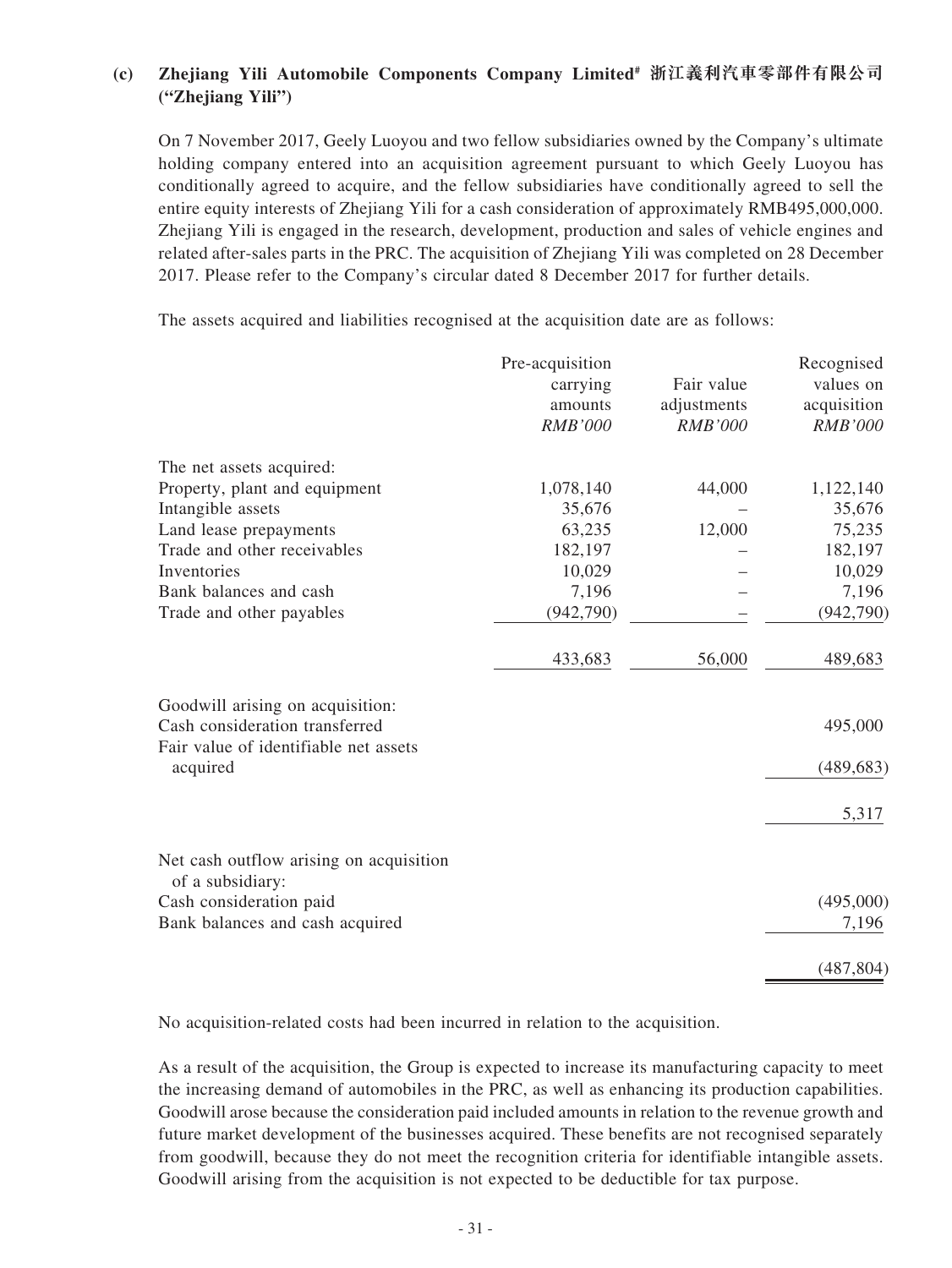### **(c) Zhejiang Yili Automobile Components Company Limited# 浙江義利汽車零部件有限公司 ("Zhejiang Yili")**

On 7 November 2017, Geely Luoyou and two fellow subsidiaries owned by the Company's ultimate holding company entered into an acquisition agreement pursuant to which Geely Luoyou has conditionally agreed to acquire, and the fellow subsidiaries have conditionally agreed to sell the entire equity interests of Zhejiang Yili for a cash consideration of approximately RMB495,000,000. Zhejiang Yili is engaged in the research, development, production and sales of vehicle engines and related after-sales parts in the PRC. The acquisition of Zhejiang Yili was completed on 28 December 2017. Please refer to the Company's circular dated 8 December 2017 for further details.

The assets acquired and liabilities recognised at the acquisition date are as follows:

|                                                                    | Pre-acquisition |                | Recognised     |
|--------------------------------------------------------------------|-----------------|----------------|----------------|
|                                                                    | carrying        | Fair value     | values on      |
|                                                                    | amounts         | adjustments    | acquisition    |
|                                                                    | <b>RMB'000</b>  | <b>RMB'000</b> | <b>RMB'000</b> |
| The net assets acquired:                                           |                 |                |                |
| Property, plant and equipment                                      | 1,078,140       | 44,000         | 1,122,140      |
| Intangible assets                                                  | 35,676          |                | 35,676         |
| Land lease prepayments                                             | 63,235          | 12,000         | 75,235         |
| Trade and other receivables                                        | 182,197         |                | 182,197        |
| Inventories                                                        | 10,029          |                | 10,029         |
| Bank balances and cash                                             | 7,196           |                | 7,196          |
| Trade and other payables                                           | (942,790)       |                | (942, 790)     |
|                                                                    | 433,683         | 56,000         | 489,683        |
| Goodwill arising on acquisition:<br>Cash consideration transferred |                 |                | 495,000        |
| Fair value of identifiable net assets                              |                 |                |                |
| acquired                                                           |                 |                | (489, 683)     |
|                                                                    |                 |                | 5,317          |
| Net cash outflow arising on acquisition<br>of a subsidiary:        |                 |                |                |
| Cash consideration paid                                            |                 |                | (495,000)      |
| Bank balances and cash acquired                                    |                 |                | 7,196          |
|                                                                    |                 |                | (487, 804)     |

No acquisition-related costs had been incurred in relation to the acquisition.

As a result of the acquisition, the Group is expected to increase its manufacturing capacity to meet the increasing demand of automobiles in the PRC, as well as enhancing its production capabilities. Goodwill arose because the consideration paid included amounts in relation to the revenue growth and future market development of the businesses acquired. These benefits are not recognised separately from goodwill, because they do not meet the recognition criteria for identifiable intangible assets. Goodwill arising from the acquisition is not expected to be deductible for tax purpose.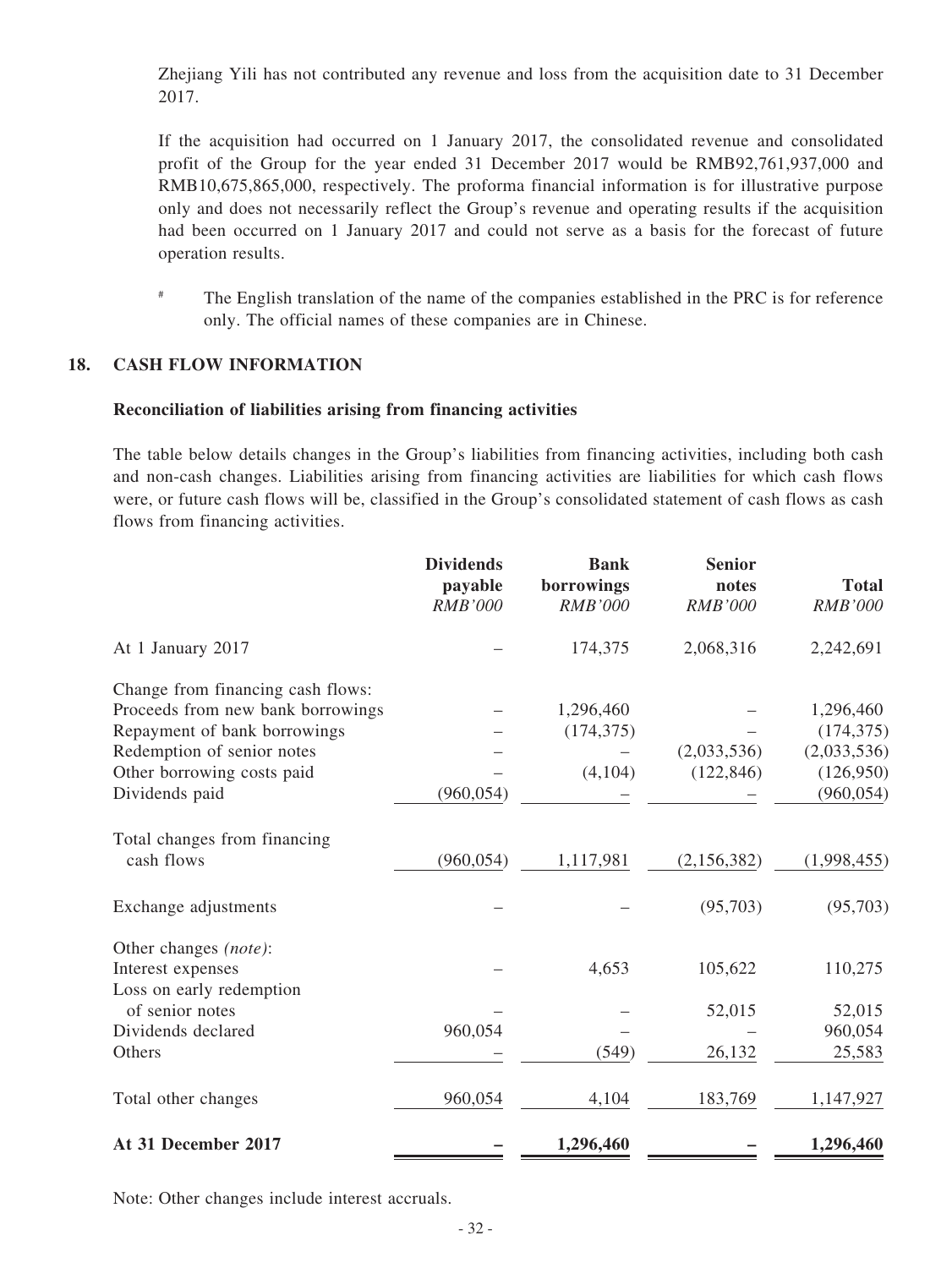Zhejiang Yili has not contributed any revenue and loss from the acquisition date to 31 December 2017.

If the acquisition had occurred on 1 January 2017, the consolidated revenue and consolidated profit of the Group for the year ended 31 December 2017 would be RMB92,761,937,000 and RMB10,675,865,000, respectively. The proforma financial information is for illustrative purpose only and does not necessarily reflect the Group's revenue and operating results if the acquisition had been occurred on 1 January 2017 and could not serve as a basis for the forecast of future operation results.

# The English translation of the name of the companies established in the PRC is for reference only. The official names of these companies are in Chinese.

#### **18. CASH FLOW INFORMATION**

#### **Reconciliation of liabilities arising from financing activities**

The table below details changes in the Group's liabilities from financing activities, including both cash and non-cash changes. Liabilities arising from financing activities are liabilities for which cash flows were, or future cash flows will be, classified in the Group's consolidated statement of cash flows as cash flows from financing activities.

|                                   | <b>Dividends</b><br>payable<br><b>RMB'000</b> | <b>Bank</b><br>borrowings<br><b>RMB'000</b> | <b>Senior</b><br>notes<br><b>RMB'000</b> | <b>Total</b><br>RMB'000 |
|-----------------------------------|-----------------------------------------------|---------------------------------------------|------------------------------------------|-------------------------|
| At 1 January 2017                 |                                               | 174,375                                     | 2,068,316                                | 2,242,691               |
| Change from financing cash flows: |                                               |                                             |                                          |                         |
| Proceeds from new bank borrowings |                                               | 1,296,460                                   |                                          | 1,296,460               |
| Repayment of bank borrowings      |                                               | (174, 375)                                  |                                          | (174, 375)              |
| Redemption of senior notes        |                                               |                                             | (2,033,536)                              | (2,033,536)             |
| Other borrowing costs paid        |                                               | (4,104)                                     | (122, 846)                               | (126,950)               |
| Dividends paid                    | (960, 054)                                    |                                             |                                          | (960, 054)              |
| Total changes from financing      |                                               |                                             |                                          |                         |
| cash flows                        | (960, 054)                                    | 1,117,981                                   | (2, 156, 382)                            | (1,998,455)             |
| Exchange adjustments              |                                               |                                             | (95,703)                                 | (95,703)                |
| Other changes (note):             |                                               |                                             |                                          |                         |
| Interest expenses                 |                                               | 4,653                                       | 105,622                                  | 110,275                 |
| Loss on early redemption          |                                               |                                             |                                          |                         |
| of senior notes                   |                                               |                                             | 52,015                                   | 52,015                  |
| Dividends declared                | 960,054                                       |                                             |                                          | 960,054                 |
| Others                            |                                               | (549)                                       | 26,132                                   | 25,583                  |
| Total other changes               | 960,054                                       | 4,104                                       | 183,769                                  | 1,147,927               |
| At 31 December 2017               |                                               | 1,296,460                                   |                                          | 1,296,460               |

Note: Other changes include interest accruals.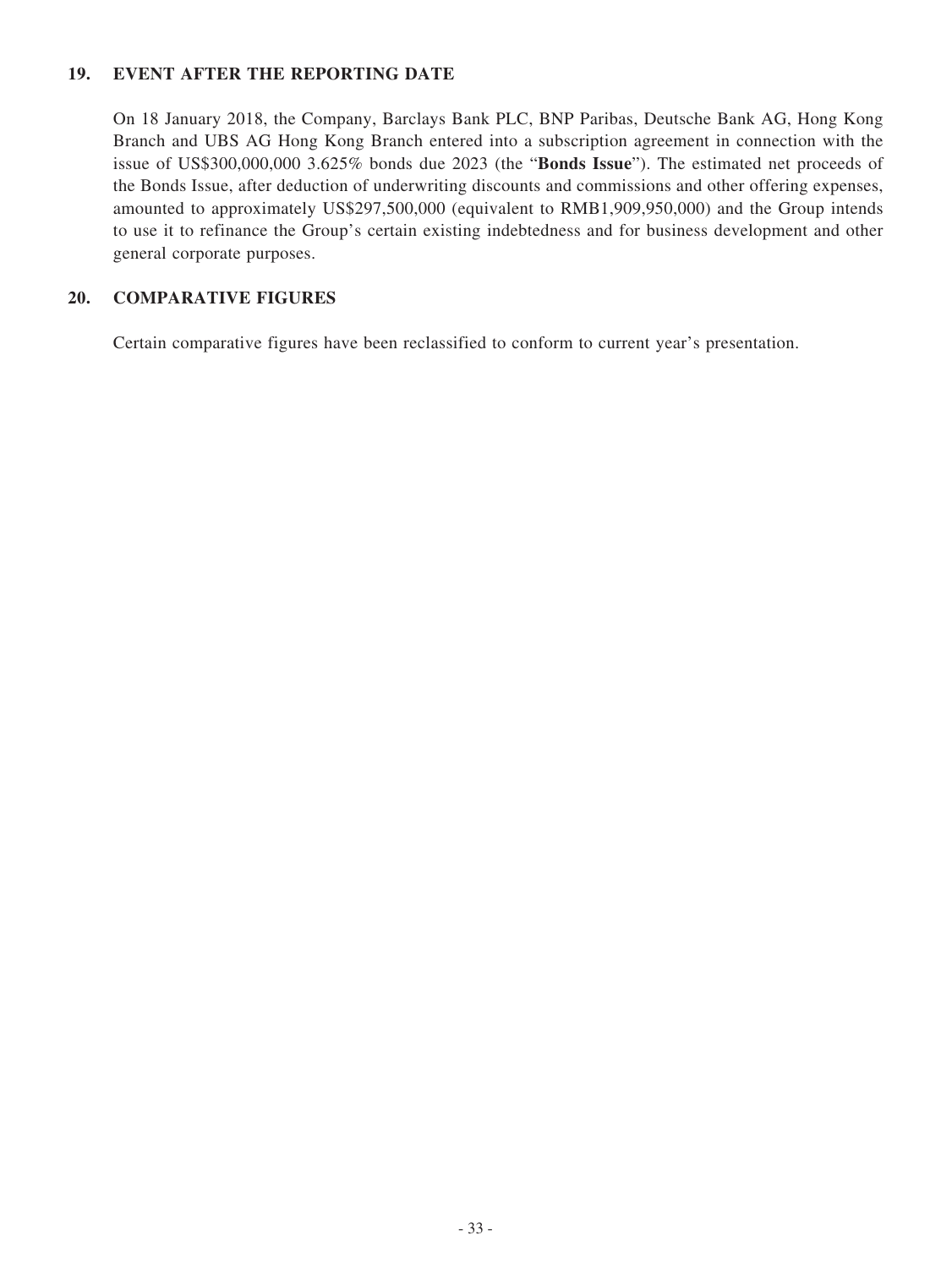### **19. EVENT AFTER THE REPORTING DATE**

On 18 January 2018, the Company, Barclays Bank PLC, BNP Paribas, Deutsche Bank AG, Hong Kong Branch and UBS AG Hong Kong Branch entered into a subscription agreement in connection with the issue of US\$300,000,000 3.625% bonds due 2023 (the "**Bonds Issue**"). The estimated net proceeds of the Bonds Issue, after deduction of underwriting discounts and commissions and other offering expenses, amounted to approximately US\$297,500,000 (equivalent to RMB1,909,950,000) and the Group intends to use it to refinance the Group's certain existing indebtedness and for business development and other general corporate purposes.

### **20. COMPARATIVE FIGURES**

Certain comparative figures have been reclassified to conform to current year's presentation.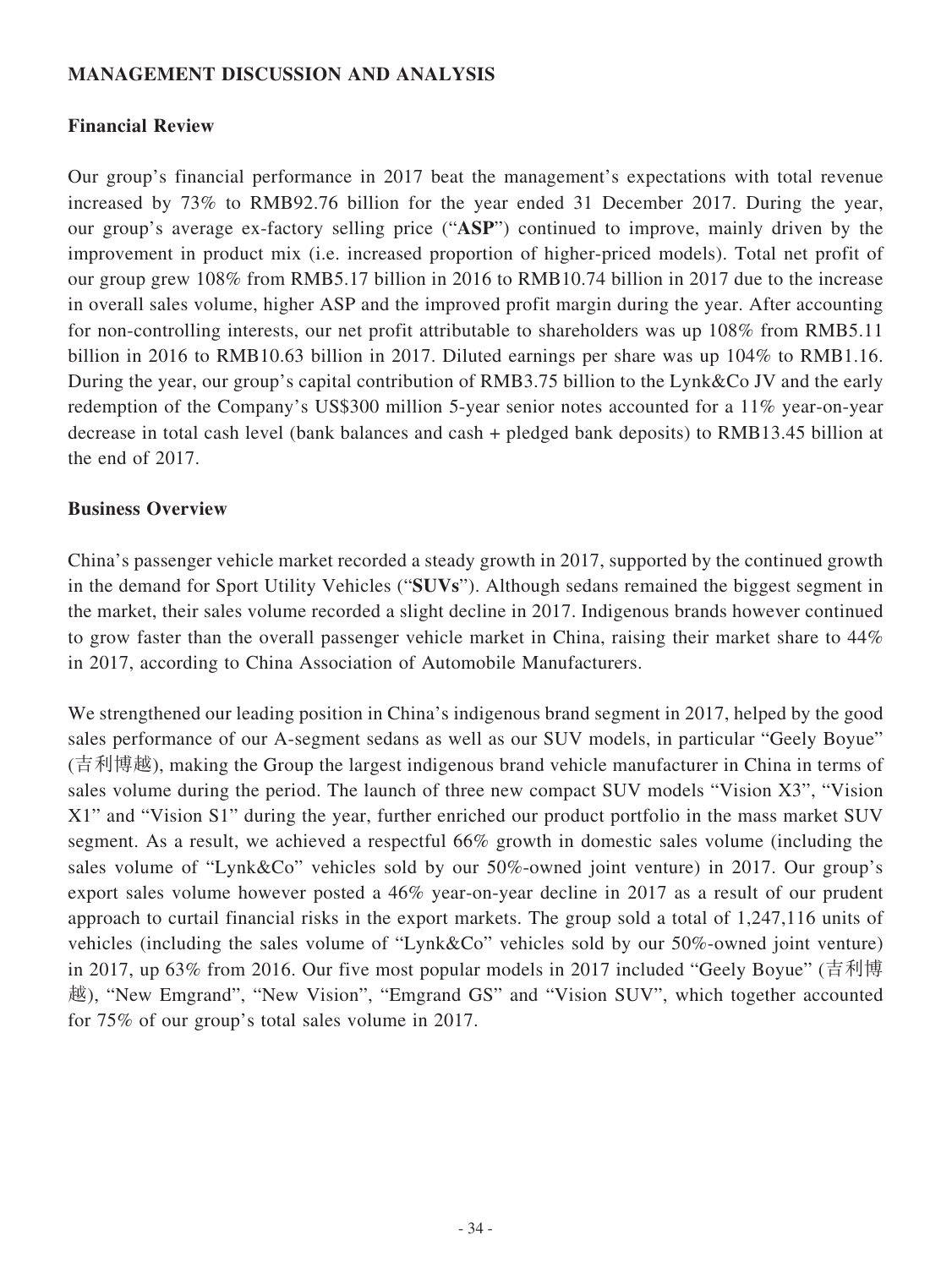### **MANAGEMENT DISCUSSION AND ANALYSIS**

### **Financial Review**

Our group's financial performance in 2017 beat the management's expectations with total revenue increased by 73% to RMB92.76 billion for the year ended 31 December 2017. During the year, our group's average ex-factory selling price ("**ASP**") continued to improve, mainly driven by the improvement in product mix (i.e. increased proportion of higher-priced models). Total net profit of our group grew 108% from RMB5.17 billion in 2016 to RMB10.74 billion in 2017 due to the increase in overall sales volume, higher ASP and the improved profit margin during the year. After accounting for non-controlling interests, our net profit attributable to shareholders was up 108% from RMB5.11 billion in 2016 to RMB10.63 billion in 2017. Diluted earnings per share was up 104% to RMB1.16. During the year, our group's capital contribution of RMB3.75 billion to the Lynk&Co JV and the early redemption of the Company's US\$300 million 5-year senior notes accounted for a 11% year-on-year decrease in total cash level (bank balances and cash + pledged bank deposits) to RMB13.45 billion at the end of 2017.

### **Business Overview**

China's passenger vehicle market recorded a steady growth in 2017, supported by the continued growth in the demand for Sport Utility Vehicles ("**SUVs**"). Although sedans remained the biggest segment in the market, their sales volume recorded a slight decline in 2017. Indigenous brands however continued to grow faster than the overall passenger vehicle market in China, raising their market share to 44% in 2017, according to China Association of Automobile Manufacturers.

We strengthened our leading position in China's indigenous brand segment in 2017, helped by the good sales performance of our A-segment sedans as well as our SUV models, in particular "Geely Boyue" (吉利博越), making the Group the largest indigenous brand vehicle manufacturer in China in terms of sales volume during the period. The launch of three new compact SUV models "Vision X3", "Vision X1" and "Vision S1" during the year, further enriched our product portfolio in the mass market SUV segment. As a result, we achieved a respectful 66% growth in domestic sales volume (including the sales volume of "Lynk&Co" vehicles sold by our 50%-owned joint venture) in 2017. Our group's export sales volume however posted a 46% year-on-year decline in 2017 as a result of our prudent approach to curtail financial risks in the export markets. The group sold a total of 1,247,116 units of vehicles (including the sales volume of "Lynk&Co" vehicles sold by our 50%-owned joint venture) in 2017, up 63% from 2016. Our five most popular models in 2017 included "Geely Boyue" (吉利博 越), "New Emgrand", "New Vision", "Emgrand GS" and "Vision SUV", which together accounted for 75% of our group's total sales volume in 2017.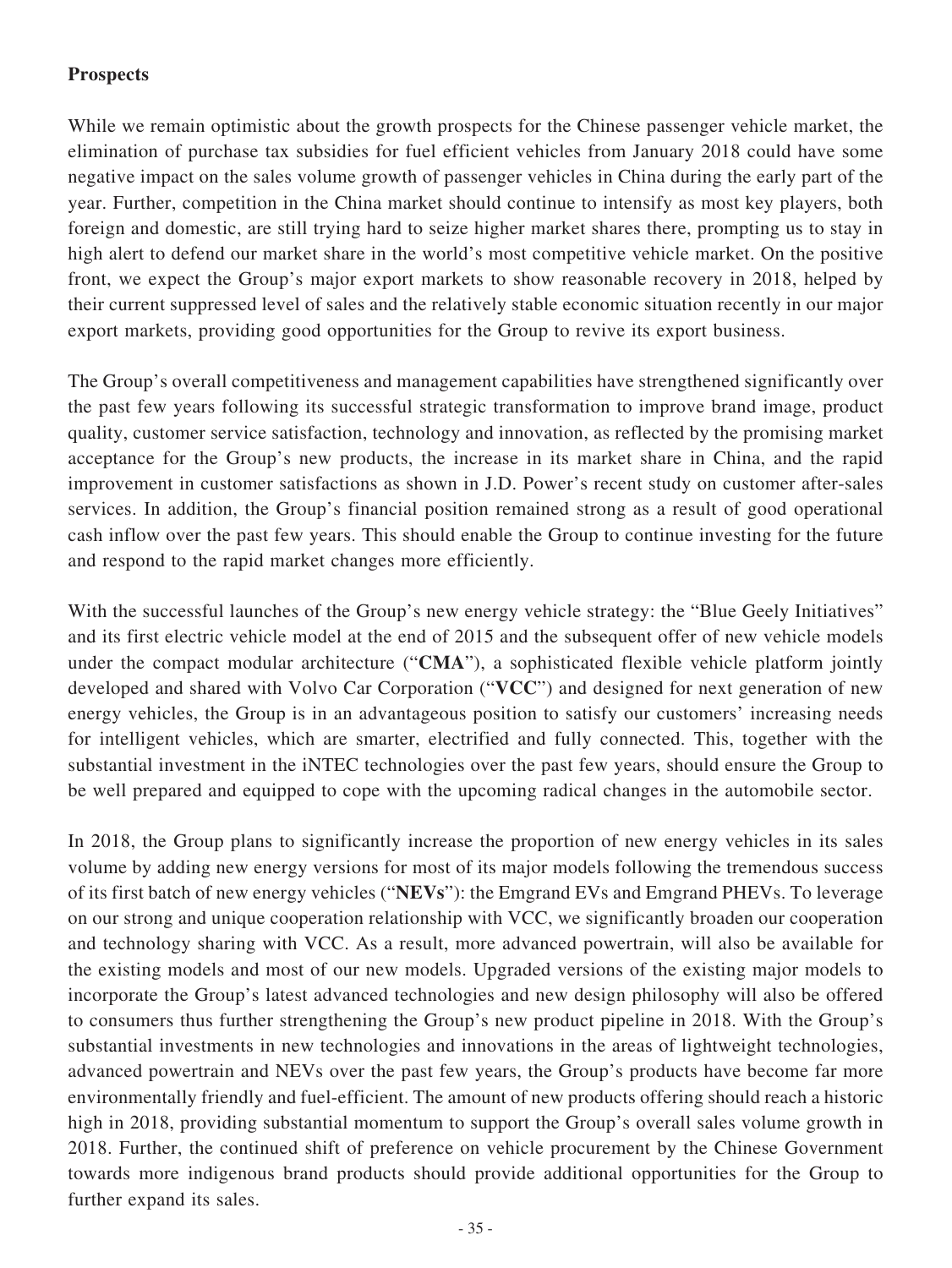### **Prospects**

While we remain optimistic about the growth prospects for the Chinese passenger vehicle market, the elimination of purchase tax subsidies for fuel efficient vehicles from January 2018 could have some negative impact on the sales volume growth of passenger vehicles in China during the early part of the year. Further, competition in the China market should continue to intensify as most key players, both foreign and domestic, are still trying hard to seize higher market shares there, prompting us to stay in high alert to defend our market share in the world's most competitive vehicle market. On the positive front, we expect the Group's major export markets to show reasonable recovery in 2018, helped by their current suppressed level of sales and the relatively stable economic situation recently in our major export markets, providing good opportunities for the Group to revive its export business.

The Group's overall competitiveness and management capabilities have strengthened significantly over the past few years following its successful strategic transformation to improve brand image, product quality, customer service satisfaction, technology and innovation, as reflected by the promising market acceptance for the Group's new products, the increase in its market share in China, and the rapid improvement in customer satisfactions as shown in J.D. Power's recent study on customer after-sales services. In addition, the Group's financial position remained strong as a result of good operational cash inflow over the past few years. This should enable the Group to continue investing for the future and respond to the rapid market changes more efficiently.

With the successful launches of the Group's new energy vehicle strategy: the "Blue Geely Initiatives" and its first electric vehicle model at the end of 2015 and the subsequent offer of new vehicle models under the compact modular architecture ("**CMA**"), a sophisticated flexible vehicle platform jointly developed and shared with Volvo Car Corporation ("**VCC**") and designed for next generation of new energy vehicles, the Group is in an advantageous position to satisfy our customers' increasing needs for intelligent vehicles, which are smarter, electrified and fully connected. This, together with the substantial investment in the iNTEC technologies over the past few years, should ensure the Group to be well prepared and equipped to cope with the upcoming radical changes in the automobile sector.

In 2018, the Group plans to significantly increase the proportion of new energy vehicles in its sales volume by adding new energy versions for most of its major models following the tremendous success of its first batch of new energy vehicles ("**NEVs**"): the Emgrand EVs and Emgrand PHEVs. To leverage on our strong and unique cooperation relationship with VCC, we significantly broaden our cooperation and technology sharing with VCC. As a result, more advanced powertrain, will also be available for the existing models and most of our new models. Upgraded versions of the existing major models to incorporate the Group's latest advanced technologies and new design philosophy will also be offered to consumers thus further strengthening the Group's new product pipeline in 2018. With the Group's substantial investments in new technologies and innovations in the areas of lightweight technologies, advanced powertrain and NEVs over the past few years, the Group's products have become far more environmentally friendly and fuel-efficient. The amount of new products offering should reach a historic high in 2018, providing substantial momentum to support the Group's overall sales volume growth in 2018. Further, the continued shift of preference on vehicle procurement by the Chinese Government towards more indigenous brand products should provide additional opportunities for the Group to further expand its sales.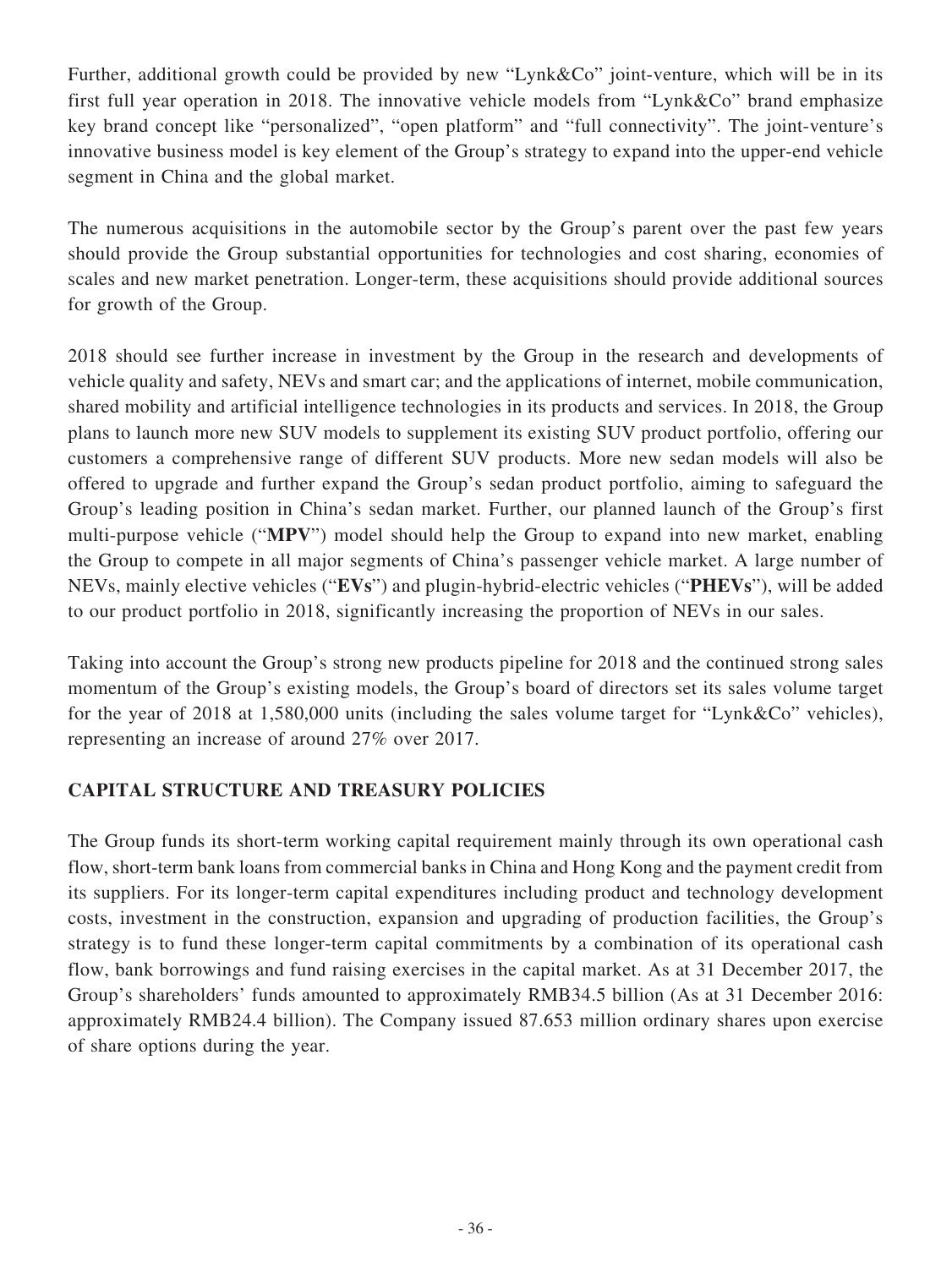Further, additional growth could be provided by new "Lynk&Co" joint-venture, which will be in its first full year operation in 2018. The innovative vehicle models from "Lynk&Co" brand emphasize key brand concept like "personalized", "open platform" and "full connectivity". The joint-venture's innovative business model is key element of the Group's strategy to expand into the upper-end vehicle segment in China and the global market.

The numerous acquisitions in the automobile sector by the Group's parent over the past few years should provide the Group substantial opportunities for technologies and cost sharing, economies of scales and new market penetration. Longer-term, these acquisitions should provide additional sources for growth of the Group.

2018 should see further increase in investment by the Group in the research and developments of vehicle quality and safety, NEVs and smart car; and the applications of internet, mobile communication, shared mobility and artificial intelligence technologies in its products and services. In 2018, the Group plans to launch more new SUV models to supplement its existing SUV product portfolio, offering our customers a comprehensive range of different SUV products. More new sedan models will also be offered to upgrade and further expand the Group's sedan product portfolio, aiming to safeguard the Group's leading position in China's sedan market. Further, our planned launch of the Group's first multi-purpose vehicle ("**MPV**") model should help the Group to expand into new market, enabling the Group to compete in all major segments of China's passenger vehicle market. A large number of NEVs, mainly elective vehicles ("**EVs**") and plugin-hybrid-electric vehicles ("**PHEVs**"), will be added to our product portfolio in 2018, significantly increasing the proportion of NEVs in our sales.

Taking into account the Group's strong new products pipeline for 2018 and the continued strong sales momentum of the Group's existing models, the Group's board of directors set its sales volume target for the year of 2018 at 1,580,000 units (including the sales volume target for "Lynk&Co" vehicles), representing an increase of around 27% over 2017.

### **CAPITAL STRUCTURE AND TREASURY POLICIES**

The Group funds its short-term working capital requirement mainly through its own operational cash flow, short-term bank loans from commercial banks in China and Hong Kong and the payment credit from its suppliers. For its longer-term capital expenditures including product and technology development costs, investment in the construction, expansion and upgrading of production facilities, the Group's strategy is to fund these longer-term capital commitments by a combination of its operational cash flow, bank borrowings and fund raising exercises in the capital market. As at 31 December 2017, the Group's shareholders' funds amounted to approximately RMB34.5 billion (As at 31 December 2016: approximately RMB24.4 billion). The Company issued 87.653 million ordinary shares upon exercise of share options during the year.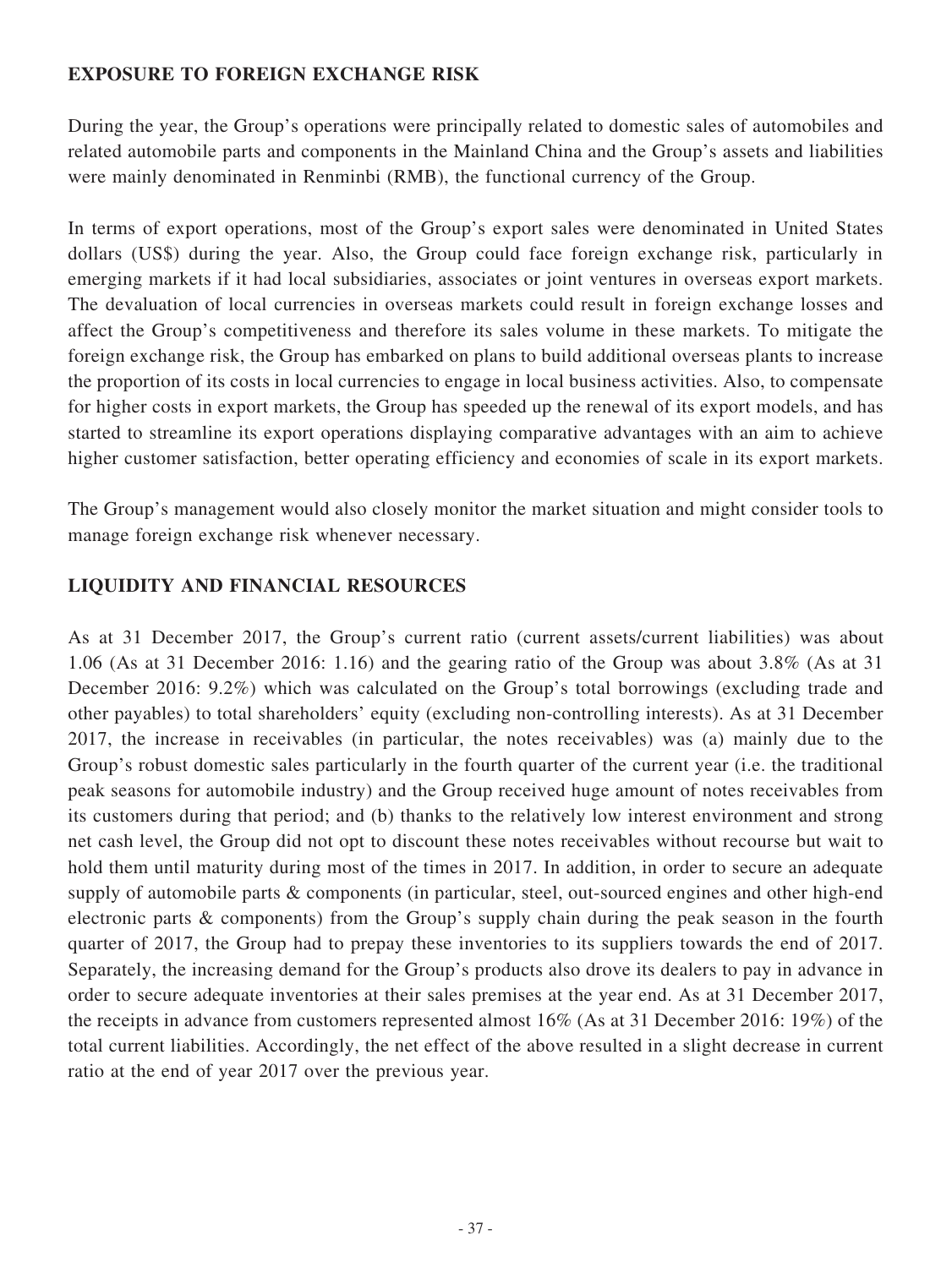### **EXPOSURE TO FOREIGN EXCHANGE RISK**

During the year, the Group's operations were principally related to domestic sales of automobiles and related automobile parts and components in the Mainland China and the Group's assets and liabilities were mainly denominated in Renminbi (RMB), the functional currency of the Group.

In terms of export operations, most of the Group's export sales were denominated in United States dollars (US\$) during the year. Also, the Group could face foreign exchange risk, particularly in emerging markets if it had local subsidiaries, associates or joint ventures in overseas export markets. The devaluation of local currencies in overseas markets could result in foreign exchange losses and affect the Group's competitiveness and therefore its sales volume in these markets. To mitigate the foreign exchange risk, the Group has embarked on plans to build additional overseas plants to increase the proportion of its costs in local currencies to engage in local business activities. Also, to compensate for higher costs in export markets, the Group has speeded up the renewal of its export models, and has started to streamline its export operations displaying comparative advantages with an aim to achieve higher customer satisfaction, better operating efficiency and economies of scale in its export markets.

The Group's management would also closely monitor the market situation and might consider tools to manage foreign exchange risk whenever necessary.

### **LIQUIDITY AND FINANCIAL RESOURCES**

As at 31 December 2017, the Group's current ratio (current assets/current liabilities) was about 1.06 (As at 31 December 2016: 1.16) and the gearing ratio of the Group was about 3.8% (As at 31 December 2016: 9.2%) which was calculated on the Group's total borrowings (excluding trade and other payables) to total shareholders' equity (excluding non-controlling interests). As at 31 December 2017, the increase in receivables (in particular, the notes receivables) was (a) mainly due to the Group's robust domestic sales particularly in the fourth quarter of the current year (i.e. the traditional peak seasons for automobile industry) and the Group received huge amount of notes receivables from its customers during that period; and (b) thanks to the relatively low interest environment and strong net cash level, the Group did not opt to discount these notes receivables without recourse but wait to hold them until maturity during most of the times in 2017. In addition, in order to secure an adequate supply of automobile parts & components (in particular, steel, out-sourced engines and other high-end electronic parts & components) from the Group's supply chain during the peak season in the fourth quarter of 2017, the Group had to prepay these inventories to its suppliers towards the end of 2017. Separately, the increasing demand for the Group's products also drove its dealers to pay in advance in order to secure adequate inventories at their sales premises at the year end. As at 31 December 2017, the receipts in advance from customers represented almost 16% (As at 31 December 2016: 19%) of the total current liabilities. Accordingly, the net effect of the above resulted in a slight decrease in current ratio at the end of year 2017 over the previous year.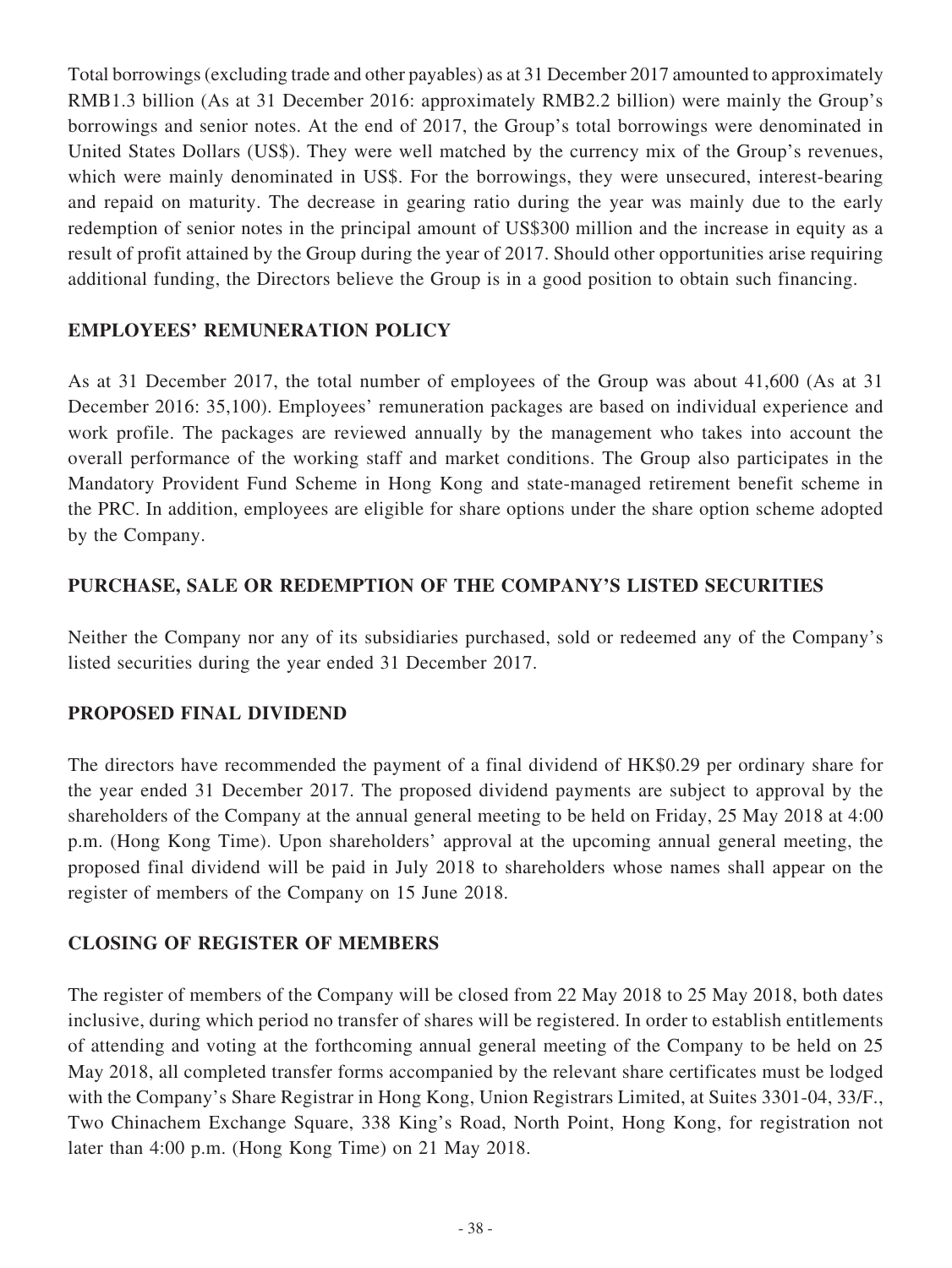Total borrowings (excluding trade and other payables) as at 31 December 2017 amounted to approximately RMB1.3 billion (As at 31 December 2016: approximately RMB2.2 billion) were mainly the Group's borrowings and senior notes. At the end of 2017, the Group's total borrowings were denominated in United States Dollars (US\$). They were well matched by the currency mix of the Group's revenues, which were mainly denominated in US\$. For the borrowings, they were unsecured, interest-bearing and repaid on maturity. The decrease in gearing ratio during the year was mainly due to the early redemption of senior notes in the principal amount of US\$300 million and the increase in equity as a result of profit attained by the Group during the year of 2017. Should other opportunities arise requiring additional funding, the Directors believe the Group is in a good position to obtain such financing.

### **EMPLOYEES' REMUNERATION POLICY**

As at 31 December 2017, the total number of employees of the Group was about 41,600 (As at 31 December 2016: 35,100). Employees' remuneration packages are based on individual experience and work profile. The packages are reviewed annually by the management who takes into account the overall performance of the working staff and market conditions. The Group also participates in the Mandatory Provident Fund Scheme in Hong Kong and state-managed retirement benefit scheme in the PRC. In addition, employees are eligible for share options under the share option scheme adopted by the Company.

### **PURCHASE, SALE OR REDEMPTION OF THE COMPANY'S LISTED SECURITIES**

Neither the Company nor any of its subsidiaries purchased, sold or redeemed any of the Company's listed securities during the year ended 31 December 2017.

### **PROPOSED FINAL DIVIDEND**

The directors have recommended the payment of a final dividend of HK\$0.29 per ordinary share for the year ended 31 December 2017. The proposed dividend payments are subject to approval by the shareholders of the Company at the annual general meeting to be held on Friday, 25 May 2018 at 4:00 p.m. (Hong Kong Time). Upon shareholders' approval at the upcoming annual general meeting, the proposed final dividend will be paid in July 2018 to shareholders whose names shall appear on the register of members of the Company on 15 June 2018.

### **CLOSING OF REGISTER OF MEMBERS**

The register of members of the Company will be closed from 22 May 2018 to 25 May 2018, both dates inclusive, during which period no transfer of shares will be registered. In order to establish entitlements of attending and voting at the forthcoming annual general meeting of the Company to be held on 25 May 2018, all completed transfer forms accompanied by the relevant share certificates must be lodged with the Company's Share Registrar in Hong Kong, Union Registrars Limited, at Suites 3301-04, 33/F., Two Chinachem Exchange Square, 338 King's Road, North Point, Hong Kong, for registration not later than 4:00 p.m. (Hong Kong Time) on 21 May 2018.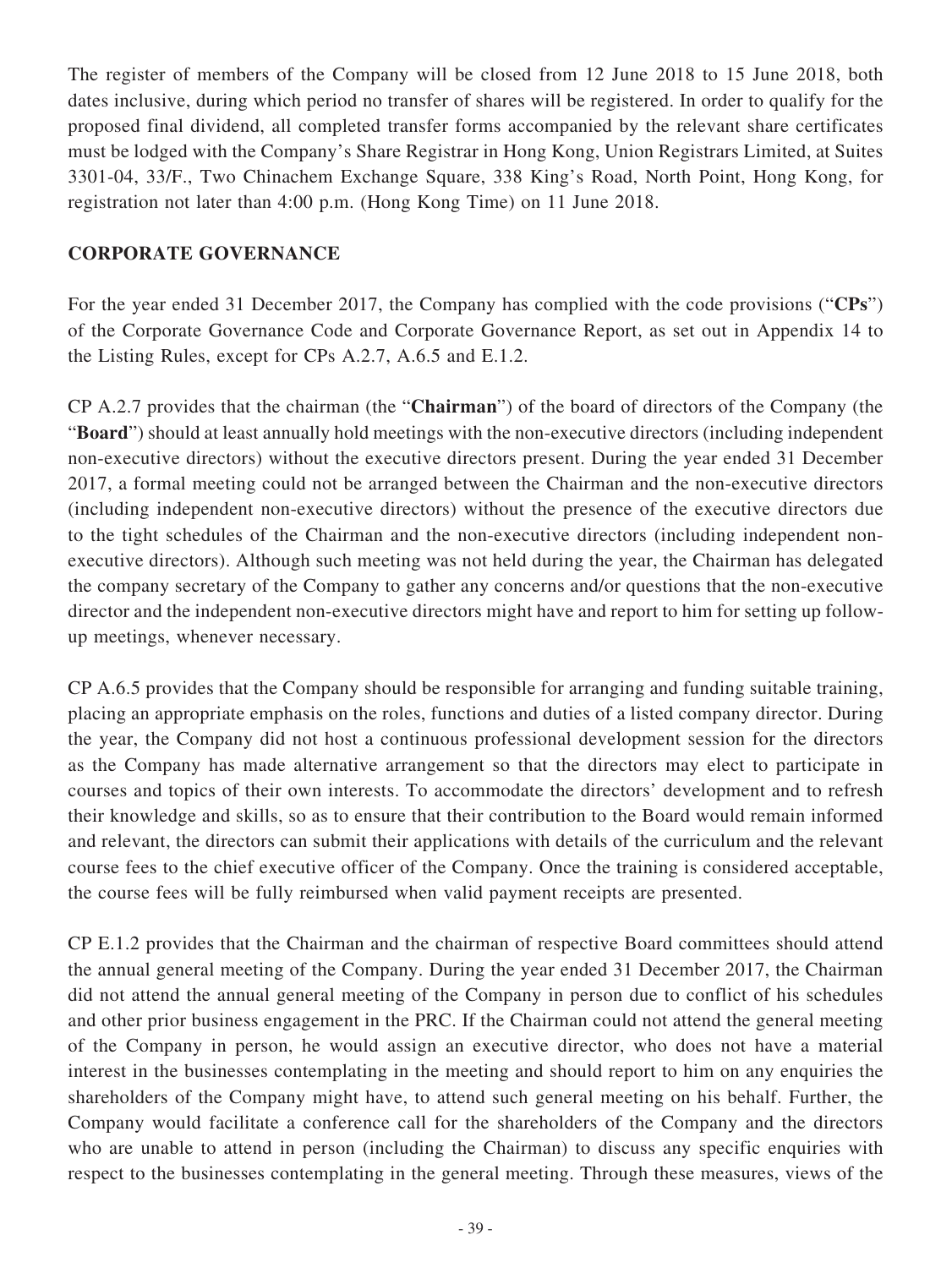The register of members of the Company will be closed from 12 June 2018 to 15 June 2018, both dates inclusive, during which period no transfer of shares will be registered. In order to qualify for the proposed final dividend, all completed transfer forms accompanied by the relevant share certificates must be lodged with the Company's Share Registrar in Hong Kong, Union Registrars Limited, at Suites 3301-04, 33/F., Two Chinachem Exchange Square, 338 King's Road, North Point, Hong Kong, for registration not later than 4:00 p.m. (Hong Kong Time) on 11 June 2018.

### **CORPORATE GOVERNANCE**

For the year ended 31 December 2017, the Company has complied with the code provisions ("**CPs**") of the Corporate Governance Code and Corporate Governance Report, as set out in Appendix 14 to the Listing Rules, except for CPs A.2.7, A.6.5 and E.1.2.

CP A.2.7 provides that the chairman (the "**Chairman**") of the board of directors of the Company (the "**Board**") should at least annually hold meetings with the non-executive directors (including independent non-executive directors) without the executive directors present. During the year ended 31 December 2017, a formal meeting could not be arranged between the Chairman and the non-executive directors (including independent non-executive directors) without the presence of the executive directors due to the tight schedules of the Chairman and the non-executive directors (including independent nonexecutive directors). Although such meeting was not held during the year, the Chairman has delegated the company secretary of the Company to gather any concerns and/or questions that the non-executive director and the independent non-executive directors might have and report to him for setting up followup meetings, whenever necessary.

CP A.6.5 provides that the Company should be responsible for arranging and funding suitable training, placing an appropriate emphasis on the roles, functions and duties of a listed company director. During the year, the Company did not host a continuous professional development session for the directors as the Company has made alternative arrangement so that the directors may elect to participate in courses and topics of their own interests. To accommodate the directors' development and to refresh their knowledge and skills, so as to ensure that their contribution to the Board would remain informed and relevant, the directors can submit their applications with details of the curriculum and the relevant course fees to the chief executive officer of the Company. Once the training is considered acceptable, the course fees will be fully reimbursed when valid payment receipts are presented.

CP E.1.2 provides that the Chairman and the chairman of respective Board committees should attend the annual general meeting of the Company. During the year ended 31 December 2017, the Chairman did not attend the annual general meeting of the Company in person due to conflict of his schedules and other prior business engagement in the PRC. If the Chairman could not attend the general meeting of the Company in person, he would assign an executive director, who does not have a material interest in the businesses contemplating in the meeting and should report to him on any enquiries the shareholders of the Company might have, to attend such general meeting on his behalf. Further, the Company would facilitate a conference call for the shareholders of the Company and the directors who are unable to attend in person (including the Chairman) to discuss any specific enquiries with respect to the businesses contemplating in the general meeting. Through these measures, views of the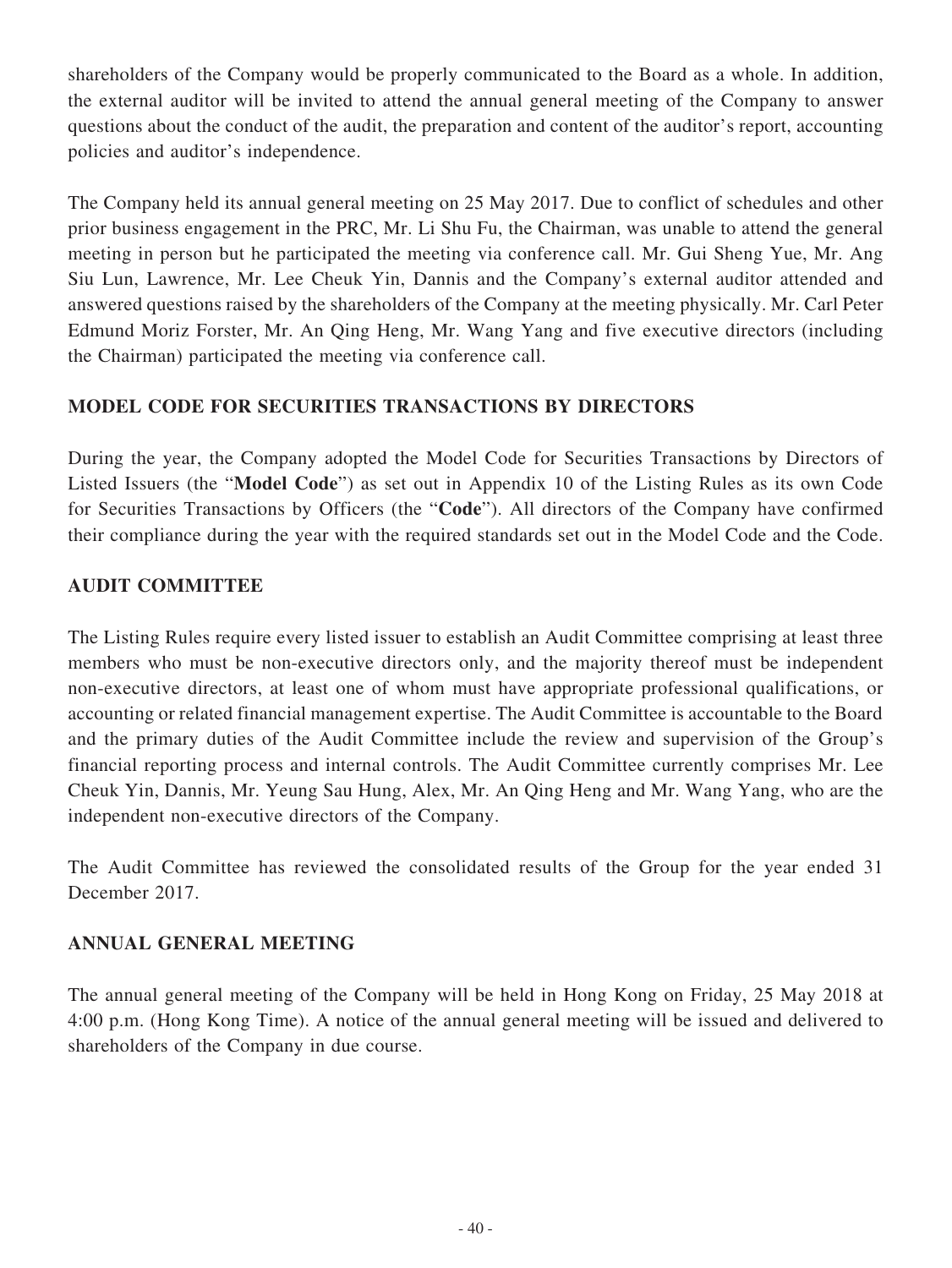shareholders of the Company would be properly communicated to the Board as a whole. In addition, the external auditor will be invited to attend the annual general meeting of the Company to answer questions about the conduct of the audit, the preparation and content of the auditor's report, accounting policies and auditor's independence.

The Company held its annual general meeting on 25 May 2017. Due to conflict of schedules and other prior business engagement in the PRC, Mr. Li Shu Fu, the Chairman, was unable to attend the general meeting in person but he participated the meeting via conference call. Mr. Gui Sheng Yue, Mr. Ang Siu Lun, Lawrence, Mr. Lee Cheuk Yin, Dannis and the Company's external auditor attended and answered questions raised by the shareholders of the Company at the meeting physically. Mr. Carl Peter Edmund Moriz Forster, Mr. An Qing Heng, Mr. Wang Yang and five executive directors (including the Chairman) participated the meeting via conference call.

### **MODEL CODE FOR SECURITIES TRANSACTIONS BY DIRECTORS**

During the year, the Company adopted the Model Code for Securities Transactions by Directors of Listed Issuers (the "**Model Code**") as set out in Appendix 10 of the Listing Rules as its own Code for Securities Transactions by Officers (the "**Code**"). All directors of the Company have confirmed their compliance during the year with the required standards set out in the Model Code and the Code.

## **AUDIT COMMITTEE**

The Listing Rules require every listed issuer to establish an Audit Committee comprising at least three members who must be non-executive directors only, and the majority thereof must be independent non-executive directors, at least one of whom must have appropriate professional qualifications, or accounting or related financial management expertise. The Audit Committee is accountable to the Board and the primary duties of the Audit Committee include the review and supervision of the Group's financial reporting process and internal controls. The Audit Committee currently comprises Mr. Lee Cheuk Yin, Dannis, Mr. Yeung Sau Hung, Alex, Mr. An Qing Heng and Mr. Wang Yang, who are the independent non-executive directors of the Company.

The Audit Committee has reviewed the consolidated results of the Group for the year ended 31 December 2017.

## **ANNUAL GENERAL MEETING**

The annual general meeting of the Company will be held in Hong Kong on Friday, 25 May 2018 at 4:00 p.m. (Hong Kong Time). A notice of the annual general meeting will be issued and delivered to shareholders of the Company in due course.